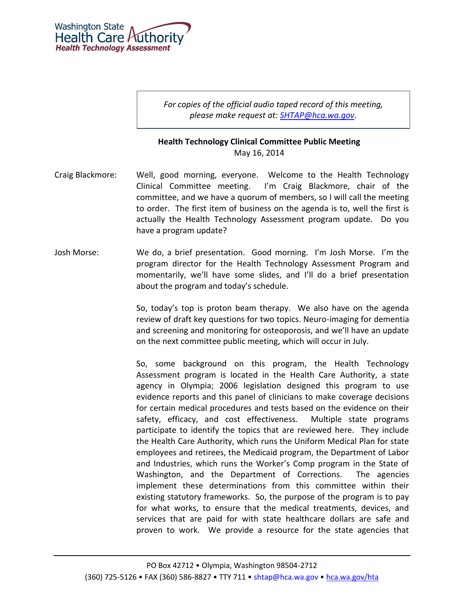

*For copies of the official audio taped record of this meeting, please make request at: [SHTAP@hca.wa.gov.](mailto:SHTAP@hca.wa.gov)*

## **Health Technology Clinical Committee Public Meeting** May 16, 2014

- Craig Blackmore: Well, good morning, everyone. Welcome to the Health Technology Clinical Committee meeting. I'm Craig Blackmore, chair of the committee, and we have a quorum of members, so I will call the meeting to order. The first item of business on the agenda is to, well the first is actually the Health Technology Assessment program update. Do you have a program update?
- Josh Morse: We do, a brief presentation. Good morning. I'm Josh Morse. I'm the program director for the Health Technology Assessment Program and momentarily, we'll have some slides, and I'll do a brief presentation about the program and today's schedule.

So, today's top is proton beam therapy. We also have on the agenda review of draft key questions for two topics. Neuro-imaging for dementia and screening and monitoring for osteoporosis, and we'll have an update on the next committee public meeting, which will occur in July.

So, some background on this program, the Health Technology Assessment program is located in the Health Care Authority, a state agency in Olympia; 2006 legislation designed this program to use evidence reports and this panel of clinicians to make coverage decisions for certain medical procedures and tests based on the evidence on their safety, efficacy, and cost effectiveness. Multiple state programs participate to identify the topics that are reviewed here. They include the Health Care Authority, which runs the Uniform Medical Plan for state employees and retirees, the Medicaid program, the Department of Labor and Industries, which runs the Worker's Comp program in the State of Washington, and the Department of Corrections. The agencies implement these determinations from this committee within their existing statutory frameworks. So, the purpose of the program is to pay for what works, to ensure that the medical treatments, devices, and services that are paid for with state healthcare dollars are safe and proven to work. We provide a resource for the state agencies that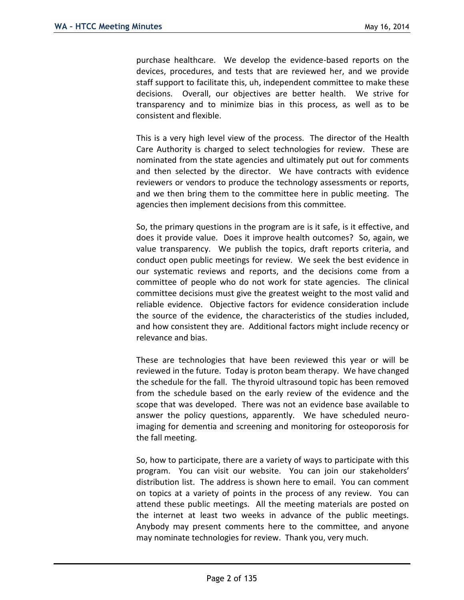purchase healthcare. We develop the evidence-based reports on the devices, procedures, and tests that are reviewed her, and we provide staff support to facilitate this, uh, independent committee to make these decisions. Overall, our objectives are better health. We strive for transparency and to minimize bias in this process, as well as to be consistent and flexible.

This is a very high level view of the process. The director of the Health Care Authority is charged to select technologies for review. These are nominated from the state agencies and ultimately put out for comments and then selected by the director. We have contracts with evidence reviewers or vendors to produce the technology assessments or reports, and we then bring them to the committee here in public meeting. The agencies then implement decisions from this committee.

So, the primary questions in the program are is it safe, is it effective, and does it provide value. Does it improve health outcomes? So, again, we value transparency. We publish the topics, draft reports criteria, and conduct open public meetings for review. We seek the best evidence in our systematic reviews and reports, and the decisions come from a committee of people who do not work for state agencies. The clinical committee decisions must give the greatest weight to the most valid and reliable evidence. Objective factors for evidence consideration include the source of the evidence, the characteristics of the studies included, and how consistent they are. Additional factors might include recency or relevance and bias.

These are technologies that have been reviewed this year or will be reviewed in the future. Today is proton beam therapy. We have changed the schedule for the fall. The thyroid ultrasound topic has been removed from the schedule based on the early review of the evidence and the scope that was developed. There was not an evidence base available to answer the policy questions, apparently. We have scheduled neuroimaging for dementia and screening and monitoring for osteoporosis for the fall meeting.

So, how to participate, there are a variety of ways to participate with this program. You can visit our website. You can join our stakeholders' distribution list. The address is shown here to email. You can comment on topics at a variety of points in the process of any review. You can attend these public meetings. All the meeting materials are posted on the internet at least two weeks in advance of the public meetings. Anybody may present comments here to the committee, and anyone may nominate technologies for review. Thank you, very much.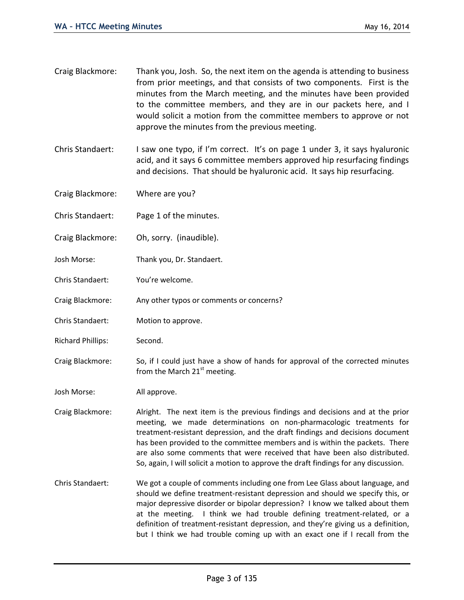- Craig Blackmore: Thank you, Josh. So, the next item on the agenda is attending to business from prior meetings, and that consists of two components. First is the minutes from the March meeting, and the minutes have been provided to the committee members, and they are in our packets here, and I would solicit a motion from the committee members to approve or not approve the minutes from the previous meeting.
- Chris Standaert: I saw one typo, if I'm correct. It's on page 1 under 3, it says hyaluronic acid, and it says 6 committee members approved hip resurfacing findings and decisions. That should be hyaluronic acid. It says hip resurfacing.
- Craig Blackmore: Where are you?
- Chris Standaert: Page 1 of the minutes.
- Craig Blackmore: Oh, sorry. (inaudible).
- Josh Morse: Thank you, Dr. Standaert.
- Chris Standaert: You're welcome.
- Craig Blackmore: Any other typos or comments or concerns?
- Chris Standaert: Motion to approve.
- Richard Phillips: Second.
- Craig Blackmore: So, if I could just have a show of hands for approval of the corrected minutes from the March  $21<sup>st</sup>$  meeting.

Josh Morse: All approve.

- Craig Blackmore: Alright. The next item is the previous findings and decisions and at the prior meeting, we made determinations on non-pharmacologic treatments for treatment-resistant depression, and the draft findings and decisions document has been provided to the committee members and is within the packets. There are also some comments that were received that have been also distributed. So, again, I will solicit a motion to approve the draft findings for any discussion.
- Chris Standaert: We got a couple of comments including one from Lee Glass about language, and should we define treatment-resistant depression and should we specify this, or major depressive disorder or bipolar depression? I know we talked about them at the meeting. I think we had trouble defining treatment-related, or a definition of treatment-resistant depression, and they're giving us a definition, but I think we had trouble coming up with an exact one if I recall from the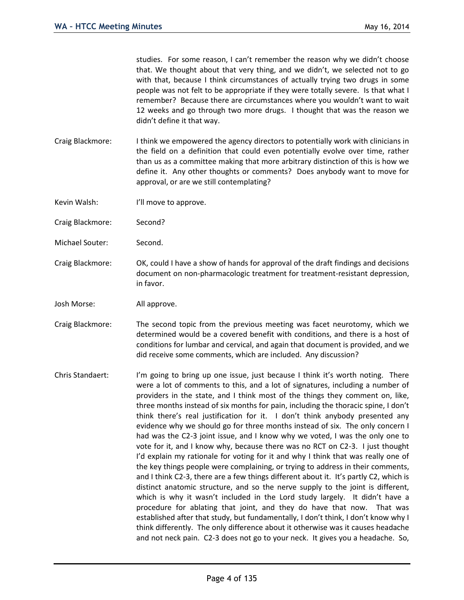studies. For some reason, I can't remember the reason why we didn't choose that. We thought about that very thing, and we didn't, we selected not to go with that, because I think circumstances of actually trying two drugs in some people was not felt to be appropriate if they were totally severe. Is that what I remember? Because there are circumstances where you wouldn't want to wait 12 weeks and go through two more drugs. I thought that was the reason we didn't define it that way.

- Craig Blackmore: I think we empowered the agency directors to potentially work with clinicians in the field on a definition that could even potentially evolve over time, rather than us as a committee making that more arbitrary distinction of this is how we define it. Any other thoughts or comments? Does anybody want to move for approval, or are we still contemplating?
- Kevin Walsh: I'll move to approve.
- Craig Blackmore: Second?
- Michael Souter: Second.
- Craig Blackmore: OK, could I have a show of hands for approval of the draft findings and decisions document on non-pharmacologic treatment for treatment-resistant depression, in favor.
- Josh Morse: All approve.
- Craig Blackmore: The second topic from the previous meeting was facet neurotomy, which we determined would be a covered benefit with conditions, and there is a host of conditions for lumbar and cervical, and again that document is provided, and we did receive some comments, which are included. Any discussion?
- Chris Standaert: I'm going to bring up one issue, just because I think it's worth noting. There were a lot of comments to this, and a lot of signatures, including a number of providers in the state, and I think most of the things they comment on, like, three months instead of six months for pain, including the thoracic spine, I don't think there's real justification for it. I don't think anybody presented any evidence why we should go for three months instead of six. The only concern I had was the C2-3 joint issue, and I know why we voted, I was the only one to vote for it, and I know why, because there was no RCT on C2-3. I just thought I'd explain my rationale for voting for it and why I think that was really one of the key things people were complaining, or trying to address in their comments, and I think C2-3, there are a few things different about it. It's partly C2, which is distinct anatomic structure, and so the nerve supply to the joint is different, which is why it wasn't included in the Lord study largely. It didn't have a procedure for ablating that joint, and they do have that now. That was established after that study, but fundamentally, I don't think, I don't know why I think differently. The only difference about it otherwise was it causes headache and not neck pain. C2-3 does not go to your neck. It gives you a headache. So,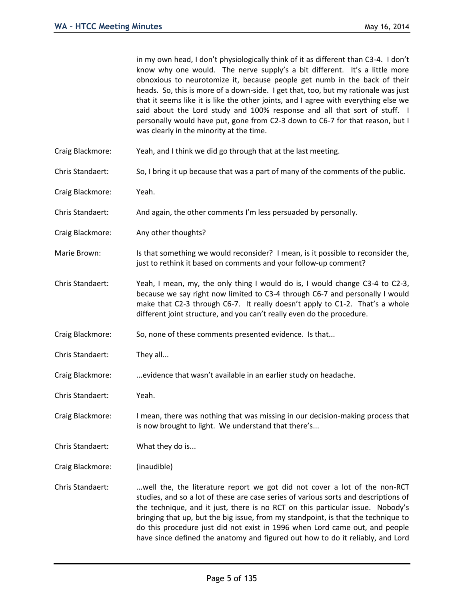in my own head, I don't physiologically think of it as different than C3-4. I don't know why one would. The nerve supply's a bit different. It's a little more obnoxious to neurotomize it, because people get numb in the back of their heads. So, this is more of a down-side. I get that, too, but my rationale was just that it seems like it is like the other joints, and I agree with everything else we said about the Lord study and 100% response and all that sort of stuff. I personally would have put, gone from C2-3 down to C6-7 for that reason, but I was clearly in the minority at the time.

- Craig Blackmore: Yeah, and I think we did go through that at the last meeting.
- Chris Standaert: So, I bring it up because that was a part of many of the comments of the public.
- Craig Blackmore: Yeah.
- Chris Standaert: And again, the other comments I'm less persuaded by personally.
- Craig Blackmore: Any other thoughts?
- Marie Brown: Is that something we would reconsider? I mean, is it possible to reconsider the, just to rethink it based on comments and your follow-up comment?
- Chris Standaert: Yeah, I mean, my, the only thing I would do is, I would change C3-4 to C2-3, because we say right now limited to C3-4 through C6-7 and personally I would make that C2-3 through C6-7. It really doesn't apply to C1-2. That's a whole different joint structure, and you can't really even do the procedure.
- Craig Blackmore: So, none of these comments presented evidence. Is that...
- Chris Standaert: They all...
- Craig Blackmore: ...evidence that wasn't available in an earlier study on headache.
- Chris Standaert: Yeah.
- Craig Blackmore: I mean, there was nothing that was missing in our decision-making process that is now brought to light. We understand that there's...
- Chris Standaert: What they do is...
- Craig Blackmore: (inaudible)
- Chris Standaert: . ...well the, the literature report we got did not cover a lot of the non-RCT studies, and so a lot of these are case series of various sorts and descriptions of the technique, and it just, there is no RCT on this particular issue. Nobody's bringing that up, but the big issue, from my standpoint, is that the technique to do this procedure just did not exist in 1996 when Lord came out, and people have since defined the anatomy and figured out how to do it reliably, and Lord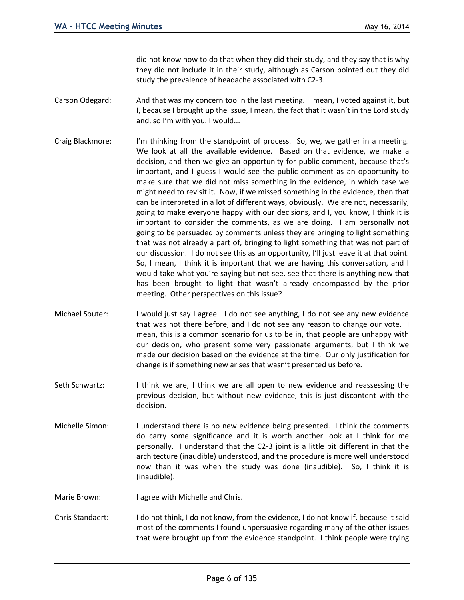did not know how to do that when they did their study, and they say that is why they did not include it in their study, although as Carson pointed out they did study the prevalence of headache associated with C2-3.

- Carson Odegard: And that was my concern too in the last meeting. I mean, I voted against it, but I, because I brought up the issue, I mean, the fact that it wasn't in the Lord study and, so I'm with you. I would...
- Craig Blackmore: I'm thinking from the standpoint of process. So, we, we gather in a meeting. We look at all the available evidence. Based on that evidence, we make a decision, and then we give an opportunity for public comment, because that's important, and I guess I would see the public comment as an opportunity to make sure that we did not miss something in the evidence, in which case we might need to revisit it. Now, if we missed something in the evidence, then that can be interpreted in a lot of different ways, obviously. We are not, necessarily, going to make everyone happy with our decisions, and I, you know, I think it is important to consider the comments, as we are doing. I am personally not going to be persuaded by comments unless they are bringing to light something that was not already a part of, bringing to light something that was not part of our discussion. I do not see this as an opportunity, I'll just leave it at that point. So, I mean, I think it is important that we are having this conversation, and I would take what you're saying but not see, see that there is anything new that has been brought to light that wasn't already encompassed by the prior meeting. Other perspectives on this issue?
- Michael Souter: I would just say I agree. I do not see anything, I do not see any new evidence that was not there before, and I do not see any reason to change our vote. I mean, this is a common scenario for us to be in, that people are unhappy with our decision, who present some very passionate arguments, but I think we made our decision based on the evidence at the time. Our only justification for change is if something new arises that wasn't presented us before.
- Seth Schwartz: I think we are, I think we are all open to new evidence and reassessing the previous decision, but without new evidence, this is just discontent with the decision.
- Michelle Simon: I understand there is no new evidence being presented. I think the comments do carry some significance and it is worth another look at I think for me personally. I understand that the C2-3 joint is a little bit different in that the architecture (inaudible) understood, and the procedure is more well understood now than it was when the study was done (inaudible). So, I think it is (inaudible).
- Marie Brown: I agree with Michelle and Chris.
- Chris Standaert: I do not think, I do not know, from the evidence, I do not know if, because it said most of the comments I found unpersuasive regarding many of the other issues that were brought up from the evidence standpoint. I think people were trying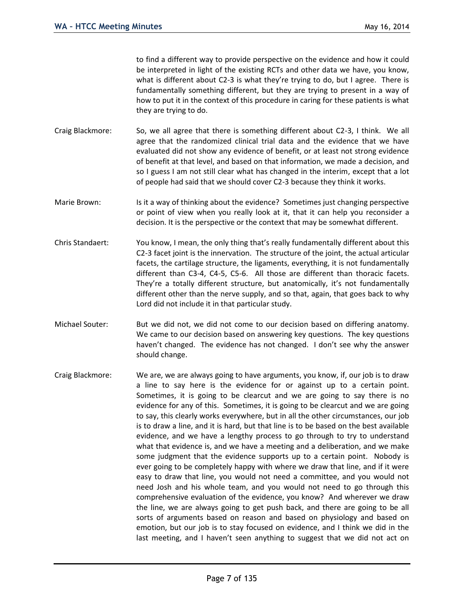to find a different way to provide perspective on the evidence and how it could be interpreted in light of the existing RCTs and other data we have, you know, what is different about C2-3 is what they're trying to do, but I agree. There is fundamentally something different, but they are trying to present in a way of how to put it in the context of this procedure in caring for these patients is what they are trying to do.

- Craig Blackmore: So, we all agree that there is something different about C2-3, I think. We all agree that the randomized clinical trial data and the evidence that we have evaluated did not show any evidence of benefit, or at least not strong evidence of benefit at that level, and based on that information, we made a decision, and so I guess I am not still clear what has changed in the interim, except that a lot of people had said that we should cover C2-3 because they think it works.
- Marie Brown: Is it a way of thinking about the evidence? Sometimes just changing perspective or point of view when you really look at it, that it can help you reconsider a decision. It is the perspective or the context that may be somewhat different.
- Chris Standaert: You know, I mean, the only thing that's really fundamentally different about this C2-3 facet joint is the innervation. The structure of the joint, the actual articular facets, the cartilage structure, the ligaments, everything, it is not fundamentally different than C3-4, C4-5, C5-6. All those are different than thoracic facets. They're a totally different structure, but anatomically, it's not fundamentally different other than the nerve supply, and so that, again, that goes back to why Lord did not include it in that particular study.
- Michael Souter: But we did not, we did not come to our decision based on differing anatomy. We came to our decision based on answering key questions. The key questions haven't changed. The evidence has not changed. I don't see why the answer should change.
- Craig Blackmore: We are, we are always going to have arguments, you know, if, our job is to draw a line to say here is the evidence for or against up to a certain point. Sometimes, it is going to be clearcut and we are going to say there is no evidence for any of this. Sometimes, it is going to be clearcut and we are going to say, this clearly works everywhere, but in all the other circumstances, our job is to draw a line, and it is hard, but that line is to be based on the best available evidence, and we have a lengthy process to go through to try to understand what that evidence is, and we have a meeting and a deliberation, and we make some judgment that the evidence supports up to a certain point. Nobody is ever going to be completely happy with where we draw that line, and if it were easy to draw that line, you would not need a committee, and you would not need Josh and his whole team, and you would not need to go through this comprehensive evaluation of the evidence, you know? And wherever we draw the line, we are always going to get push back, and there are going to be all sorts of arguments based on reason and based on physiology and based on emotion, but our job is to stay focused on evidence, and I think we did in the last meeting, and I haven't seen anything to suggest that we did not act on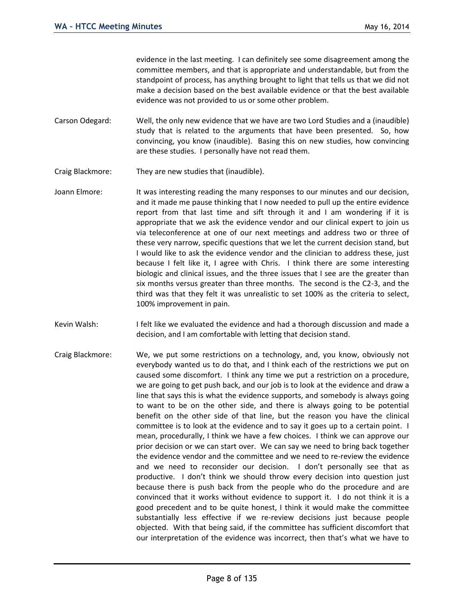evidence in the last meeting. I can definitely see some disagreement among the committee members, and that is appropriate and understandable, but from the standpoint of process, has anything brought to light that tells us that we did not make a decision based on the best available evidence or that the best available evidence was not provided to us or some other problem.

- Carson Odegard: Well, the only new evidence that we have are two Lord Studies and a (inaudible) study that is related to the arguments that have been presented. So, how convincing, you know (inaudible). Basing this on new studies, how convincing are these studies. I personally have not read them.
- Craig Blackmore: They are new studies that (inaudible).
- Joann Elmore: It was interesting reading the many responses to our minutes and our decision, and it made me pause thinking that I now needed to pull up the entire evidence report from that last time and sift through it and I am wondering if it is appropriate that we ask the evidence vendor and our clinical expert to join us via teleconference at one of our next meetings and address two or three of these very narrow, specific questions that we let the current decision stand, but I would like to ask the evidence vendor and the clinician to address these, just because I felt like it, I agree with Chris. I think there are some interesting biologic and clinical issues, and the three issues that I see are the greater than six months versus greater than three months. The second is the C2-3, and the third was that they felt it was unrealistic to set 100% as the criteria to select, 100% improvement in pain.
- Kevin Walsh: I felt like we evaluated the evidence and had a thorough discussion and made a decision, and I am comfortable with letting that decision stand.
- Craig Blackmore: We, we put some restrictions on a technology, and, you know, obviously not everybody wanted us to do that, and I think each of the restrictions we put on caused some discomfort. I think any time we put a restriction on a procedure, we are going to get push back, and our job is to look at the evidence and draw a line that says this is what the evidence supports, and somebody is always going to want to be on the other side, and there is always going to be potential benefit on the other side of that line, but the reason you have the clinical committee is to look at the evidence and to say it goes up to a certain point. I mean, procedurally, I think we have a few choices. I think we can approve our prior decision or we can start over. We can say we need to bring back together the evidence vendor and the committee and we need to re-review the evidence and we need to reconsider our decision. I don't personally see that as productive. I don't think we should throw every decision into question just because there is push back from the people who do the procedure and are convinced that it works without evidence to support it. I do not think it is a good precedent and to be quite honest, I think it would make the committee substantially less effective if we re-review decisions just because people objected. With that being said, if the committee has sufficient discomfort that our interpretation of the evidence was incorrect, then that's what we have to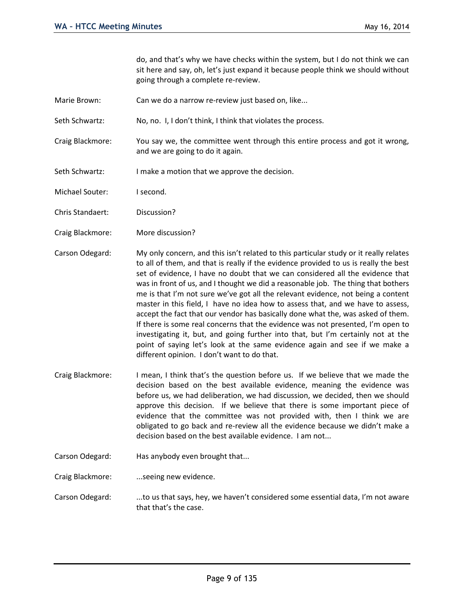do, and that's why we have checks within the system, but I do not think we can sit here and say, oh, let's just expand it because people think we should without going through a complete re-review.

- Marie Brown: Can we do a narrow re-review just based on, like...
- Seth Schwartz: No, no. I, I don't think, I think that violates the process.
- Craig Blackmore: You say we, the committee went through this entire process and got it wrong, and we are going to do it again.
- Seth Schwartz: I make a motion that we approve the decision.
- Michael Souter: I second.
- Chris Standaert: Discussion?
- Craig Blackmore: More discussion?
- Carson Odegard: My only concern, and this isn't related to this particular study or it really relates to all of them, and that is really if the evidence provided to us is really the best set of evidence, I have no doubt that we can considered all the evidence that was in front of us, and I thought we did a reasonable job. The thing that bothers me is that I'm not sure we've got all the relevant evidence, not being a content master in this field, I have no idea how to assess that, and we have to assess, accept the fact that our vendor has basically done what the, was asked of them. If there is some real concerns that the evidence was not presented, I'm open to investigating it, but, and going further into that, but I'm certainly not at the point of saying let's look at the same evidence again and see if we make a different opinion. I don't want to do that.
- Craig Blackmore: I mean, I think that's the question before us. If we believe that we made the decision based on the best available evidence, meaning the evidence was before us, we had deliberation, we had discussion, we decided, then we should approve this decision. If we believe that there is some important piece of evidence that the committee was not provided with, then I think we are obligated to go back and re-review all the evidence because we didn't make a decision based on the best available evidence. I am not...
- Carson Odegard: Has anybody even brought that...

Craig Blackmore: .... seeing new evidence.

Carson Odegard: ...to us that says, hey, we haven't considered some essential data, I'm not aware that that's the case.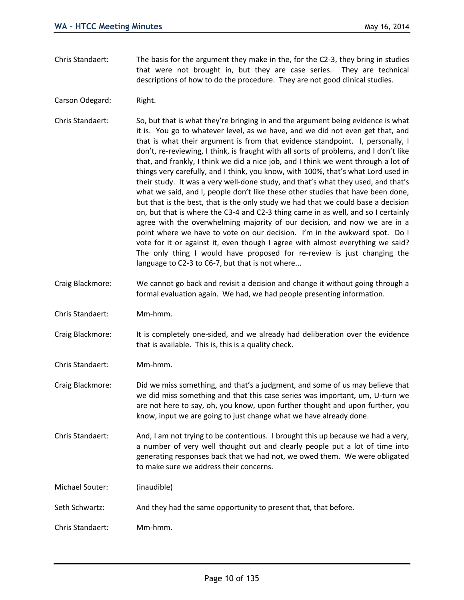- Chris Standaert: The basis for the argument they make in the, for the C2-3, they bring in studies that were not brought in, but they are case series. They are technical descriptions of how to do the procedure. They are not good clinical studies.
- Carson Odegard: Right.
- Chris Standaert: So, but that is what they're bringing in and the argument being evidence is what it is. You go to whatever level, as we have, and we did not even get that, and that is what their argument is from that evidence standpoint. I, personally, I don't, re-reviewing, I think, is fraught with all sorts of problems, and I don't like that, and frankly, I think we did a nice job, and I think we went through a lot of things very carefully, and I think, you know, with 100%, that's what Lord used in their study. It was a very well-done study, and that's what they used, and that's what we said, and I, people don't like these other studies that have been done, but that is the best, that is the only study we had that we could base a decision on, but that is where the C3-4 and C2-3 thing came in as well, and so I certainly agree with the overwhelming majority of our decision, and now we are in a point where we have to vote on our decision. I'm in the awkward spot. Do I vote for it or against it, even though I agree with almost everything we said? The only thing I would have proposed for re-review is just changing the language to C2-3 to C6-7, but that is not where...
- Craig Blackmore: We cannot go back and revisit a decision and change it without going through a formal evaluation again. We had, we had people presenting information.
- Chris Standaert: Mm-hmm.
- Craig Blackmore: It is completely one-sided, and we already had deliberation over the evidence that is available. This is, this is a quality check.
- Chris Standaert: Mm-hmm.
- Craig Blackmore: Did we miss something, and that's a judgment, and some of us may believe that we did miss something and that this case series was important, um, U-turn we are not here to say, oh, you know, upon further thought and upon further, you know, input we are going to just change what we have already done.
- Chris Standaert: And, I am not trying to be contentious. I brought this up because we had a very, a number of very well thought out and clearly people put a lot of time into generating responses back that we had not, we owed them. We were obligated to make sure we address their concerns.

Michael Souter: (inaudible)

- Seth Schwartz: And they had the same opportunity to present that, that before.
- Chris Standaert: Mm-hmm.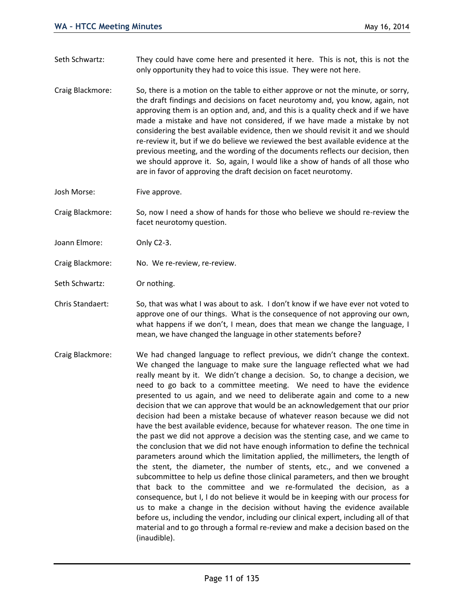- Seth Schwartz: They could have come here and presented it here. This is not, this is not the only opportunity they had to voice this issue. They were not here.
- Craig Blackmore: So, there is a motion on the table to either approve or not the minute, or sorry, the draft findings and decisions on facet neurotomy and, you know, again, not approving them is an option and, and, and this is a quality check and if we have made a mistake and have not considered, if we have made a mistake by not considering the best available evidence, then we should revisit it and we should re-review it, but if we do believe we reviewed the best available evidence at the previous meeting, and the wording of the documents reflects our decision, then we should approve it. So, again, I would like a show of hands of all those who are in favor of approving the draft decision on facet neurotomy.
- Josh Morse: Five approve.
- Craig Blackmore: So, now I need a show of hands for those who believe we should re-review the facet neurotomy question.
- Joann Elmore: Only C2-3.
- Craig Blackmore: No. We re-review, re-review.
- Seth Schwartz: Or nothing.
- Chris Standaert: So, that was what I was about to ask. I don't know if we have ever not voted to approve one of our things. What is the consequence of not approving our own, what happens if we don't, I mean, does that mean we change the language, I mean, we have changed the language in other statements before?
- Craig Blackmore: We had changed language to reflect previous, we didn't change the context. We changed the language to make sure the language reflected what we had really meant by it. We didn't change a decision. So, to change a decision, we need to go back to a committee meeting. We need to have the evidence presented to us again, and we need to deliberate again and come to a new decision that we can approve that would be an acknowledgement that our prior decision had been a mistake because of whatever reason because we did not have the best available evidence, because for whatever reason. The one time in the past we did not approve a decision was the stenting case, and we came to the conclusion that we did not have enough information to define the technical parameters around which the limitation applied, the millimeters, the length of the stent, the diameter, the number of stents, etc., and we convened a subcommittee to help us define those clinical parameters, and then we brought that back to the committee and we re-formulated the decision, as a consequence, but I, I do not believe it would be in keeping with our process for us to make a change in the decision without having the evidence available before us, including the vendor, including our clinical expert, including all of that material and to go through a formal re-review and make a decision based on the (inaudible).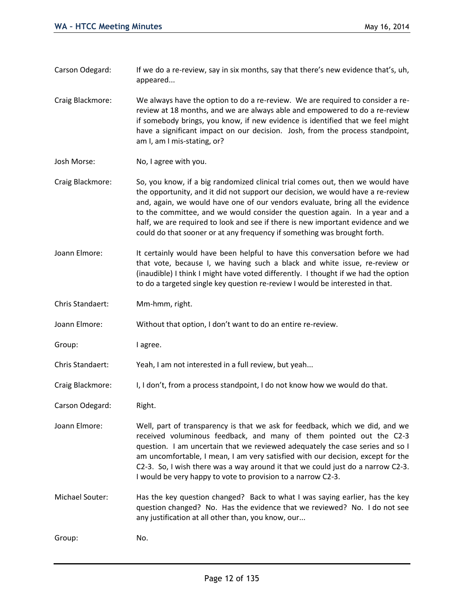- Carson Odegard: If we do a re-review, say in six months, say that there's new evidence that's, uh, appeared...
- Craig Blackmore: We always have the option to do a re-review. We are required to consider a rereview at 18 months, and we are always able and empowered to do a re-review if somebody brings, you know, if new evidence is identified that we feel might have a significant impact on our decision. Josh, from the process standpoint, am I, am I mis-stating, or?
- Josh Morse: No, I agree with you.
- Craig Blackmore: So, you know, if a big randomized clinical trial comes out, then we would have the opportunity, and it did not support our decision, we would have a re-review and, again, we would have one of our vendors evaluate, bring all the evidence to the committee, and we would consider the question again. In a year and a half, we are required to look and see if there is new important evidence and we could do that sooner or at any frequency if something was brought forth.
- Joann Elmore: It certainly would have been helpful to have this conversation before we had that vote, because I, we having such a black and white issue, re-review or (inaudible) I think I might have voted differently. I thought if we had the option to do a targeted single key question re-review I would be interested in that.
- Chris Standaert: Mm-hmm, right.
- Joann Elmore: Without that option, I don't want to do an entire re-review.
- Group: lagree.
- Chris Standaert: Yeah, I am not interested in a full review, but yeah...
- Craig Blackmore: I, I don't, from a process standpoint, I do not know how we would do that.
- Carson Odegard: Right.
- Joann Elmore: Well, part of transparency is that we ask for feedback, which we did, and we received voluminous feedback, and many of them pointed out the C2-3 question. I am uncertain that we reviewed adequately the case series and so I am uncomfortable, I mean, I am very satisfied with our decision, except for the C2-3. So, I wish there was a way around it that we could just do a narrow C2-3. I would be very happy to vote to provision to a narrow C2-3.
- Michael Souter: Has the key question changed? Back to what I was saying earlier, has the key question changed? No. Has the evidence that we reviewed? No. I do not see any justification at all other than, you know, our...

Group: No.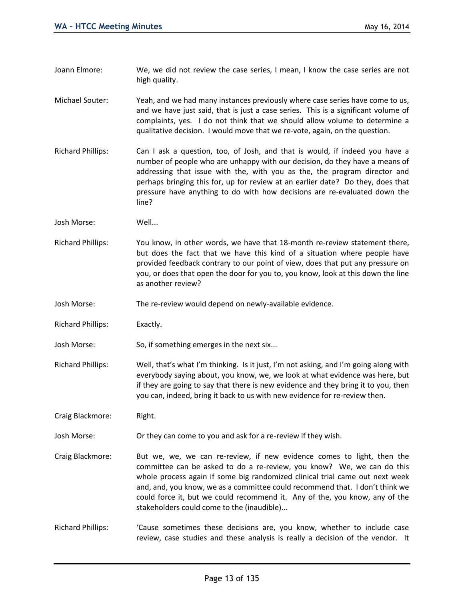- Joann Elmore: We, we did not review the case series, I mean, I know the case series are not high quality.
- Michael Souter: Yeah, and we had many instances previously where case series have come to us, and we have just said, that is just a case series. This is a significant volume of complaints, yes. I do not think that we should allow volume to determine a qualitative decision. I would move that we re-vote, again, on the question.
- Richard Phillips: Can I ask a question, too, of Josh, and that is would, if indeed you have a number of people who are unhappy with our decision, do they have a means of addressing that issue with the, with you as the, the program director and perhaps bringing this for, up for review at an earlier date? Do they, does that pressure have anything to do with how decisions are re-evaluated down the line?
- Josh Morse: Well...
- Richard Phillips: You know, in other words, we have that 18-month re-review statement there, but does the fact that we have this kind of a situation where people have provided feedback contrary to our point of view, does that put any pressure on you, or does that open the door for you to, you know, look at this down the line as another review?
- Josh Morse: The re-review would depend on newly-available evidence.
- Richard Phillips: Exactly.
- Josh Morse: So, if something emerges in the next six...
- Richard Phillips: Well, that's what I'm thinking. Is it just, I'm not asking, and I'm going along with everybody saying about, you know, we, we look at what evidence was here, but if they are going to say that there is new evidence and they bring it to you, then you can, indeed, bring it back to us with new evidence for re-review then.

Craig Blackmore: Right.

- Josh Morse: Or they can come to you and ask for a re-review if they wish.
- Craig Blackmore: But we, we, we can re-review, if new evidence comes to light, then the committee can be asked to do a re-review, you know? We, we can do this whole process again if some big randomized clinical trial came out next week and, and, you know, we as a committee could recommend that. I don't think we could force it, but we could recommend it. Any of the, you know, any of the stakeholders could come to the (inaudible)...
- Richard Phillips: 'Cause sometimes these decisions are, you know, whether to include case review, case studies and these analysis is really a decision of the vendor. It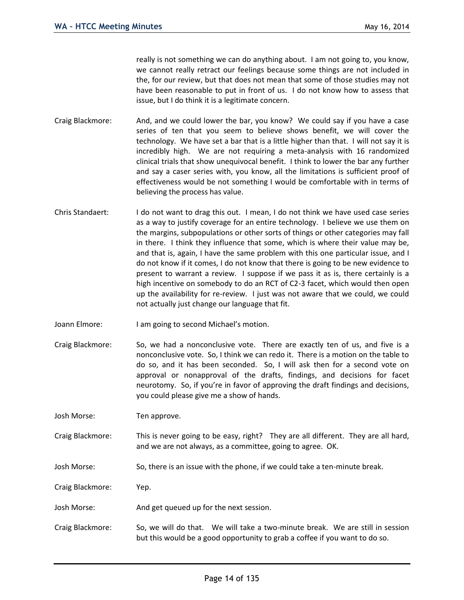really is not something we can do anything about. I am not going to, you know, we cannot really retract our feelings because some things are not included in the, for our review, but that does not mean that some of those studies may not have been reasonable to put in front of us. I do not know how to assess that issue, but I do think it is a legitimate concern.

- Craig Blackmore: And, and we could lower the bar, you know? We could say if you have a case series of ten that you seem to believe shows benefit, we will cover the technology. We have set a bar that is a little higher than that. I will not say it is incredibly high. We are not requiring a meta-analysis with 16 randomized clinical trials that show unequivocal benefit. I think to lower the bar any further and say a caser series with, you know, all the limitations is sufficient proof of effectiveness would be not something I would be comfortable with in terms of believing the process has value.
- Chris Standaert: I do not want to drag this out. I mean, I do not think we have used case series as a way to justify coverage for an entire technology. I believe we use them on the margins, subpopulations or other sorts of things or other categories may fall in there. I think they influence that some, which is where their value may be, and that is, again, I have the same problem with this one particular issue, and I do not know if it comes, I do not know that there is going to be new evidence to present to warrant a review. I suppose if we pass it as is, there certainly is a high incentive on somebody to do an RCT of C2-3 facet, which would then open up the availability for re-review. I just was not aware that we could, we could not actually just change our language that fit.
- Joann Elmore: I am going to second Michael's motion.
- Craig Blackmore: So, we had a nonconclusive vote. There are exactly ten of us, and five is a nonconclusive vote. So, I think we can redo it. There is a motion on the table to do so, and it has been seconded. So, I will ask then for a second vote on approval or nonapproval of the drafts, findings, and decisions for facet neurotomy. So, if you're in favor of approving the draft findings and decisions, you could please give me a show of hands.

Josh Morse: Ten approve.

- Craig Blackmore: This is never going to be easy, right? They are all different. They are all hard, and we are not always, as a committee, going to agree. OK.
- Josh Morse: So, there is an issue with the phone, if we could take a ten-minute break.

Craig Blackmore: Yep.

- Josh Morse: And get queued up for the next session.
- Craig Blackmore: So, we will do that. We will take a two-minute break. We are still in session but this would be a good opportunity to grab a coffee if you want to do so.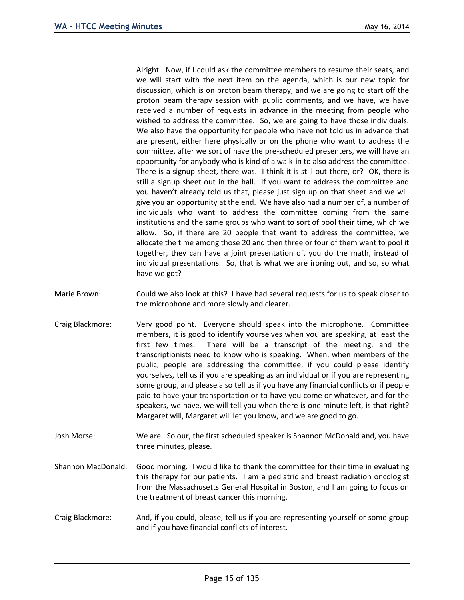Alright. Now, if I could ask the committee members to resume their seats, and we will start with the next item on the agenda, which is our new topic for discussion, which is on proton beam therapy, and we are going to start off the proton beam therapy session with public comments, and we have, we have received a number of requests in advance in the meeting from people who wished to address the committee. So, we are going to have those individuals. We also have the opportunity for people who have not told us in advance that are present, either here physically or on the phone who want to address the committee, after we sort of have the pre-scheduled presenters, we will have an opportunity for anybody who is kind of a walk-in to also address the committee. There is a signup sheet, there was. I think it is still out there, or? OK, there is still a signup sheet out in the hall. If you want to address the committee and you haven't already told us that, please just sign up on that sheet and we will give you an opportunity at the end. We have also had a number of, a number of individuals who want to address the committee coming from the same institutions and the same groups who want to sort of pool their time, which we allow. So, if there are 20 people that want to address the committee, we allocate the time among those 20 and then three or four of them want to pool it together, they can have a joint presentation of, you do the math, instead of individual presentations. So, that is what we are ironing out, and so, so what have we got?

- Marie Brown: Could we also look at this? I have had several requests for us to speak closer to the microphone and more slowly and clearer.
- Craig Blackmore: Very good point. Everyone should speak into the microphone. Committee members, it is good to identify yourselves when you are speaking, at least the first few times. There will be a transcript of the meeting, and the transcriptionists need to know who is speaking. When, when members of the public, people are addressing the committee, if you could please identify yourselves, tell us if you are speaking as an individual or if you are representing some group, and please also tell us if you have any financial conflicts or if people paid to have your transportation or to have you come or whatever, and for the speakers, we have, we will tell you when there is one minute left, is that right? Margaret will, Margaret will let you know, and we are good to go.
- Josh Morse: We are. So our, the first scheduled speaker is Shannon McDonald and, you have three minutes, please.
- Shannon MacDonald: Good morning. I would like to thank the committee for their time in evaluating this therapy for our patients. I am a pediatric and breast radiation oncologist from the Massachusetts General Hospital in Boston, and I am going to focus on the treatment of breast cancer this morning.
- Craig Blackmore: And, if you could, please, tell us if you are representing yourself or some group and if you have financial conflicts of interest.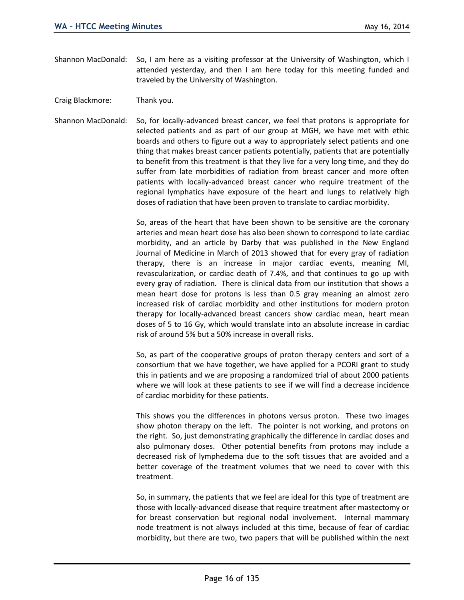- Shannon MacDonald: So, I am here as a visiting professor at the University of Washington, which I attended yesterday, and then I am here today for this meeting funded and traveled by the University of Washington.
- Craig Blackmore: Thank you.
- Shannon MacDonald: So, for locally-advanced breast cancer, we feel that protons is appropriate for selected patients and as part of our group at MGH, we have met with ethic boards and others to figure out a way to appropriately select patients and one thing that makes breast cancer patients potentially, patients that are potentially to benefit from this treatment is that they live for a very long time, and they do suffer from late morbidities of radiation from breast cancer and more often patients with locally-advanced breast cancer who require treatment of the regional lymphatics have exposure of the heart and lungs to relatively high doses of radiation that have been proven to translate to cardiac morbidity.

So, areas of the heart that have been shown to be sensitive are the coronary arteries and mean heart dose has also been shown to correspond to late cardiac morbidity, and an article by Darby that was published in the New England Journal of Medicine in March of 2013 showed that for every gray of radiation therapy, there is an increase in major cardiac events, meaning MI, revascularization, or cardiac death of 7.4%, and that continues to go up with every gray of radiation. There is clinical data from our institution that shows a mean heart dose for protons is less than 0.5 gray meaning an almost zero increased risk of cardiac morbidity and other institutions for modern proton therapy for locally-advanced breast cancers show cardiac mean, heart mean doses of 5 to 16 Gy, which would translate into an absolute increase in cardiac risk of around 5% but a 50% increase in overall risks.

So, as part of the cooperative groups of proton therapy centers and sort of a consortium that we have together, we have applied for a PCORI grant to study this in patients and we are proposing a randomized trial of about 2000 patients where we will look at these patients to see if we will find a decrease incidence of cardiac morbidity for these patients.

This shows you the differences in photons versus proton. These two images show photon therapy on the left. The pointer is not working, and protons on the right. So, just demonstrating graphically the difference in cardiac doses and also pulmonary doses. Other potential benefits from protons may include a decreased risk of lymphedema due to the soft tissues that are avoided and a better coverage of the treatment volumes that we need to cover with this treatment.

So, in summary, the patients that we feel are ideal for this type of treatment are those with locally-advanced disease that require treatment after mastectomy or for breast conservation but regional nodal involvement. Internal mammary node treatment is not always included at this time, because of fear of cardiac morbidity, but there are two, two papers that will be published within the next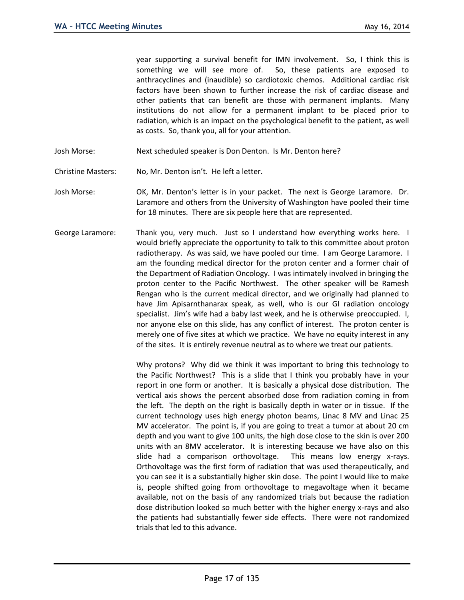year supporting a survival benefit for IMN involvement. So, I think this is something we will see more of. So, these patients are exposed to anthracyclines and (inaudible) so cardiotoxic chemos. Additional cardiac risk factors have been shown to further increase the risk of cardiac disease and other patients that can benefit are those with permanent implants. Many institutions do not allow for a permanent implant to be placed prior to radiation, which is an impact on the psychological benefit to the patient, as well as costs. So, thank you, all for your attention.

- Josh Morse: Next scheduled speaker is Don Denton. Is Mr. Denton here?
- Christine Masters: No, Mr. Denton isn't. He left a letter.
- Josh Morse: OK, Mr. Denton's letter is in your packet. The next is George Laramore. Dr. Laramore and others from the University of Washington have pooled their time for 18 minutes. There are six people here that are represented.
- George Laramore: Thank you, very much. Just so I understand how everything works here. I would briefly appreciate the opportunity to talk to this committee about proton radiotherapy. As was said, we have pooled our time. I am George Laramore. I am the founding medical director for the proton center and a former chair of the Department of Radiation Oncology. I was intimately involved in bringing the proton center to the Pacific Northwest. The other speaker will be Ramesh Rengan who is the current medical director, and we originally had planned to have Jim Apisarnthanarax speak, as well, who is our GI radiation oncology specialist. Jim's wife had a baby last week, and he is otherwise preoccupied. I, nor anyone else on this slide, has any conflict of interest. The proton center is merely one of five sites at which we practice. We have no equity interest in any of the sites. It is entirely revenue neutral as to where we treat our patients.

Why protons? Why did we think it was important to bring this technology to the Pacific Northwest? This is a slide that I think you probably have in your report in one form or another. It is basically a physical dose distribution. The vertical axis shows the percent absorbed dose from radiation coming in from the left. The depth on the right is basically depth in water or in tissue. If the current technology uses high energy photon beams, Linac 8 MV and Linac 25 MV accelerator. The point is, if you are going to treat a tumor at about 20 cm depth and you want to give 100 units, the high dose close to the skin is over 200 units with an 8MV accelerator. It is interesting because we have also on this slide had a comparison orthovoltage. This means low energy x-rays. Orthovoltage was the first form of radiation that was used therapeutically, and you can see it is a substantially higher skin dose. The point I would like to make is, people shifted going from orthovoltage to megavoltage when it became available, not on the basis of any randomized trials but because the radiation dose distribution looked so much better with the higher energy x-rays and also the patients had substantially fewer side effects. There were not randomized trials that led to this advance.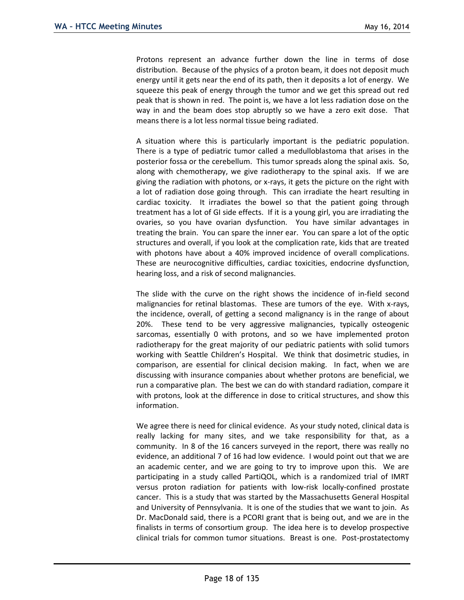Protons represent an advance further down the line in terms of dose distribution. Because of the physics of a proton beam, it does not deposit much energy until it gets near the end of its path, then it deposits a lot of energy. We squeeze this peak of energy through the tumor and we get this spread out red peak that is shown in red. The point is, we have a lot less radiation dose on the way in and the beam does stop abruptly so we have a zero exit dose. That means there is a lot less normal tissue being radiated.

A situation where this is particularly important is the pediatric population. There is a type of pediatric tumor called a medulloblastoma that arises in the posterior fossa or the cerebellum. This tumor spreads along the spinal axis. So, along with chemotherapy, we give radiotherapy to the spinal axis. If we are giving the radiation with photons, or x-rays, it gets the picture on the right with a lot of radiation dose going through. This can irradiate the heart resulting in cardiac toxicity. It irradiates the bowel so that the patient going through treatment has a lot of GI side effects. If it is a young girl, you are irradiating the ovaries, so you have ovarian dysfunction. You have similar advantages in treating the brain. You can spare the inner ear. You can spare a lot of the optic structures and overall, if you look at the complication rate, kids that are treated with photons have about a 40% improved incidence of overall complications. These are neurocognitive difficulties, cardiac toxicities, endocrine dysfunction, hearing loss, and a risk of second malignancies.

The slide with the curve on the right shows the incidence of in-field second malignancies for retinal blastomas. These are tumors of the eye. With x-rays, the incidence, overall, of getting a second malignancy is in the range of about 20%. These tend to be very aggressive malignancies, typically osteogenic sarcomas, essentially 0 with protons, and so we have implemented proton radiotherapy for the great majority of our pediatric patients with solid tumors working with Seattle Children's Hospital. We think that dosimetric studies, in comparison, are essential for clinical decision making. In fact, when we are discussing with insurance companies about whether protons are beneficial, we run a comparative plan. The best we can do with standard radiation, compare it with protons, look at the difference in dose to critical structures, and show this information.

We agree there is need for clinical evidence. As your study noted, clinical data is really lacking for many sites, and we take responsibility for that, as a community. In 8 of the 16 cancers surveyed in the report, there was really no evidence, an additional 7 of 16 had low evidence. I would point out that we are an academic center, and we are going to try to improve upon this. We are participating in a study called PartiQOL, which is a randomized trial of IMRT versus proton radiation for patients with low-risk locally-confined prostate cancer. This is a study that was started by the Massachusetts General Hospital and University of Pennsylvania. It is one of the studies that we want to join. As Dr. MacDonald said, there is a PCORI grant that is being out, and we are in the finalists in terms of consortium group. The idea here is to develop prospective clinical trials for common tumor situations. Breast is one. Post-prostatectomy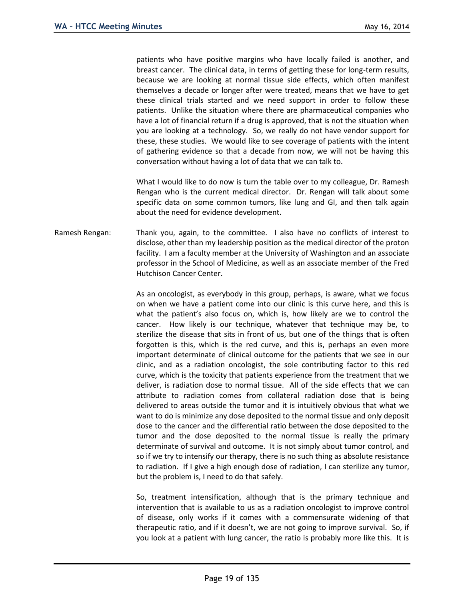patients who have positive margins who have locally failed is another, and breast cancer. The clinical data, in terms of getting these for long-term results, because we are looking at normal tissue side effects, which often manifest themselves a decade or longer after were treated, means that we have to get these clinical trials started and we need support in order to follow these patients. Unlike the situation where there are pharmaceutical companies who have a lot of financial return if a drug is approved, that is not the situation when you are looking at a technology. So, we really do not have vendor support for these, these studies. We would like to see coverage of patients with the intent of gathering evidence so that a decade from now, we will not be having this conversation without having a lot of data that we can talk to.

What I would like to do now is turn the table over to my colleague, Dr. Ramesh Rengan who is the current medical director. Dr. Rengan will talk about some specific data on some common tumors, like lung and GI, and then talk again about the need for evidence development.

Ramesh Rengan: Thank you, again, to the committee. I also have no conflicts of interest to disclose, other than my leadership position as the medical director of the proton facility. I am a faculty member at the University of Washington and an associate professor in the School of Medicine, as well as an associate member of the Fred Hutchison Cancer Center.

> As an oncologist, as everybody in this group, perhaps, is aware, what we focus on when we have a patient come into our clinic is this curve here, and this is what the patient's also focus on, which is, how likely are we to control the cancer. How likely is our technique, whatever that technique may be, to sterilize the disease that sits in front of us, but one of the things that is often forgotten is this, which is the red curve, and this is, perhaps an even more important determinate of clinical outcome for the patients that we see in our clinic, and as a radiation oncologist, the sole contributing factor to this red curve, which is the toxicity that patients experience from the treatment that we deliver, is radiation dose to normal tissue. All of the side effects that we can attribute to radiation comes from collateral radiation dose that is being delivered to areas outside the tumor and it is intuitively obvious that what we want to do is minimize any dose deposited to the normal tissue and only deposit dose to the cancer and the differential ratio between the dose deposited to the tumor and the dose deposited to the normal tissue is really the primary determinate of survival and outcome. It is not simply about tumor control, and so if we try to intensify our therapy, there is no such thing as absolute resistance to radiation. If I give a high enough dose of radiation, I can sterilize any tumor, but the problem is, I need to do that safely.

> So, treatment intensification, although that is the primary technique and intervention that is available to us as a radiation oncologist to improve control of disease, only works if it comes with a commensurate widening of that therapeutic ratio, and if it doesn't, we are not going to improve survival. So, if you look at a patient with lung cancer, the ratio is probably more like this. It is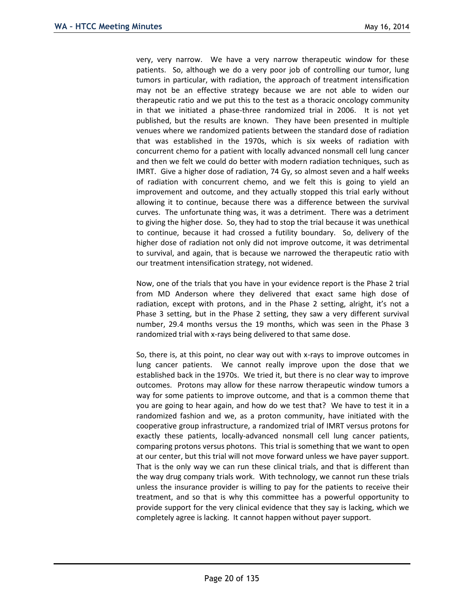very, very narrow. We have a very narrow therapeutic window for these patients. So, although we do a very poor job of controlling our tumor, lung tumors in particular, with radiation, the approach of treatment intensification may not be an effective strategy because we are not able to widen our therapeutic ratio and we put this to the test as a thoracic oncology community in that we initiated a phase-three randomized trial in 2006. It is not yet published, but the results are known. They have been presented in multiple venues where we randomized patients between the standard dose of radiation that was established in the 1970s, which is six weeks of radiation with concurrent chemo for a patient with locally advanced nonsmall cell lung cancer and then we felt we could do better with modern radiation techniques, such as IMRT. Give a higher dose of radiation, 74 Gy, so almost seven and a half weeks of radiation with concurrent chemo, and we felt this is going to yield an improvement and outcome, and they actually stopped this trial early without allowing it to continue, because there was a difference between the survival curves. The unfortunate thing was, it was a detriment. There was a detriment to giving the higher dose. So, they had to stop the trial because it was unethical to continue, because it had crossed a futility boundary. So, delivery of the higher dose of radiation not only did not improve outcome, it was detrimental to survival, and again, that is because we narrowed the therapeutic ratio with our treatment intensification strategy, not widened.

Now, one of the trials that you have in your evidence report is the Phase 2 trial from MD Anderson where they delivered that exact same high dose of radiation, except with protons, and in the Phase 2 setting, alright, it's not a Phase 3 setting, but in the Phase 2 setting, they saw a very different survival number, 29.4 months versus the 19 months, which was seen in the Phase 3 randomized trial with x-rays being delivered to that same dose.

So, there is, at this point, no clear way out with x-rays to improve outcomes in lung cancer patients. We cannot really improve upon the dose that we established back in the 1970s. We tried it, but there is no clear way to improve outcomes. Protons may allow for these narrow therapeutic window tumors a way for some patients to improve outcome, and that is a common theme that you are going to hear again, and how do we test that? We have to test it in a randomized fashion and we, as a proton community, have initiated with the cooperative group infrastructure, a randomized trial of IMRT versus protons for exactly these patients, locally-advanced nonsmall cell lung cancer patients, comparing protons versus photons. This trial is something that we want to open at our center, but this trial will not move forward unless we have payer support. That is the only way we can run these clinical trials, and that is different than the way drug company trials work. With technology, we cannot run these trials unless the insurance provider is willing to pay for the patients to receive their treatment, and so that is why this committee has a powerful opportunity to provide support for the very clinical evidence that they say is lacking, which we completely agree is lacking. It cannot happen without payer support.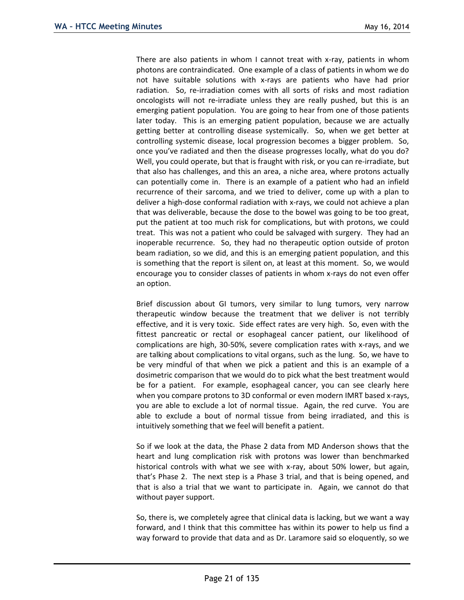There are also patients in whom I cannot treat with x-ray, patients in whom photons are contraindicated. One example of a class of patients in whom we do not have suitable solutions with x-rays are patients who have had prior radiation. So, re-irradiation comes with all sorts of risks and most radiation oncologists will not re-irradiate unless they are really pushed, but this is an emerging patient population. You are going to hear from one of those patients later today. This is an emerging patient population, because we are actually getting better at controlling disease systemically. So, when we get better at controlling systemic disease, local progression becomes a bigger problem. So, once you've radiated and then the disease progresses locally, what do you do? Well, you could operate, but that is fraught with risk, or you can re-irradiate, but that also has challenges, and this an area, a niche area, where protons actually can potentially come in. There is an example of a patient who had an infield recurrence of their sarcoma, and we tried to deliver, come up with a plan to deliver a high-dose conformal radiation with x-rays, we could not achieve a plan that was deliverable, because the dose to the bowel was going to be too great, put the patient at too much risk for complications, but with protons, we could treat. This was not a patient who could be salvaged with surgery. They had an inoperable recurrence. So, they had no therapeutic option outside of proton beam radiation, so we did, and this is an emerging patient population, and this is something that the report is silent on, at least at this moment. So, we would encourage you to consider classes of patients in whom x-rays do not even offer an option.

Brief discussion about GI tumors, very similar to lung tumors, very narrow therapeutic window because the treatment that we deliver is not terribly effective, and it is very toxic. Side effect rates are very high. So, even with the fittest pancreatic or rectal or esophageal cancer patient, our likelihood of complications are high, 30-50%, severe complication rates with x-rays, and we are talking about complications to vital organs, such as the lung. So, we have to be very mindful of that when we pick a patient and this is an example of a dosimetric comparison that we would do to pick what the best treatment would be for a patient. For example, esophageal cancer, you can see clearly here when you compare protons to 3D conformal or even modern IMRT based x-rays, you are able to exclude a lot of normal tissue. Again, the red curve. You are able to exclude a bout of normal tissue from being irradiated, and this is intuitively something that we feel will benefit a patient.

So if we look at the data, the Phase 2 data from MD Anderson shows that the heart and lung complication risk with protons was lower than benchmarked historical controls with what we see with x-ray, about 50% lower, but again, that's Phase 2. The next step is a Phase 3 trial, and that is being opened, and that is also a trial that we want to participate in. Again, we cannot do that without payer support.

So, there is, we completely agree that clinical data is lacking, but we want a way forward, and I think that this committee has within its power to help us find a way forward to provide that data and as Dr. Laramore said so eloquently, so we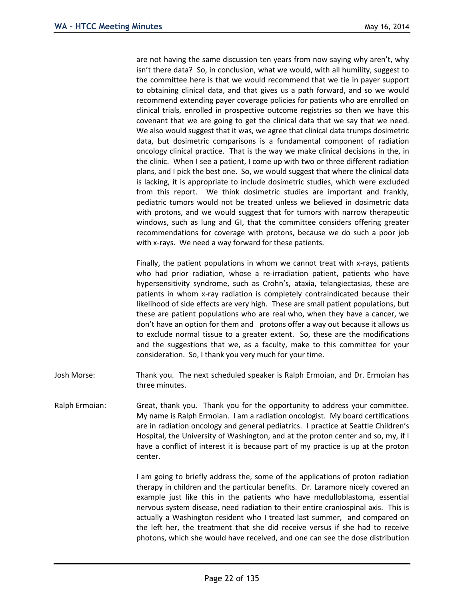are not having the same discussion ten years from now saying why aren't, why isn't there data? So, in conclusion, what we would, with all humility, suggest to the committee here is that we would recommend that we tie in payer support to obtaining clinical data, and that gives us a path forward, and so we would recommend extending payer coverage policies for patients who are enrolled on clinical trials, enrolled in prospective outcome registries so then we have this covenant that we are going to get the clinical data that we say that we need. We also would suggest that it was, we agree that clinical data trumps dosimetric data, but dosimetric comparisons is a fundamental component of radiation oncology clinical practice. That is the way we make clinical decisions in the, in the clinic. When I see a patient, I come up with two or three different radiation plans, and I pick the best one. So, we would suggest that where the clinical data is lacking, it is appropriate to include dosimetric studies, which were excluded from this report. We think dosimetric studies are important and frankly, pediatric tumors would not be treated unless we believed in dosimetric data with protons, and we would suggest that for tumors with narrow therapeutic windows, such as lung and GI, that the committee considers offering greater recommendations for coverage with protons, because we do such a poor job with x-rays. We need a way forward for these patients.

Finally, the patient populations in whom we cannot treat with x-rays, patients who had prior radiation, whose a re-irradiation patient, patients who have hypersensitivity syndrome, such as Crohn's, ataxia, telangiectasias, these are patients in whom x-ray radiation is completely contraindicated because their likelihood of side effects are very high. These are small patient populations, but these are patient populations who are real who, when they have a cancer, we don't have an option for them and protons offer a way out because it allows us to exclude normal tissue to a greater extent. So, these are the modifications and the suggestions that we, as a faculty, make to this committee for your consideration. So, I thank you very much for your time.

- Josh Morse: Thank you. The next scheduled speaker is Ralph Ermoian, and Dr. Ermoian has three minutes.
- Ralph Ermoian: Great, thank you. Thank you for the opportunity to address your committee. My name is Ralph Ermoian. I am a radiation oncologist. My board certifications are in radiation oncology and general pediatrics. I practice at Seattle Children's Hospital, the University of Washington, and at the proton center and so, my, if I have a conflict of interest it is because part of my practice is up at the proton center.

I am going to briefly address the, some of the applications of proton radiation therapy in children and the particular benefits. Dr. Laramore nicely covered an example just like this in the patients who have medulloblastoma, essential nervous system disease, need radiation to their entire craniospinal axis. This is actually a Washington resident who I treated last summer, and compared on the left her, the treatment that she did receive versus if she had to receive photons, which she would have received, and one can see the dose distribution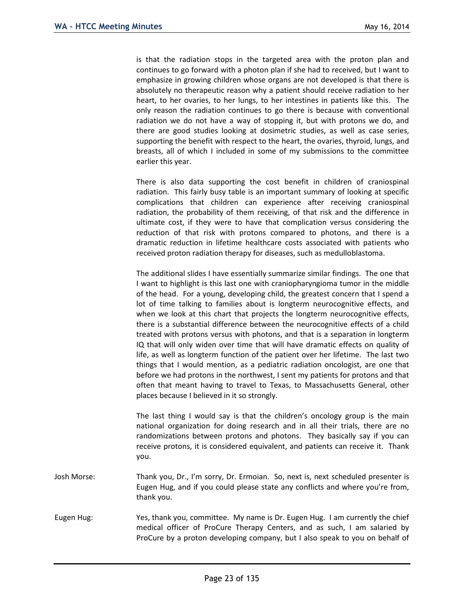is that the radiation stops in the targeted area with the proton plan and continues to go forward with a photon plan if she had to received, but I want to emphasize in growing children whose organs are not developed is that there is absolutely no therapeutic reason why a patient should receive radiation to her heart, to her ovaries, to her lungs, to her intestines in patients like this. The only reason the radiation continues to go there is because with conventional radiation we do not have a way of stopping it, but with protons we do, and there are good studies looking at dosimetric studies, as well as case series, supporting the benefit with respect to the heart, the ovaries, thyroid, lungs, and breasts, all of which I included in some of my submissions to the committee earlier this year.

There is also data supporting the cost benefit in children of craniospinal radiation. This fairly busy table is an important summary of looking at specific complications that children can experience after receiving craniospinal radiation, the probability of them receiving, of that risk and the difference in ultimate cost, if they were to have that complication versus considering the reduction of that risk with protons compared to photons, and there is a dramatic reduction in lifetime healthcare costs associated with patients who received proton radiation therapy for diseases, such as medulloblastoma.

The additional slides I have essentially summarize similar findings. The one that I want to highlight is this last one with craniopharyngioma tumor in the middle of the head. For a young, developing child, the greatest concern that I spend a lot of time talking to families about is longterm neurocognitive effects, and when we look at this chart that projects the longterm neurocognitive effects, there is a substantial difference between the neurocognitive effects of a child treated with protons versus with photons, and that is a separation in longterm IQ that will only widen over time that will have dramatic effects on quality of life, as well as longterm function of the patient over her lifetime. The last two things that I would mention, as a pediatric radiation oncologist, are one that before we had protons in the northwest, I sent my patients for protons and that often that meant having to travel to Texas, to Massachusetts General, other places because I believed in it so strongly.

The last thing I would say is that the children's oncology group is the main national organization for doing research and in all their trials, there are no randomizations between protons and photons. They basically say if you can receive protons, it is considered equivalent, and patients can receive it. Thank you.

- Josh Morse: Thank you, Dr., I'm sorry, Dr. Ermoian. So, next is, next scheduled presenter is Eugen Hug, and if you could please state any conflicts and where you're from, thank you.
- Eugen Hug: Yes, thank you, committee. My name is Dr. Eugen Hug. I am currently the chief medical officer of ProCure Therapy Centers, and as such, I am salaried by ProCure by a proton developing company, but I also speak to you on behalf of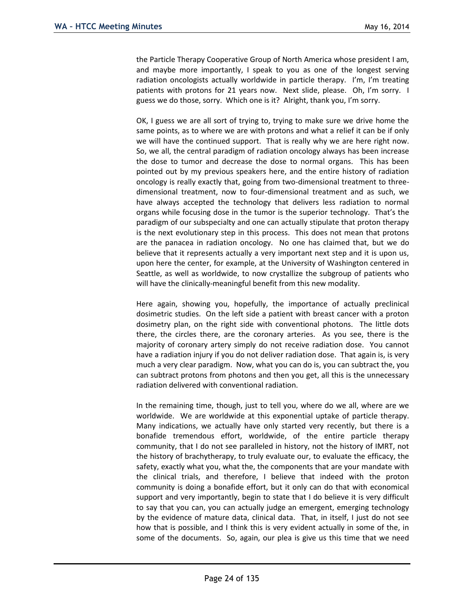the Particle Therapy Cooperative Group of North America whose president I am, and maybe more importantly, I speak to you as one of the longest serving radiation oncologists actually worldwide in particle therapy. I'm, I'm treating patients with protons for 21 years now. Next slide, please. Oh, I'm sorry. I guess we do those, sorry. Which one is it? Alright, thank you, I'm sorry.

OK, I guess we are all sort of trying to, trying to make sure we drive home the same points, as to where we are with protons and what a relief it can be if only we will have the continued support. That is really why we are here right now. So, we all, the central paradigm of radiation oncology always has been increase the dose to tumor and decrease the dose to normal organs. This has been pointed out by my previous speakers here, and the entire history of radiation oncology is really exactly that, going from two-dimensional treatment to threedimensional treatment, now to four-dimensional treatment and as such, we have always accepted the technology that delivers less radiation to normal organs while focusing dose in the tumor is the superior technology. That's the paradigm of our subspecialty and one can actually stipulate that proton therapy is the next evolutionary step in this process. This does not mean that protons are the panacea in radiation oncology. No one has claimed that, but we do believe that it represents actually a very important next step and it is upon us, upon here the center, for example, at the University of Washington centered in Seattle, as well as worldwide, to now crystallize the subgroup of patients who will have the clinically-meaningful benefit from this new modality.

Here again, showing you, hopefully, the importance of actually preclinical dosimetric studies. On the left side a patient with breast cancer with a proton dosimetry plan, on the right side with conventional photons. The little dots there, the circles there, are the coronary arteries. As you see, there is the majority of coronary artery simply do not receive radiation dose. You cannot have a radiation injury if you do not deliver radiation dose. That again is, is very much a very clear paradigm. Now, what you can do is, you can subtract the, you can subtract protons from photons and then you get, all this is the unnecessary radiation delivered with conventional radiation.

In the remaining time, though, just to tell you, where do we all, where are we worldwide. We are worldwide at this exponential uptake of particle therapy. Many indications, we actually have only started very recently, but there is a bonafide tremendous effort, worldwide, of the entire particle therapy community, that I do not see paralleled in history, not the history of IMRT, not the history of brachytherapy, to truly evaluate our, to evaluate the efficacy, the safety, exactly what you, what the, the components that are your mandate with the clinical trials, and therefore, I believe that indeed with the proton community is doing a bonafide effort, but it only can do that with economical support and very importantly, begin to state that I do believe it is very difficult to say that you can, you can actually judge an emergent, emerging technology by the evidence of mature data, clinical data. That, in itself, I just do not see how that is possible, and I think this is very evident actually in some of the, in some of the documents. So, again, our plea is give us this time that we need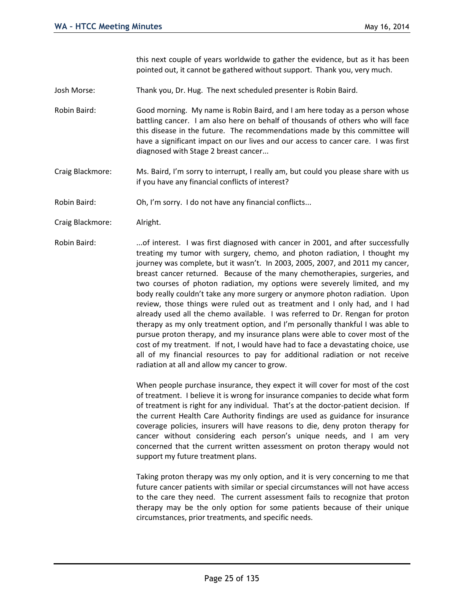this next couple of years worldwide to gather the evidence, but as it has been pointed out, it cannot be gathered without support. Thank you, very much.

- Josh Morse: Thank you, Dr. Hug. The next scheduled presenter is Robin Baird.
- Robin Baird: Good morning. My name is Robin Baird, and I am here today as a person whose battling cancer. I am also here on behalf of thousands of others who will face this disease in the future. The recommendations made by this committee will have a significant impact on our lives and our access to cancer care. I was first diagnosed with Stage 2 breast cancer...
- Craig Blackmore: Ms. Baird, I'm sorry to interrupt, I really am, but could you please share with us if you have any financial conflicts of interest?
- Robin Baird: Oh, I'm sorry. I do not have any financial conflicts...
- Craig Blackmore: Alright.
- Robin Baird: ...of interest. I was first diagnosed with cancer in 2001, and after successfully treating my tumor with surgery, chemo, and photon radiation, I thought my journey was complete, but it wasn't. In 2003, 2005, 2007, and 2011 my cancer, breast cancer returned. Because of the many chemotherapies, surgeries, and two courses of photon radiation, my options were severely limited, and my body really couldn't take any more surgery or anymore photon radiation. Upon review, those things were ruled out as treatment and I only had, and I had already used all the chemo available. I was referred to Dr. Rengan for proton therapy as my only treatment option, and I'm personally thankful I was able to pursue proton therapy, and my insurance plans were able to cover most of the cost of my treatment. If not, I would have had to face a devastating choice, use all of my financial resources to pay for additional radiation or not receive radiation at all and allow my cancer to grow.

When people purchase insurance, they expect it will cover for most of the cost of treatment. I believe it is wrong for insurance companies to decide what form of treatment is right for any individual. That's at the doctor-patient decision. If the current Health Care Authority findings are used as guidance for insurance coverage policies, insurers will have reasons to die, deny proton therapy for cancer without considering each person's unique needs, and I am very concerned that the current written assessment on proton therapy would not support my future treatment plans.

Taking proton therapy was my only option, and it is very concerning to me that future cancer patients with similar or special circumstances will not have access to the care they need. The current assessment fails to recognize that proton therapy may be the only option for some patients because of their unique circumstances, prior treatments, and specific needs.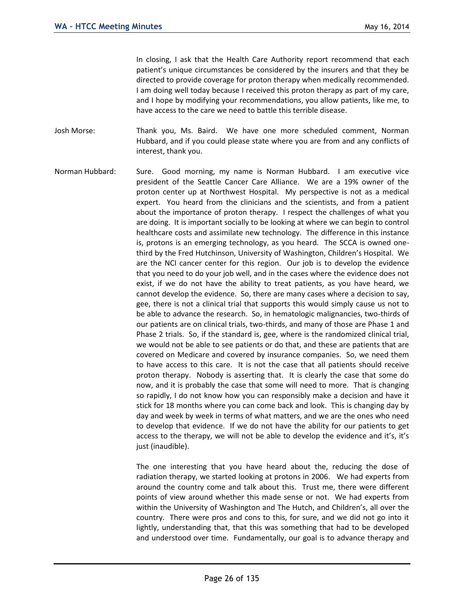In closing, I ask that the Health Care Authority report recommend that each patient's unique circumstances be considered by the insurers and that they be directed to provide coverage for proton therapy when medically recommended. I am doing well today because I received this proton therapy as part of my care, and I hope by modifying your recommendations, you allow patients, like me, to have access to the care we need to battle this terrible disease.

Josh Morse: Thank you, Ms. Baird. We have one more scheduled comment, Norman Hubbard, and if you could please state where you are from and any conflicts of interest, thank you.

Norman Hubbard: Sure. Good morning, my name is Norman Hubbard. I am executive vice president of the Seattle Cancer Care Alliance. We are a 19% owner of the proton center up at Northwest Hospital. My perspective is not as a medical expert. You heard from the clinicians and the scientists, and from a patient about the importance of proton therapy. I respect the challenges of what you are doing. It is important socially to be looking at where we can begin to control healthcare costs and assimilate new technology. The difference in this instance is, protons is an emerging technology, as you heard. The SCCA is owned onethird by the Fred Hutchinson, University of Washington, Children's Hospital. We are the NCI cancer center for this region. Our job is to develop the evidence that you need to do your job well, and in the cases where the evidence does not exist, if we do not have the ability to treat patients, as you have heard, we cannot develop the evidence. So, there are many cases where a decision to say, gee, there is not a clinical trial that supports this would simply cause us not to be able to advance the research. So, in hematologic malignancies, two-thirds of our patients are on clinical trials, two-thirds, and many of those are Phase 1 and Phase 2 trials. So, if the standard is, gee, where is the randomized clinical trial, we would not be able to see patients or do that, and these are patients that are covered on Medicare and covered by insurance companies. So, we need them to have access to this care. It is not the case that all patients should receive proton therapy. Nobody is asserting that. It is clearly the case that some do now, and it is probably the case that some will need to more. That is changing so rapidly, I do not know how you can responsibly make a decision and have it stick for 18 months where you can come back and look. This is changing day by day and week by week in terms of what matters, and we are the ones who need to develop that evidence. If we do not have the ability for our patients to get access to the therapy, we will not be able to develop the evidence and it's, it's just (inaudible).

> The one interesting that you have heard about the, reducing the dose of radiation therapy, we started looking at protons in 2006. We had experts from around the country come and talk about this. Trust me, there were different points of view around whether this made sense or not. We had experts from within the University of Washington and The Hutch, and Children's, all over the country. There were pros and cons to this, for sure, and we did not go into it lightly, understanding that, that this was something that had to be developed and understood over time. Fundamentally, our goal is to advance therapy and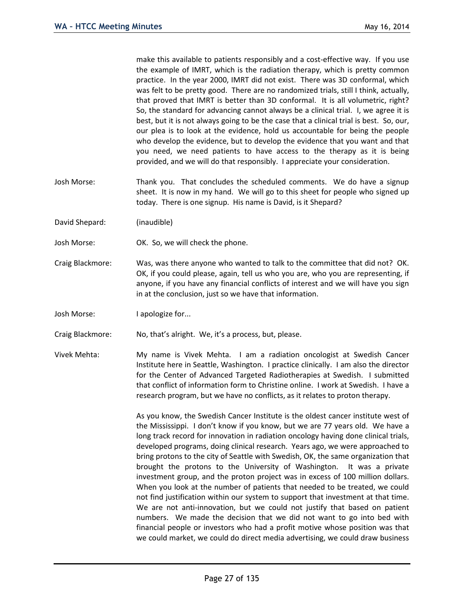make this available to patients responsibly and a cost-effective way. If you use the example of IMRT, which is the radiation therapy, which is pretty common practice. In the year 2000, IMRT did not exist. There was 3D conformal, which was felt to be pretty good. There are no randomized trials, still I think, actually, that proved that IMRT is better than 3D conformal. It is all volumetric, right? So, the standard for advancing cannot always be a clinical trial. I, we agree it is best, but it is not always going to be the case that a clinical trial is best. So, our, our plea is to look at the evidence, hold us accountable for being the people who develop the evidence, but to develop the evidence that you want and that you need, we need patients to have access to the therapy as it is being provided, and we will do that responsibly. I appreciate your consideration.

- Josh Morse: Thank you. That concludes the scheduled comments. We do have a signup sheet. It is now in my hand. We will go to this sheet for people who signed up today. There is one signup. His name is David, is it Shepard?
- David Shepard: (inaudible)
- Josh Morse: OK. So, we will check the phone.
- Craig Blackmore: Was, was there anyone who wanted to talk to the committee that did not? OK. OK, if you could please, again, tell us who you are, who you are representing, if anyone, if you have any financial conflicts of interest and we will have you sign in at the conclusion, just so we have that information.
- Josh Morse: I apologize for...
- Craig Blackmore: No, that's alright. We, it's a process, but, please.
- Vivek Mehta: My name is Vivek Mehta. I am a radiation oncologist at Swedish Cancer Institute here in Seattle, Washington. I practice clinically. I am also the director for the Center of Advanced Targeted Radiotherapies at Swedish. I submitted that conflict of information form to Christine online. I work at Swedish. I have a research program, but we have no conflicts, as it relates to proton therapy.

As you know, the Swedish Cancer Institute is the oldest cancer institute west of the Mississippi. I don't know if you know, but we are 77 years old. We have a long track record for innovation in radiation oncology having done clinical trials, developed programs, doing clinical research. Years ago, we were approached to bring protons to the city of Seattle with Swedish, OK, the same organization that brought the protons to the University of Washington. It was a private investment group, and the proton project was in excess of 100 million dollars. When you look at the number of patients that needed to be treated, we could not find justification within our system to support that investment at that time. We are not anti-innovation, but we could not justify that based on patient numbers. We made the decision that we did not want to go into bed with financial people or investors who had a profit motive whose position was that we could market, we could do direct media advertising, we could draw business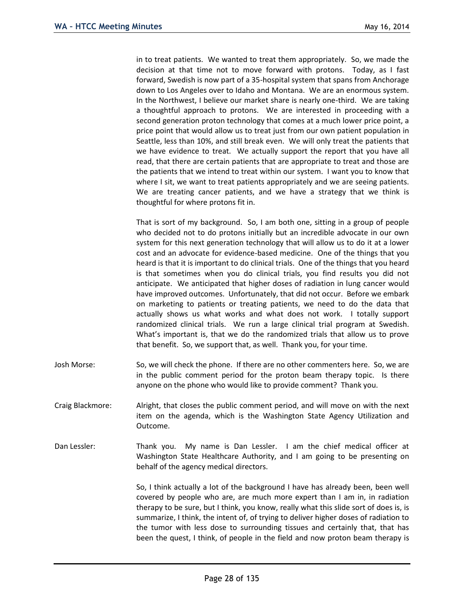in to treat patients. We wanted to treat them appropriately. So, we made the decision at that time not to move forward with protons. Today, as I fast forward, Swedish is now part of a 35-hospital system that spans from Anchorage down to Los Angeles over to Idaho and Montana. We are an enormous system. In the Northwest, I believe our market share is nearly one-third. We are taking a thoughtful approach to protons. We are interested in proceeding with a second generation proton technology that comes at a much lower price point, a price point that would allow us to treat just from our own patient population in Seattle, less than 10%, and still break even. We will only treat the patients that we have evidence to treat. We actually support the report that you have all read, that there are certain patients that are appropriate to treat and those are the patients that we intend to treat within our system. I want you to know that where I sit, we want to treat patients appropriately and we are seeing patients. We are treating cancer patients, and we have a strategy that we think is thoughtful for where protons fit in.

That is sort of my background. So, I am both one, sitting in a group of people who decided not to do protons initially but an incredible advocate in our own system for this next generation technology that will allow us to do it at a lower cost and an advocate for evidence-based medicine. One of the things that you heard is that it is important to do clinical trials. One of the things that you heard is that sometimes when you do clinical trials, you find results you did not anticipate. We anticipated that higher doses of radiation in lung cancer would have improved outcomes. Unfortunately, that did not occur. Before we embark on marketing to patients or treating patients, we need to do the data that actually shows us what works and what does not work. I totally support randomized clinical trials. We run a large clinical trial program at Swedish. What's important is, that we do the randomized trials that allow us to prove that benefit. So, we support that, as well. Thank you, for your time.

- Josh Morse: So, we will check the phone. If there are no other commenters here. So, we are in the public comment period for the proton beam therapy topic. Is there anyone on the phone who would like to provide comment? Thank you.
- Craig Blackmore: Alright, that closes the public comment period, and will move on with the next item on the agenda, which is the Washington State Agency Utilization and Outcome.
- Dan Lessler: Thank you. My name is Dan Lessler. I am the chief medical officer at Washington State Healthcare Authority, and I am going to be presenting on behalf of the agency medical directors.

So, I think actually a lot of the background I have has already been, been well covered by people who are, are much more expert than I am in, in radiation therapy to be sure, but I think, you know, really what this slide sort of does is, is summarize, I think, the intent of, of trying to deliver higher doses of radiation to the tumor with less dose to surrounding tissues and certainly that, that has been the quest, I think, of people in the field and now proton beam therapy is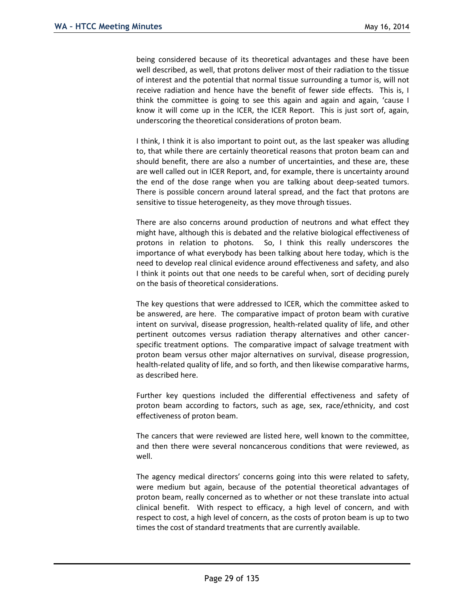being considered because of its theoretical advantages and these have been well described, as well, that protons deliver most of their radiation to the tissue of interest and the potential that normal tissue surrounding a tumor is, will not receive radiation and hence have the benefit of fewer side effects. This is, I think the committee is going to see this again and again and again, 'cause I know it will come up in the ICER, the ICER Report. This is just sort of, again, underscoring the theoretical considerations of proton beam.

I think, I think it is also important to point out, as the last speaker was alluding to, that while there are certainly theoretical reasons that proton beam can and should benefit, there are also a number of uncertainties, and these are, these are well called out in ICER Report, and, for example, there is uncertainty around the end of the dose range when you are talking about deep-seated tumors. There is possible concern around lateral spread, and the fact that protons are sensitive to tissue heterogeneity, as they move through tissues.

There are also concerns around production of neutrons and what effect they might have, although this is debated and the relative biological effectiveness of protons in relation to photons. So, I think this really underscores the importance of what everybody has been talking about here today, which is the need to develop real clinical evidence around effectiveness and safety, and also I think it points out that one needs to be careful when, sort of deciding purely on the basis of theoretical considerations.

The key questions that were addressed to ICER, which the committee asked to be answered, are here. The comparative impact of proton beam with curative intent on survival, disease progression, health-related quality of life, and other pertinent outcomes versus radiation therapy alternatives and other cancerspecific treatment options. The comparative impact of salvage treatment with proton beam versus other major alternatives on survival, disease progression, health-related quality of life, and so forth, and then likewise comparative harms, as described here.

Further key questions included the differential effectiveness and safety of proton beam according to factors, such as age, sex, race/ethnicity, and cost effectiveness of proton beam.

The cancers that were reviewed are listed here, well known to the committee, and then there were several noncancerous conditions that were reviewed, as well.

The agency medical directors' concerns going into this were related to safety, were medium but again, because of the potential theoretical advantages of proton beam, really concerned as to whether or not these translate into actual clinical benefit. With respect to efficacy, a high level of concern, and with respect to cost, a high level of concern, as the costs of proton beam is up to two times the cost of standard treatments that are currently available.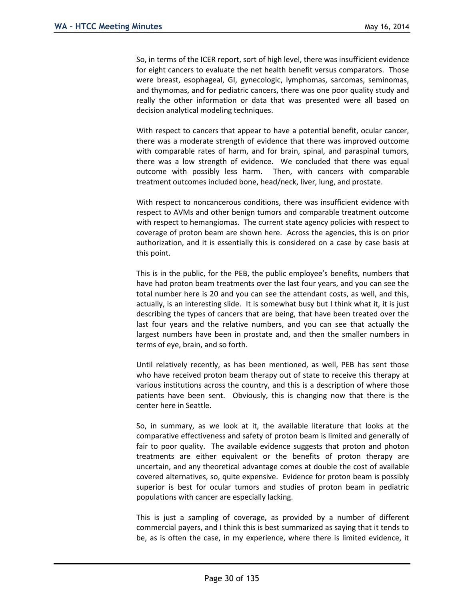So, in terms of the ICER report, sort of high level, there was insufficient evidence for eight cancers to evaluate the net health benefit versus comparators. Those were breast, esophageal, GI, gynecologic, lymphomas, sarcomas, seminomas, and thymomas, and for pediatric cancers, there was one poor quality study and really the other information or data that was presented were all based on decision analytical modeling techniques.

With respect to cancers that appear to have a potential benefit, ocular cancer, there was a moderate strength of evidence that there was improved outcome with comparable rates of harm, and for brain, spinal, and paraspinal tumors, there was a low strength of evidence. We concluded that there was equal outcome with possibly less harm. Then, with cancers with comparable treatment outcomes included bone, head/neck, liver, lung, and prostate.

With respect to noncancerous conditions, there was insufficient evidence with respect to AVMs and other benign tumors and comparable treatment outcome with respect to hemangiomas. The current state agency policies with respect to coverage of proton beam are shown here. Across the agencies, this is on prior authorization, and it is essentially this is considered on a case by case basis at this point.

This is in the public, for the PEB, the public employee's benefits, numbers that have had proton beam treatments over the last four years, and you can see the total number here is 20 and you can see the attendant costs, as well, and this, actually, is an interesting slide. It is somewhat busy but I think what it, it is just describing the types of cancers that are being, that have been treated over the last four years and the relative numbers, and you can see that actually the largest numbers have been in prostate and, and then the smaller numbers in terms of eye, brain, and so forth.

Until relatively recently, as has been mentioned, as well, PEB has sent those who have received proton beam therapy out of state to receive this therapy at various institutions across the country, and this is a description of where those patients have been sent. Obviously, this is changing now that there is the center here in Seattle.

So, in summary, as we look at it, the available literature that looks at the comparative effectiveness and safety of proton beam is limited and generally of fair to poor quality. The available evidence suggests that proton and photon treatments are either equivalent or the benefits of proton therapy are uncertain, and any theoretical advantage comes at double the cost of available covered alternatives, so, quite expensive. Evidence for proton beam is possibly superior is best for ocular tumors and studies of proton beam in pediatric populations with cancer are especially lacking.

This is just a sampling of coverage, as provided by a number of different commercial payers, and I think this is best summarized as saying that it tends to be, as is often the case, in my experience, where there is limited evidence, it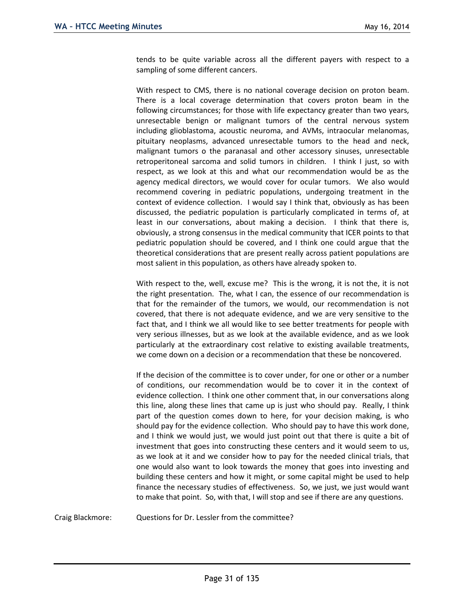tends to be quite variable across all the different payers with respect to a sampling of some different cancers.

With respect to CMS, there is no national coverage decision on proton beam. There is a local coverage determination that covers proton beam in the following circumstances; for those with life expectancy greater than two years, unresectable benign or malignant tumors of the central nervous system including glioblastoma, acoustic neuroma, and AVMs, intraocular melanomas, pituitary neoplasms, advanced unresectable tumors to the head and neck, malignant tumors o the paranasal and other accessory sinuses, unresectable retroperitoneal sarcoma and solid tumors in children. I think I just, so with respect, as we look at this and what our recommendation would be as the agency medical directors, we would cover for ocular tumors. We also would recommend covering in pediatric populations, undergoing treatment in the context of evidence collection. I would say I think that, obviously as has been discussed, the pediatric population is particularly complicated in terms of, at least in our conversations, about making a decision. I think that there is, obviously, a strong consensus in the medical community that ICER points to that pediatric population should be covered, and I think one could argue that the theoretical considerations that are present really across patient populations are most salient in this population, as others have already spoken to.

With respect to the, well, excuse me? This is the wrong, it is not the, it is not the right presentation. The, what I can, the essence of our recommendation is that for the remainder of the tumors, we would, our recommendation is not covered, that there is not adequate evidence, and we are very sensitive to the fact that, and I think we all would like to see better treatments for people with very serious illnesses, but as we look at the available evidence, and as we look particularly at the extraordinary cost relative to existing available treatments, we come down on a decision or a recommendation that these be noncovered.

If the decision of the committee is to cover under, for one or other or a number of conditions, our recommendation would be to cover it in the context of evidence collection. I think one other comment that, in our conversations along this line, along these lines that came up is just who should pay. Really, I think part of the question comes down to here, for your decision making, is who should pay for the evidence collection. Who should pay to have this work done, and I think we would just, we would just point out that there is quite a bit of investment that goes into constructing these centers and it would seem to us, as we look at it and we consider how to pay for the needed clinical trials, that one would also want to look towards the money that goes into investing and building these centers and how it might, or some capital might be used to help finance the necessary studies of effectiveness. So, we just, we just would want to make that point. So, with that, I will stop and see if there are any questions.

Craig Blackmore: Questions for Dr. Lessler from the committee?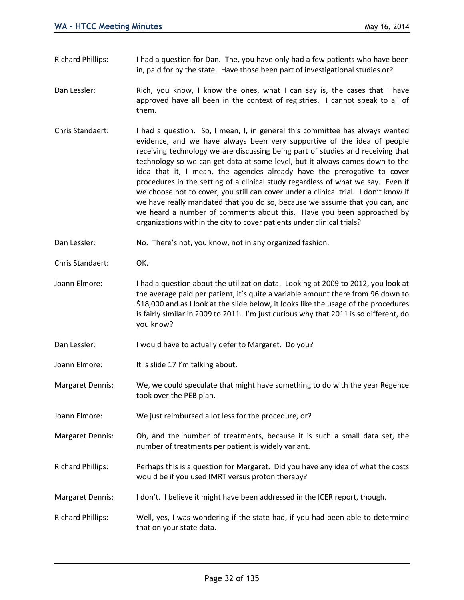- Richard Phillips: I had a question for Dan. The, you have only had a few patients who have been in, paid for by the state. Have those been part of investigational studies or?
- Dan Lessler: Rich, you know, I know the ones, what I can say is, the cases that I have approved have all been in the context of registries. I cannot speak to all of them.
- Chris Standaert: I had a question. So, I mean, I, in general this committee has always wanted evidence, and we have always been very supportive of the idea of people receiving technology we are discussing being part of studies and receiving that technology so we can get data at some level, but it always comes down to the idea that it, I mean, the agencies already have the prerogative to cover procedures in the setting of a clinical study regardless of what we say. Even if we choose not to cover, you still can cover under a clinical trial. I don't know if we have really mandated that you do so, because we assume that you can, and we heard a number of comments about this. Have you been approached by organizations within the city to cover patients under clinical trials?
- Dan Lessler: No. There's not, you know, not in any organized fashion.
- Chris Standaert: OK.
- Joann Elmore: I had a question about the utilization data. Looking at 2009 to 2012, you look at the average paid per patient, it's quite a variable amount there from 96 down to \$18,000 and as I look at the slide below, it looks like the usage of the procedures is fairly similar in 2009 to 2011. I'm just curious why that 2011 is so different, do you know?
- Dan Lessler: I would have to actually defer to Margaret. Do you?
- Joann Elmore: It is slide 17 I'm talking about.
- Margaret Dennis: We, we could speculate that might have something to do with the year Regence took over the PEB plan.
- Joann Elmore: We just reimbursed a lot less for the procedure, or?
- Margaret Dennis: Oh, and the number of treatments, because it is such a small data set, the number of treatments per patient is widely variant.
- Richard Phillips: Perhaps this is a question for Margaret. Did you have any idea of what the costs would be if you used IMRT versus proton therapy?
- Margaret Dennis: I don't. I believe it might have been addressed in the ICER report, though.
- Richard Phillips: Well, yes, I was wondering if the state had, if you had been able to determine that on your state data.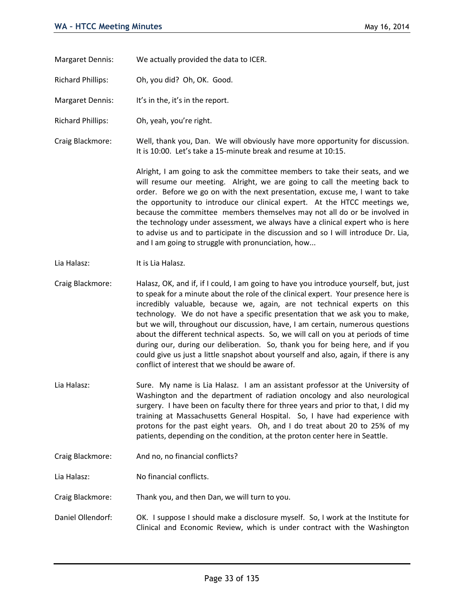- Margaret Dennis: We actually provided the data to ICER.
- Richard Phillips: Oh, you did? Oh, OK. Good.
- Margaret Dennis: It's in the, it's in the report.
- Richard Phillips: Oh, yeah, you're right.
- Craig Blackmore: Well, thank you, Dan. We will obviously have more opportunity for discussion. It is 10:00. Let's take a 15-minute break and resume at 10:15.

Alright, I am going to ask the committee members to take their seats, and we will resume our meeting. Alright, we are going to call the meeting back to order. Before we go on with the next presentation, excuse me, I want to take the opportunity to introduce our clinical expert. At the HTCC meetings we, because the committee members themselves may not all do or be involved in the technology under assessment, we always have a clinical expert who is here to advise us and to participate in the discussion and so I will introduce Dr. Lia, and I am going to struggle with pronunciation, how...

- Lia Halasz: It is Lia Halasz.
- Craig Blackmore: Halasz, OK, and if, if I could, I am going to have you introduce yourself, but, just to speak for a minute about the role of the clinical expert. Your presence here is incredibly valuable, because we, again, are not technical experts on this technology. We do not have a specific presentation that we ask you to make, but we will, throughout our discussion, have, I am certain, numerous questions about the different technical aspects. So, we will call on you at periods of time during our, during our deliberation. So, thank you for being here, and if you could give us just a little snapshot about yourself and also, again, if there is any conflict of interest that we should be aware of.
- Lia Halasz: Sure. My name is Lia Halasz. I am an assistant professor at the University of Washington and the department of radiation oncology and also neurological surgery. I have been on faculty there for three years and prior to that, I did my training at Massachusetts General Hospital. So, I have had experience with protons for the past eight years. Oh, and I do treat about 20 to 25% of my patients, depending on the condition, at the proton center here in Seattle.
- Craig Blackmore: And no, no financial conflicts?
- Lia Halasz: No financial conflicts.
- Craig Blackmore: Thank you, and then Dan, we will turn to you.
- Daniel Ollendorf: OK. I suppose I should make a disclosure myself. So, I work at the Institute for Clinical and Economic Review, which is under contract with the Washington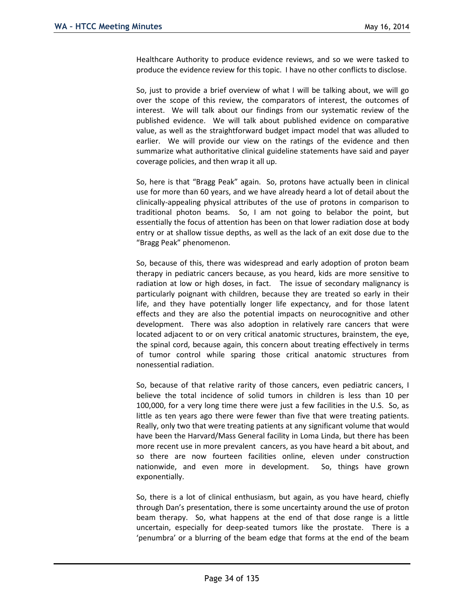Healthcare Authority to produce evidence reviews, and so we were tasked to produce the evidence review for this topic. I have no other conflicts to disclose.

So, just to provide a brief overview of what I will be talking about, we will go over the scope of this review, the comparators of interest, the outcomes of interest. We will talk about our findings from our systematic review of the published evidence. We will talk about published evidence on comparative value, as well as the straightforward budget impact model that was alluded to earlier. We will provide our view on the ratings of the evidence and then summarize what authoritative clinical guideline statements have said and payer coverage policies, and then wrap it all up.

So, here is that "Bragg Peak" again. So, protons have actually been in clinical use for more than 60 years, and we have already heard a lot of detail about the clinically-appealing physical attributes of the use of protons in comparison to traditional photon beams. So, I am not going to belabor the point, but essentially the focus of attention has been on that lower radiation dose at body entry or at shallow tissue depths, as well as the lack of an exit dose due to the "Bragg Peak" phenomenon.

So, because of this, there was widespread and early adoption of proton beam therapy in pediatric cancers because, as you heard, kids are more sensitive to radiation at low or high doses, in fact. The issue of secondary malignancy is particularly poignant with children, because they are treated so early in their life, and they have potentially longer life expectancy, and for those latent effects and they are also the potential impacts on neurocognitive and other development. There was also adoption in relatively rare cancers that were located adjacent to or on very critical anatomic structures, brainstem, the eye, the spinal cord, because again, this concern about treating effectively in terms of tumor control while sparing those critical anatomic structures from nonessential radiation.

So, because of that relative rarity of those cancers, even pediatric cancers, I believe the total incidence of solid tumors in children is less than 10 per 100,000, for a very long time there were just a few facilities in the U.S. So, as little as ten years ago there were fewer than five that were treating patients. Really, only two that were treating patients at any significant volume that would have been the Harvard/Mass General facility in Loma Linda, but there has been more recent use in more prevalent cancers, as you have heard a bit about, and so there are now fourteen facilities online, eleven under construction nationwide, and even more in development. So, things have grown exponentially.

So, there is a lot of clinical enthusiasm, but again, as you have heard, chiefly through Dan's presentation, there is some uncertainty around the use of proton beam therapy. So, what happens at the end of that dose range is a little uncertain, especially for deep-seated tumors like the prostate. There is a 'penumbra' or a blurring of the beam edge that forms at the end of the beam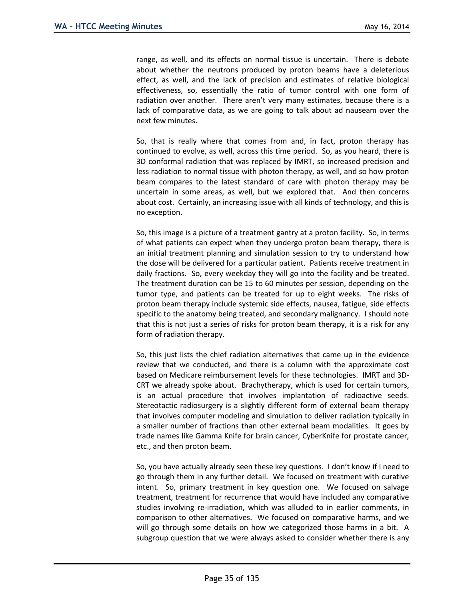range, as well, and its effects on normal tissue is uncertain. There is debate about whether the neutrons produced by proton beams have a deleterious effect, as well, and the lack of precision and estimates of relative biological effectiveness, so, essentially the ratio of tumor control with one form of radiation over another. There aren't very many estimates, because there is a lack of comparative data, as we are going to talk about ad nauseam over the next few minutes.

So, that is really where that comes from and, in fact, proton therapy has continued to evolve, as well, across this time period. So, as you heard, there is 3D conformal radiation that was replaced by IMRT, so increased precision and less radiation to normal tissue with photon therapy, as well, and so how proton beam compares to the latest standard of care with photon therapy may be uncertain in some areas, as well, but we explored that. And then concerns about cost. Certainly, an increasing issue with all kinds of technology, and this is no exception.

So, this image is a picture of a treatment gantry at a proton facility. So, in terms of what patients can expect when they undergo proton beam therapy, there is an initial treatment planning and simulation session to try to understand how the dose will be delivered for a particular patient. Patients receive treatment in daily fractions. So, every weekday they will go into the facility and be treated. The treatment duration can be 15 to 60 minutes per session, depending on the tumor type, and patients can be treated for up to eight weeks. The risks of proton beam therapy include systemic side effects, nausea, fatigue, side effects specific to the anatomy being treated, and secondary malignancy. I should note that this is not just a series of risks for proton beam therapy, it is a risk for any form of radiation therapy.

So, this just lists the chief radiation alternatives that came up in the evidence review that we conducted, and there is a column with the approximate cost based on Medicare reimbursement levels for these technologies. IMRT and 3D-CRT we already spoke about. Brachytherapy, which is used for certain tumors, is an actual procedure that involves implantation of radioactive seeds. Stereotactic radiosurgery is a slightly different form of external beam therapy that involves computer modeling and simulation to deliver radiation typically in a smaller number of fractions than other external beam modalities. It goes by trade names like Gamma Knife for brain cancer, CyberKnife for prostate cancer, etc., and then proton beam.

So, you have actually already seen these key questions. I don't know if I need to go through them in any further detail. We focused on treatment with curative intent. So, primary treatment in key question one. We focused on salvage treatment, treatment for recurrence that would have included any comparative studies involving re-irradiation, which was alluded to in earlier comments, in comparison to other alternatives. We focused on comparative harms, and we will go through some details on how we categorized those harms in a bit. A subgroup question that we were always asked to consider whether there is any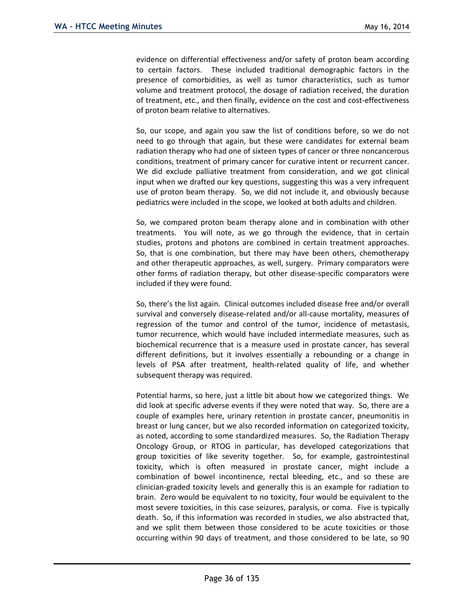evidence on differential effectiveness and/or safety of proton beam according to certain factors. These included traditional demographic factors in the presence of comorbidities, as well as tumor characteristics, such as tumor volume and treatment protocol, the dosage of radiation received, the duration of treatment, etc., and then finally, evidence on the cost and cost-effectiveness of proton beam relative to alternatives.

So, our scope, and again you saw the list of conditions before, so we do not need to go through that again, but these were candidates for external beam radiation therapy who had one of sixteen types of cancer or three noncancerous conditions, treatment of primary cancer for curative intent or recurrent cancer. We did exclude palliative treatment from consideration, and we got clinical input when we drafted our key questions, suggesting this was a very infrequent use of proton beam therapy. So, we did not include it, and obviously because pediatrics were included in the scope, we looked at both adults and children.

So, we compared proton beam therapy alone and in combination with other treatments. You will note, as we go through the evidence, that in certain studies, protons and photons are combined in certain treatment approaches. So, that is one combination, but there may have been others, chemotherapy and other therapeutic approaches, as well, surgery. Primary comparators were other forms of radiation therapy, but other disease-specific comparators were included if they were found.

So, there's the list again. Clinical outcomes included disease free and/or overall survival and conversely disease-related and/or all-cause mortality, measures of regression of the tumor and control of the tumor, incidence of metastasis, tumor recurrence, which would have included intermediate measures, such as biochemical recurrence that is a measure used in prostate cancer, has several different definitions, but it involves essentially a rebounding or a change in levels of PSA after treatment, health-related quality of life, and whether subsequent therapy was required.

Potential harms, so here, just a little bit about how we categorized things. We did look at specific adverse events if they were noted that way. So, there are a couple of examples here, urinary retention in prostate cancer, pneumonitis in breast or lung cancer, but we also recorded information on categorized toxicity, as noted, according to some standardized measures. So, the Radiation Therapy Oncology Group, or RTOG in particular, has developed categorizations that group toxicities of like severity together. So, for example, gastrointestinal toxicity, which is often measured in prostate cancer, might include a combination of bowel incontinence, rectal bleeding, etc., and so these are clinician-graded toxicity levels and generally this is an example for radiation to brain. Zero would be equivalent to no toxicity, four would be equivalent to the most severe toxicities, in this case seizures, paralysis, or coma. Five is typically death. So, if this information was recorded in studies, we also abstracted that, and we split them between those considered to be acute toxicities or those occurring within 90 days of treatment, and those considered to be late, so 90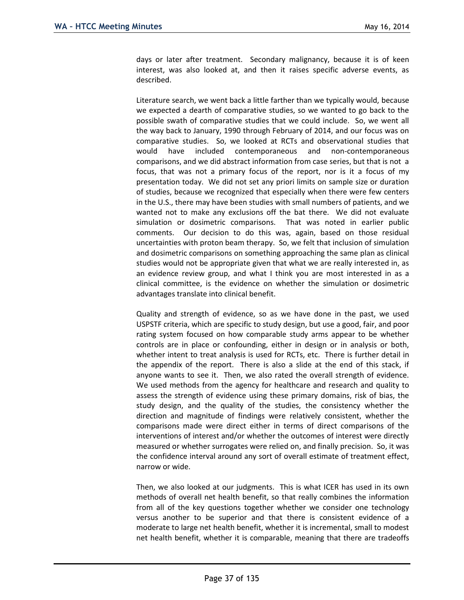days or later after treatment. Secondary malignancy, because it is of keen interest, was also looked at, and then it raises specific adverse events, as described.

Literature search, we went back a little farther than we typically would, because we expected a dearth of comparative studies, so we wanted to go back to the possible swath of comparative studies that we could include. So, we went all the way back to January, 1990 through February of 2014, and our focus was on comparative studies. So, we looked at RCTs and observational studies that would have included contemporaneous and non-contemporaneous comparisons, and we did abstract information from case series, but that is not a focus, that was not a primary focus of the report, nor is it a focus of my presentation today. We did not set any priori limits on sample size or duration of studies, because we recognized that especially when there were few centers in the U.S., there may have been studies with small numbers of patients, and we wanted not to make any exclusions off the bat there. We did not evaluate simulation or dosimetric comparisons. That was noted in earlier public comments. Our decision to do this was, again, based on those residual uncertainties with proton beam therapy. So, we felt that inclusion of simulation and dosimetric comparisons on something approaching the same plan as clinical studies would not be appropriate given that what we are really interested in, as an evidence review group, and what I think you are most interested in as a clinical committee, is the evidence on whether the simulation or dosimetric advantages translate into clinical benefit.

Quality and strength of evidence, so as we have done in the past, we used USPSTF criteria, which are specific to study design, but use a good, fair, and poor rating system focused on how comparable study arms appear to be whether controls are in place or confounding, either in design or in analysis or both, whether intent to treat analysis is used for RCTs, etc. There is further detail in the appendix of the report. There is also a slide at the end of this stack, if anyone wants to see it. Then, we also rated the overall strength of evidence. We used methods from the agency for healthcare and research and quality to assess the strength of evidence using these primary domains, risk of bias, the study design, and the quality of the studies, the consistency whether the direction and magnitude of findings were relatively consistent, whether the comparisons made were direct either in terms of direct comparisons of the interventions of interest and/or whether the outcomes of interest were directly measured or whether surrogates were relied on, and finally precision. So, it was the confidence interval around any sort of overall estimate of treatment effect, narrow or wide.

Then, we also looked at our judgments. This is what ICER has used in its own methods of overall net health benefit, so that really combines the information from all of the key questions together whether we consider one technology versus another to be superior and that there is consistent evidence of a moderate to large net health benefit, whether it is incremental, small to modest net health benefit, whether it is comparable, meaning that there are tradeoffs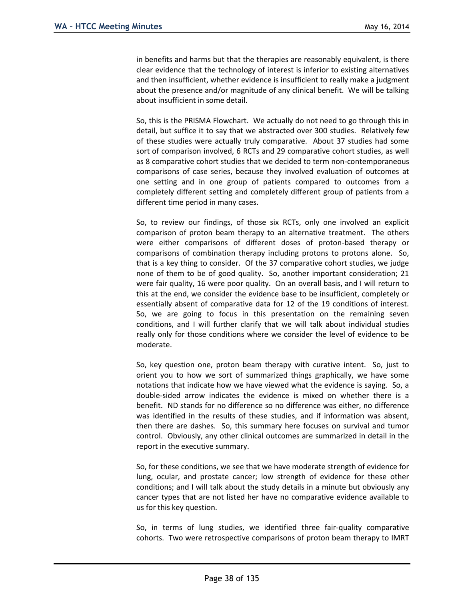in benefits and harms but that the therapies are reasonably equivalent, is there clear evidence that the technology of interest is inferior to existing alternatives and then insufficient, whether evidence is insufficient to really make a judgment about the presence and/or magnitude of any clinical benefit. We will be talking about insufficient in some detail.

So, this is the PRISMA Flowchart. We actually do not need to go through this in detail, but suffice it to say that we abstracted over 300 studies. Relatively few of these studies were actually truly comparative. About 37 studies had some sort of comparison involved, 6 RCTs and 29 comparative cohort studies, as well as 8 comparative cohort studies that we decided to term non-contemporaneous comparisons of case series, because they involved evaluation of outcomes at one setting and in one group of patients compared to outcomes from a completely different setting and completely different group of patients from a different time period in many cases.

So, to review our findings, of those six RCTs, only one involved an explicit comparison of proton beam therapy to an alternative treatment. The others were either comparisons of different doses of proton-based therapy or comparisons of combination therapy including protons to protons alone. So, that is a key thing to consider. Of the 37 comparative cohort studies, we judge none of them to be of good quality. So, another important consideration; 21 were fair quality, 16 were poor quality. On an overall basis, and I will return to this at the end, we consider the evidence base to be insufficient, completely or essentially absent of comparative data for 12 of the 19 conditions of interest. So, we are going to focus in this presentation on the remaining seven conditions, and I will further clarify that we will talk about individual studies really only for those conditions where we consider the level of evidence to be moderate.

So, key question one, proton beam therapy with curative intent. So, just to orient you to how we sort of summarized things graphically, we have some notations that indicate how we have viewed what the evidence is saying. So, a double-sided arrow indicates the evidence is mixed on whether there is a benefit. ND stands for no difference so no difference was either, no difference was identified in the results of these studies, and if information was absent, then there are dashes. So, this summary here focuses on survival and tumor control. Obviously, any other clinical outcomes are summarized in detail in the report in the executive summary.

So, for these conditions, we see that we have moderate strength of evidence for lung, ocular, and prostate cancer; low strength of evidence for these other conditions; and I will talk about the study details in a minute but obviously any cancer types that are not listed her have no comparative evidence available to us for this key question.

So, in terms of lung studies, we identified three fair-quality comparative cohorts. Two were retrospective comparisons of proton beam therapy to IMRT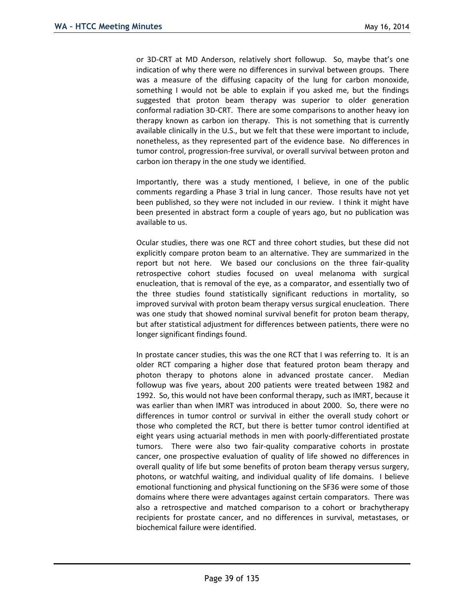or 3D-CRT at MD Anderson, relatively short followup. So, maybe that's one indication of why there were no differences in survival between groups. There was a measure of the diffusing capacity of the lung for carbon monoxide, something I would not be able to explain if you asked me, but the findings suggested that proton beam therapy was superior to older generation conformal radiation 3D-CRT. There are some comparisons to another heavy ion therapy known as carbon ion therapy. This is not something that is currently available clinically in the U.S., but we felt that these were important to include, nonetheless, as they represented part of the evidence base. No differences in tumor control, progression-free survival, or overall survival between proton and carbon ion therapy in the one study we identified.

Importantly, there was a study mentioned, I believe, in one of the public comments regarding a Phase 3 trial in lung cancer. Those results have not yet been published, so they were not included in our review. I think it might have been presented in abstract form a couple of years ago, but no publication was available to us.

Ocular studies, there was one RCT and three cohort studies, but these did not explicitly compare proton beam to an alternative. They are summarized in the report but not here. We based our conclusions on the three fair-quality retrospective cohort studies focused on uveal melanoma with surgical enucleation, that is removal of the eye, as a comparator, and essentially two of the three studies found statistically significant reductions in mortality, so improved survival with proton beam therapy versus surgical enucleation. There was one study that showed nominal survival benefit for proton beam therapy, but after statistical adjustment for differences between patients, there were no longer significant findings found.

In prostate cancer studies, this was the one RCT that I was referring to. It is an older RCT comparing a higher dose that featured proton beam therapy and photon therapy to photons alone in advanced prostate cancer. Median followup was five years, about 200 patients were treated between 1982 and 1992. So, this would not have been conformal therapy, such as IMRT, because it was earlier than when IMRT was introduced in about 2000. So, there were no differences in tumor control or survival in either the overall study cohort or those who completed the RCT, but there is better tumor control identified at eight years using actuarial methods in men with poorly-differentiated prostate tumors. There were also two fair-quality comparative cohorts in prostate cancer, one prospective evaluation of quality of life showed no differences in overall quality of life but some benefits of proton beam therapy versus surgery, photons, or watchful waiting, and individual quality of life domains. I believe emotional functioning and physical functioning on the SF36 were some of those domains where there were advantages against certain comparators. There was also a retrospective and matched comparison to a cohort or brachytherapy recipients for prostate cancer, and no differences in survival, metastases, or biochemical failure were identified.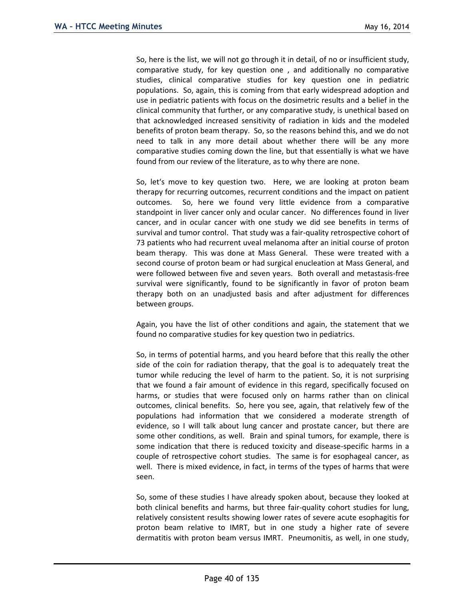So, here is the list, we will not go through it in detail, of no or insufficient study, comparative study, for key question one , and additionally no comparative studies, clinical comparative studies for key question one in pediatric populations. So, again, this is coming from that early widespread adoption and use in pediatric patients with focus on the dosimetric results and a belief in the clinical community that further, or any comparative study, is unethical based on that acknowledged increased sensitivity of radiation in kids and the modeled benefits of proton beam therapy. So, so the reasons behind this, and we do not need to talk in any more detail about whether there will be any more comparative studies coming down the line, but that essentially is what we have found from our review of the literature, as to why there are none.

So, let's move to key question two. Here, we are looking at proton beam therapy for recurring outcomes, recurrent conditions and the impact on patient outcomes. So, here we found very little evidence from a comparative standpoint in liver cancer only and ocular cancer. No differences found in liver cancer, and in ocular cancer with one study we did see benefits in terms of survival and tumor control. That study was a fair-quality retrospective cohort of 73 patients who had recurrent uveal melanoma after an initial course of proton beam therapy. This was done at Mass General. These were treated with a second course of proton beam or had surgical enucleation at Mass General, and were followed between five and seven years. Both overall and metastasis-free survival were significantly, found to be significantly in favor of proton beam therapy both on an unadjusted basis and after adjustment for differences between groups.

Again, you have the list of other conditions and again, the statement that we found no comparative studies for key question two in pediatrics.

So, in terms of potential harms, and you heard before that this really the other side of the coin for radiation therapy, that the goal is to adequately treat the tumor while reducing the level of harm to the patient. So, it is not surprising that we found a fair amount of evidence in this regard, specifically focused on harms, or studies that were focused only on harms rather than on clinical outcomes, clinical benefits. So, here you see, again, that relatively few of the populations had information that we considered a moderate strength of evidence, so I will talk about lung cancer and prostate cancer, but there are some other conditions, as well. Brain and spinal tumors, for example, there is some indication that there is reduced toxicity and disease-specific harms in a couple of retrospective cohort studies. The same is for esophageal cancer, as well. There is mixed evidence, in fact, in terms of the types of harms that were seen.

So, some of these studies I have already spoken about, because they looked at both clinical benefits and harms, but three fair-quality cohort studies for lung, relatively consistent results showing lower rates of severe acute esophagitis for proton beam relative to IMRT, but in one study a higher rate of severe dermatitis with proton beam versus IMRT. Pneumonitis, as well, in one study,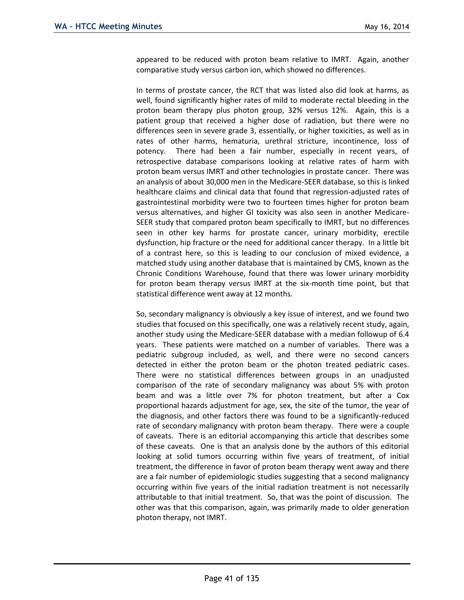appeared to be reduced with proton beam relative to IMRT. Again, another comparative study versus carbon ion, which showed no differences.

In terms of prostate cancer, the RCT that was listed also did look at harms, as well, found significantly higher rates of mild to moderate rectal bleeding in the proton beam therapy plus photon group, 32% versus 12%. Again, this is a patient group that received a higher dose of radiation, but there were no differences seen in severe grade 3, essentially, or higher toxicities, as well as in rates of other harms, hematuria, urethral stricture, incontinence, loss of potency. There had been a fair number, especially in recent years, of retrospective database comparisons looking at relative rates of harm with proton beam versus IMRT and other technologies in prostate cancer. There was an analysis of about 30,000 men in the Medicare-SEER database, so this is linked healthcare claims and clinical data that found that regression-adjusted rates of gastrointestinal morbidity were two to fourteen times higher for proton beam versus alternatives, and higher GI toxicity was also seen in another Medicare-SEER study that compared proton beam specifically to IMRT, but no differences seen in other key harms for prostate cancer, urinary morbidity, erectile dysfunction, hip fracture or the need for additional cancer therapy. In a little bit of a contrast here, so this is leading to our conclusion of mixed evidence, a matched study using another database that is maintained by CMS, known as the Chronic Conditions Warehouse, found that there was lower urinary morbidity for proton beam therapy versus IMRT at the six-month time point, but that statistical difference went away at 12 months.

So, secondary malignancy is obviously a key issue of interest, and we found two studies that focused on this specifically, one was a relatively recent study, again, another study using the Medicare-SEER database with a median followup of 6.4 years. These patients were matched on a number of variables. There was a pediatric subgroup included, as well, and there were no second cancers detected in either the proton beam or the photon treated pediatric cases. There were no statistical differences between groups in an unadjusted comparison of the rate of secondary malignancy was about 5% with proton beam and was a little over 7% for photon treatment, but after a Cox proportional hazards adjustment for age, sex, the site of the tumor, the year of the diagnosis, and other factors there was found to be a significantly-reduced rate of secondary malignancy with proton beam therapy. There were a couple of caveats. There is an editorial accompanying this article that describes some of these caveats. One is that an analysis done by the authors of this editorial looking at solid tumors occurring within five years of treatment, of initial treatment, the difference in favor of proton beam therapy went away and there are a fair number of epidemiologic studies suggesting that a second malignancy occurring within five years of the initial radiation treatment is not necessarily attributable to that initial treatment. So, that was the point of discussion. The other was that this comparison, again, was primarily made to older generation photon therapy, not IMRT.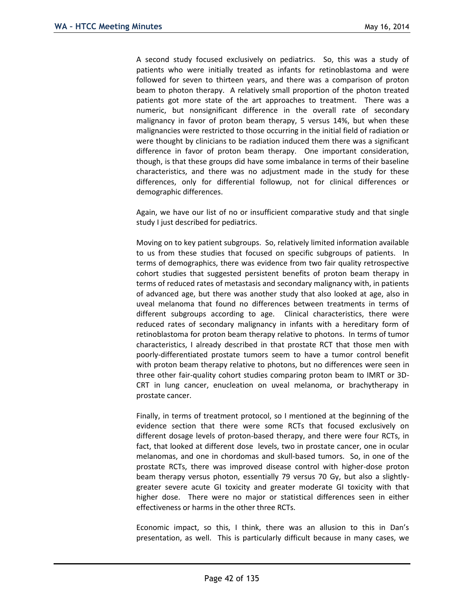A second study focused exclusively on pediatrics. So, this was a study of patients who were initially treated as infants for retinoblastoma and were followed for seven to thirteen years, and there was a comparison of proton beam to photon therapy. A relatively small proportion of the photon treated patients got more state of the art approaches to treatment. There was a numeric, but nonsignificant difference in the overall rate of secondary malignancy in favor of proton beam therapy, 5 versus 14%, but when these malignancies were restricted to those occurring in the initial field of radiation or were thought by clinicians to be radiation induced them there was a significant difference in favor of proton beam therapy. One important consideration, though, is that these groups did have some imbalance in terms of their baseline characteristics, and there was no adjustment made in the study for these differences, only for differential followup, not for clinical differences or demographic differences.

Again, we have our list of no or insufficient comparative study and that single study I just described for pediatrics.

Moving on to key patient subgroups. So, relatively limited information available to us from these studies that focused on specific subgroups of patients. In terms of demographics, there was evidence from two fair quality retrospective cohort studies that suggested persistent benefits of proton beam therapy in terms of reduced rates of metastasis and secondary malignancy with, in patients of advanced age, but there was another study that also looked at age, also in uveal melanoma that found no differences between treatments in terms of different subgroups according to age. Clinical characteristics, there were reduced rates of secondary malignancy in infants with a hereditary form of retinoblastoma for proton beam therapy relative to photons. In terms of tumor characteristics, I already described in that prostate RCT that those men with poorly-differentiated prostate tumors seem to have a tumor control benefit with proton beam therapy relative to photons, but no differences were seen in three other fair-quality cohort studies comparing proton beam to IMRT or 3D-CRT in lung cancer, enucleation on uveal melanoma, or brachytherapy in prostate cancer.

Finally, in terms of treatment protocol, so I mentioned at the beginning of the evidence section that there were some RCTs that focused exclusively on different dosage levels of proton-based therapy, and there were four RCTs, in fact, that looked at different dose levels, two in prostate cancer, one in ocular melanomas, and one in chordomas and skull-based tumors. So, in one of the prostate RCTs, there was improved disease control with higher-dose proton beam therapy versus photon, essentially 79 versus 70 Gy, but also a slightlygreater severe acute GI toxicity and greater moderate GI toxicity with that higher dose. There were no major or statistical differences seen in either effectiveness or harms in the other three RCTs.

Economic impact, so this, I think, there was an allusion to this in Dan's presentation, as well. This is particularly difficult because in many cases, we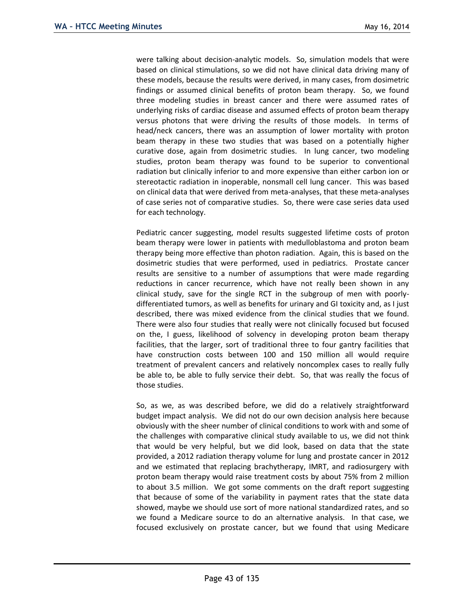were talking about decision-analytic models. So, simulation models that were based on clinical stimulations, so we did not have clinical data driving many of these models, because the results were derived, in many cases, from dosimetric findings or assumed clinical benefits of proton beam therapy. So, we found three modeling studies in breast cancer and there were assumed rates of underlying risks of cardiac disease and assumed effects of proton beam therapy versus photons that were driving the results of those models. In terms of head/neck cancers, there was an assumption of lower mortality with proton beam therapy in these two studies that was based on a potentially higher curative dose, again from dosimetric studies. In lung cancer, two modeling studies, proton beam therapy was found to be superior to conventional radiation but clinically inferior to and more expensive than either carbon ion or stereotactic radiation in inoperable, nonsmall cell lung cancer. This was based on clinical data that were derived from meta-analyses, that these meta-analyses of case series not of comparative studies. So, there were case series data used for each technology.

Pediatric cancer suggesting, model results suggested lifetime costs of proton beam therapy were lower in patients with medulloblastoma and proton beam therapy being more effective than photon radiation. Again, this is based on the dosimetric studies that were performed, used in pediatrics. Prostate cancer results are sensitive to a number of assumptions that were made regarding reductions in cancer recurrence, which have not really been shown in any clinical study, save for the single RCT in the subgroup of men with poorlydifferentiated tumors, as well as benefits for urinary and GI toxicity and, as I just described, there was mixed evidence from the clinical studies that we found. There were also four studies that really were not clinically focused but focused on the, I guess, likelihood of solvency in developing proton beam therapy facilities, that the larger, sort of traditional three to four gantry facilities that have construction costs between 100 and 150 million all would require treatment of prevalent cancers and relatively noncomplex cases to really fully be able to, be able to fully service their debt. So, that was really the focus of those studies.

So, as we, as was described before, we did do a relatively straightforward budget impact analysis. We did not do our own decision analysis here because obviously with the sheer number of clinical conditions to work with and some of the challenges with comparative clinical study available to us, we did not think that would be very helpful, but we did look, based on data that the state provided, a 2012 radiation therapy volume for lung and prostate cancer in 2012 and we estimated that replacing brachytherapy, IMRT, and radiosurgery with proton beam therapy would raise treatment costs by about 75% from 2 million to about 3.5 million. We got some comments on the draft report suggesting that because of some of the variability in payment rates that the state data showed, maybe we should use sort of more national standardized rates, and so we found a Medicare source to do an alternative analysis. In that case, we focused exclusively on prostate cancer, but we found that using Medicare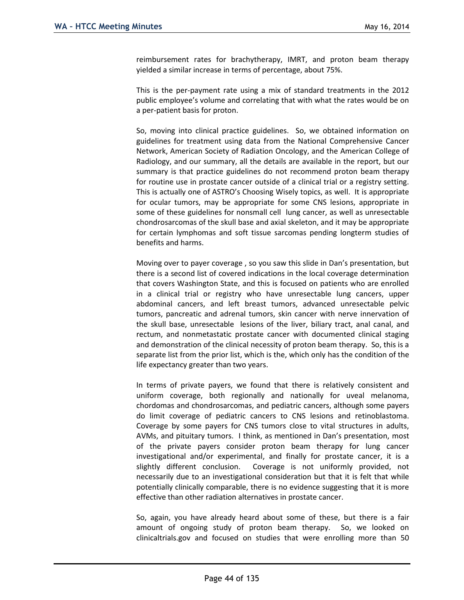reimbursement rates for brachytherapy, IMRT, and proton beam therapy yielded a similar increase in terms of percentage, about 75%.

This is the per-payment rate using a mix of standard treatments in the 2012 public employee's volume and correlating that with what the rates would be on a per-patient basis for proton.

So, moving into clinical practice guidelines. So, we obtained information on guidelines for treatment using data from the National Comprehensive Cancer Network, American Society of Radiation Oncology, and the American College of Radiology, and our summary, all the details are available in the report, but our summary is that practice guidelines do not recommend proton beam therapy for routine use in prostate cancer outside of a clinical trial or a registry setting. This is actually one of ASTRO's Choosing Wisely topics, as well. It is appropriate for ocular tumors, may be appropriate for some CNS lesions, appropriate in some of these guidelines for nonsmall cell lung cancer, as well as unresectable chondrosarcomas of the skull base and axial skeleton, and it may be appropriate for certain lymphomas and soft tissue sarcomas pending longterm studies of benefits and harms.

Moving over to payer coverage , so you saw this slide in Dan's presentation, but there is a second list of covered indications in the local coverage determination that covers Washington State, and this is focused on patients who are enrolled in a clinical trial or registry who have unresectable lung cancers, upper abdominal cancers, and left breast tumors, advanced unresectable pelvic tumors, pancreatic and adrenal tumors, skin cancer with nerve innervation of the skull base, unresectable lesions of the liver, biliary tract, anal canal, and rectum, and nonmetastatic prostate cancer with documented clinical staging and demonstration of the clinical necessity of proton beam therapy. So, this is a separate list from the prior list, which is the, which only has the condition of the life expectancy greater than two years.

In terms of private payers, we found that there is relatively consistent and uniform coverage, both regionally and nationally for uveal melanoma, chordomas and chondrosarcomas, and pediatric cancers, although some payers do limit coverage of pediatric cancers to CNS lesions and retinoblastoma. Coverage by some payers for CNS tumors close to vital structures in adults, AVMs, and pituitary tumors. I think, as mentioned in Dan's presentation, most of the private payers consider proton beam therapy for lung cancer investigational and/or experimental, and finally for prostate cancer, it is a slightly different conclusion. Coverage is not uniformly provided, not necessarily due to an investigational consideration but that it is felt that while potentially clinically comparable, there is no evidence suggesting that it is more effective than other radiation alternatives in prostate cancer.

So, again, you have already heard about some of these, but there is a fair amount of ongoing study of proton beam therapy. So, we looked on clinicaltrials.gov and focused on studies that were enrolling more than 50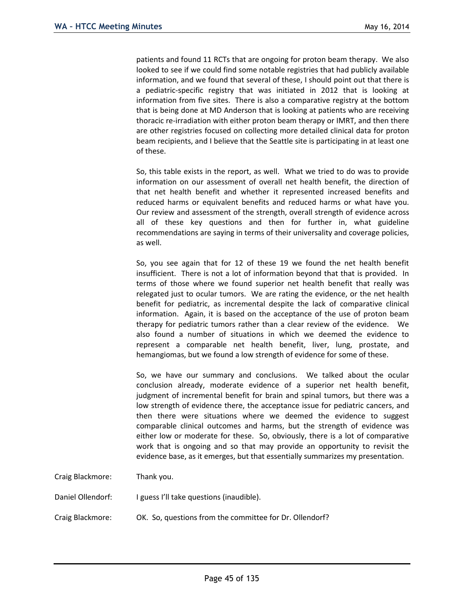patients and found 11 RCTs that are ongoing for proton beam therapy. We also looked to see if we could find some notable registries that had publicly available information, and we found that several of these, I should point out that there is a pediatric-specific registry that was initiated in 2012 that is looking at information from five sites. There is also a comparative registry at the bottom that is being done at MD Anderson that is looking at patients who are receiving thoracic re-irradiation with either proton beam therapy or IMRT, and then there are other registries focused on collecting more detailed clinical data for proton beam recipients, and I believe that the Seattle site is participating in at least one of these.

So, this table exists in the report, as well. What we tried to do was to provide information on our assessment of overall net health benefit, the direction of that net health benefit and whether it represented increased benefits and reduced harms or equivalent benefits and reduced harms or what have you. Our review and assessment of the strength, overall strength of evidence across all of these key questions and then for further in, what guideline recommendations are saying in terms of their universality and coverage policies, as well.

So, you see again that for 12 of these 19 we found the net health benefit insufficient. There is not a lot of information beyond that that is provided. In terms of those where we found superior net health benefit that really was relegated just to ocular tumors. We are rating the evidence, or the net health benefit for pediatric, as incremental despite the lack of comparative clinical information. Again, it is based on the acceptance of the use of proton beam therapy for pediatric tumors rather than a clear review of the evidence. We also found a number of situations in which we deemed the evidence to represent a comparable net health benefit, liver, lung, prostate, and hemangiomas, but we found a low strength of evidence for some of these.

So, we have our summary and conclusions. We talked about the ocular conclusion already, moderate evidence of a superior net health benefit, judgment of incremental benefit for brain and spinal tumors, but there was a low strength of evidence there, the acceptance issue for pediatric cancers, and then there were situations where we deemed the evidence to suggest comparable clinical outcomes and harms, but the strength of evidence was either low or moderate for these. So, obviously, there is a lot of comparative work that is ongoing and so that may provide an opportunity to revisit the evidence base, as it emerges, but that essentially summarizes my presentation.

Craig Blackmore: Thank you.

Daniel Ollendorf: I guess I'll take questions (inaudible).

Craig Blackmore: OK. So, questions from the committee for Dr. Ollendorf?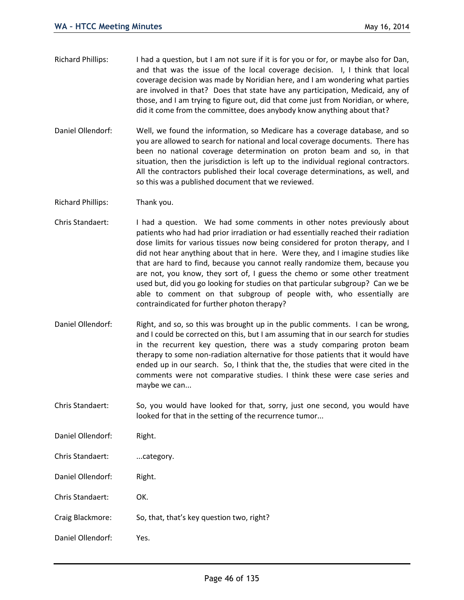- Richard Phillips: I had a question, but I am not sure if it is for you or for, or maybe also for Dan, and that was the issue of the local coverage decision. I, I think that local coverage decision was made by Noridian here, and I am wondering what parties are involved in that? Does that state have any participation, Medicaid, any of those, and I am trying to figure out, did that come just from Noridian, or where, did it come from the committee, does anybody know anything about that?
- Daniel Ollendorf: Well, we found the information, so Medicare has a coverage database, and so you are allowed to search for national and local coverage documents. There has been no national coverage determination on proton beam and so, in that situation, then the jurisdiction is left up to the individual regional contractors. All the contractors published their local coverage determinations, as well, and so this was a published document that we reviewed.
- Richard Phillips: Thank you.
- Chris Standaert: I had a question. We had some comments in other notes previously about patients who had had prior irradiation or had essentially reached their radiation dose limits for various tissues now being considered for proton therapy, and I did not hear anything about that in here. Were they, and I imagine studies like that are hard to find, because you cannot really randomize them, because you are not, you know, they sort of, I guess the chemo or some other treatment used but, did you go looking for studies on that particular subgroup? Can we be able to comment on that subgroup of people with, who essentially are contraindicated for further photon therapy?
- Daniel Ollendorf: Right, and so, so this was brought up in the public comments. I can be wrong, and I could be corrected on this, but I am assuming that in our search for studies in the recurrent key question, there was a study comparing proton beam therapy to some non-radiation alternative for those patients that it would have ended up in our search. So, I think that the, the studies that were cited in the comments were not comparative studies. I think these were case series and maybe we can...
- Chris Standaert: So, you would have looked for that, sorry, just one second, you would have looked for that in the setting of the recurrence tumor...
- Daniel Ollendorf: Right.
- Chris Standaert: ...category.
- Daniel Ollendorf: Right.
- Chris Standaert: OK.
- Craig Blackmore: So, that, that's key question two, right?
- Daniel Ollendorf: Yes.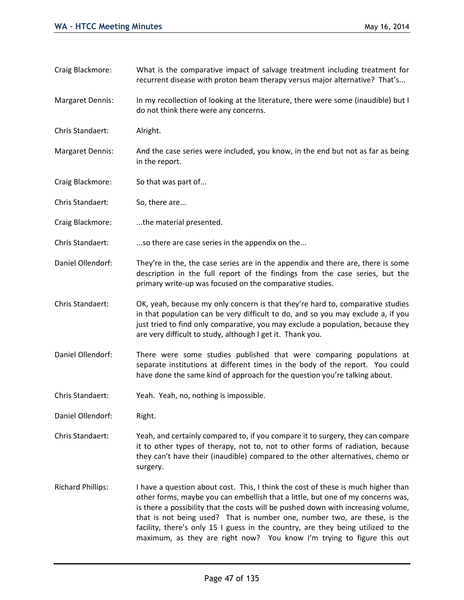recurrent disease with proton beam therapy versus major alternative? That's... Margaret Dennis: In my recollection of looking at the literature, there were some (inaudible) but I do not think there were any concerns. Chris Standaert: Alright. Margaret Dennis: And the case series were included, you know, in the end but not as far as being in the report. Craig Blackmore: So that was part of... Chris Standaert: So, there are... Craig Blackmore: ....the material presented. Chris Standaert: ...so there are case series in the appendix on the... Daniel Ollendorf: They're in the, the case series are in the appendix and there are, there is some description in the full report of the findings from the case series, but the primary write-up was focused on the comparative studies. Chris Standaert: OK, yeah, because my only concern is that they're hard to, comparative studies in that population can be very difficult to do, and so you may exclude a, if you just tried to find only comparative, you may exclude a population, because they are very difficult to study, although I get it. Thank you. Daniel Ollendorf: There were some studies published that were comparing populations at separate institutions at different times in the body of the report. You could have done the same kind of approach for the question you're talking about. Chris Standaert: Yeah. Yeah, no, nothing is impossible. Daniel Ollendorf: Right. Chris Standaert: Yeah, and certainly compared to, if you compare it to surgery, they can compare it to other types of therapy, not to, not to other forms of radiation, because they can't have their (inaudible) compared to the other alternatives, chemo or surgery. Richard Phillips: I have a question about cost. This, I think the cost of these is much higher than other forms, maybe you can embellish that a little, but one of my concerns was,

Craig Blackmore: What is the comparative impact of salvage treatment including treatment for

is there a possibility that the costs will be pushed down with increasing volume, that is not being used? That is number one, number two, are these, is the facility, there's only 15 I guess in the country, are they being utilized to the maximum, as they are right now? You know I'm trying to figure this out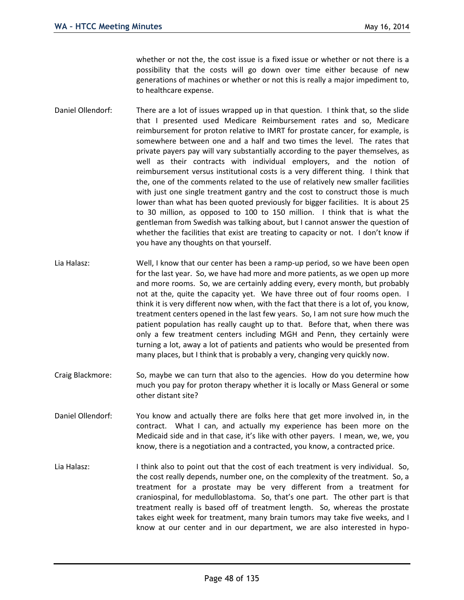whether or not the, the cost issue is a fixed issue or whether or not there is a possibility that the costs will go down over time either because of new generations of machines or whether or not this is really a major impediment to, to healthcare expense.

- Daniel Ollendorf: There are a lot of issues wrapped up in that question. I think that, so the slide that I presented used Medicare Reimbursement rates and so, Medicare reimbursement for proton relative to IMRT for prostate cancer, for example, is somewhere between one and a half and two times the level. The rates that private payers pay will vary substantially according to the payer themselves, as well as their contracts with individual employers, and the notion of reimbursement versus institutional costs is a very different thing. I think that the, one of the comments related to the use of relatively new smaller facilities with just one single treatment gantry and the cost to construct those is much lower than what has been quoted previously for bigger facilities. It is about 25 to 30 million, as opposed to 100 to 150 million. I think that is what the gentleman from Swedish was talking about, but I cannot answer the question of whether the facilities that exist are treating to capacity or not. I don't know if you have any thoughts on that yourself.
- Lia Halasz: Well, I know that our center has been a ramp-up period, so we have been open for the last year. So, we have had more and more patients, as we open up more and more rooms. So, we are certainly adding every, every month, but probably not at the, quite the capacity yet. We have three out of four rooms open. I think it is very different now when, with the fact that there is a lot of, you know, treatment centers opened in the last few years. So, I am not sure how much the patient population has really caught up to that. Before that, when there was only a few treatment centers including MGH and Penn, they certainly were turning a lot, away a lot of patients and patients who would be presented from many places, but I think that is probably a very, changing very quickly now.
- Craig Blackmore: So, maybe we can turn that also to the agencies. How do you determine how much you pay for proton therapy whether it is locally or Mass General or some other distant site?
- Daniel Ollendorf: You know and actually there are folks here that get more involved in, in the contract. What I can, and actually my experience has been more on the Medicaid side and in that case, it's like with other payers. I mean, we, we, you know, there is a negotiation and a contracted, you know, a contracted price.
- Lia Halasz: I think also to point out that the cost of each treatment is very individual. So, the cost really depends, number one, on the complexity of the treatment. So, a treatment for a prostate may be very different from a treatment for craniospinal, for medulloblastoma. So, that's one part. The other part is that treatment really is based off of treatment length. So, whereas the prostate takes eight week for treatment, many brain tumors may take five weeks, and I know at our center and in our department, we are also interested in hypo-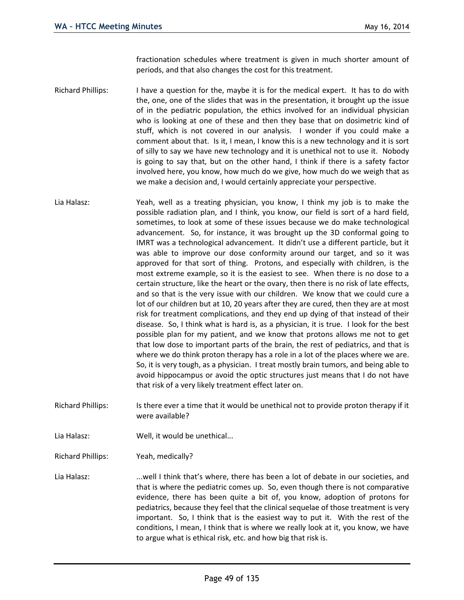fractionation schedules where treatment is given in much shorter amount of periods, and that also changes the cost for this treatment.

- Richard Phillips: I have a question for the, maybe it is for the medical expert. It has to do with the, one, one of the slides that was in the presentation, it brought up the issue of in the pediatric population, the ethics involved for an individual physician who is looking at one of these and then they base that on dosimetric kind of stuff, which is not covered in our analysis. I wonder if you could make a comment about that. Is it, I mean, I know this is a new technology and it is sort of silly to say we have new technology and it is unethical not to use it. Nobody is going to say that, but on the other hand, I think if there is a safety factor involved here, you know, how much do we give, how much do we weigh that as we make a decision and, I would certainly appreciate your perspective.
- Lia Halasz: Yeah, well as a treating physician, you know, I think my job is to make the possible radiation plan, and I think, you know, our field is sort of a hard field, sometimes, to look at some of these issues because we do make technological advancement. So, for instance, it was brought up the 3D conformal going to IMRT was a technological advancement. It didn't use a different particle, but it was able to improve our dose conformity around our target, and so it was approved for that sort of thing. Protons, and especially with children, is the most extreme example, so it is the easiest to see. When there is no dose to a certain structure, like the heart or the ovary, then there is no risk of late effects, and so that is the very issue with our children. We know that we could cure a lot of our children but at 10, 20 years after they are cured, then they are at most risk for treatment complications, and they end up dying of that instead of their disease. So, I think what is hard is, as a physician, it is true. I look for the best possible plan for my patient, and we know that protons allows me not to get that low dose to important parts of the brain, the rest of pediatrics, and that is where we do think proton therapy has a role in a lot of the places where we are. So, it is very tough, as a physician. I treat mostly brain tumors, and being able to avoid hippocampus or avoid the optic structures just means that I do not have that risk of a very likely treatment effect later on.
- Richard Phillips: Is there ever a time that it would be unethical not to provide proton therapy if it were available?
- Lia Halasz: Well, it would be unethical...
- Richard Phillips: Yeah, medically?
- Lia Halasz: ....well I think that's where, there has been a lot of debate in our societies, and that is where the pediatric comes up. So, even though there is not comparative evidence, there has been quite a bit of, you know, adoption of protons for pediatrics, because they feel that the clinical sequelae of those treatment is very important. So, I think that is the easiest way to put it. With the rest of the conditions, I mean, I think that is where we really look at it, you know, we have to argue what is ethical risk, etc. and how big that risk is.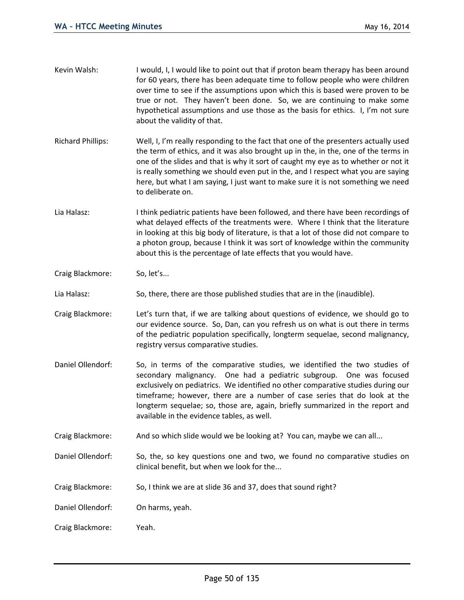|                          | over time to see if the assumptions upon which this is based were proven to be<br>true or not. They haven't been done. So, we are continuing to make some<br>hypothetical assumptions and use those as the basis for ethics. I, I'm not sure<br>about the validity of that.                                                                                                                                                                                  |
|--------------------------|--------------------------------------------------------------------------------------------------------------------------------------------------------------------------------------------------------------------------------------------------------------------------------------------------------------------------------------------------------------------------------------------------------------------------------------------------------------|
| <b>Richard Phillips:</b> | Well, I, I'm really responding to the fact that one of the presenters actually used<br>the term of ethics, and it was also brought up in the, in the, one of the terms in<br>one of the slides and that is why it sort of caught my eye as to whether or not it<br>is really something we should even put in the, and I respect what you are saying<br>here, but what I am saying, I just want to make sure it is not something we need<br>to deliberate on. |
| Lia Halasz:              | I think pediatric patients have been followed, and there have been recordings of<br>what delayed effects of the treatments were. Where I think that the literature<br>in looking at this big body of literature, is that a lot of those did not compare to<br>a photon group, because I think it was sort of knowledge within the community<br>about this is the percentage of late effects that you would have.                                             |
| Craig Blackmore:         | So, let's                                                                                                                                                                                                                                                                                                                                                                                                                                                    |
| Lia Halasz:              | So, there, there are those published studies that are in the (inaudible).                                                                                                                                                                                                                                                                                                                                                                                    |
| Craig Blackmore:         | Let's turn that, if we are talking about questions of evidence, we should go to<br>our evidence source. So, Dan, can you refresh us on what is out there in terms<br>of the pediatric population specifically, longterm sequelae, second malignancy,<br>registry versus comparative studies.                                                                                                                                                                 |
| Daniel Ollendorf:        | So, in terms of the comparative studies, we identified the two studies of<br>secondary malignancy. One had a pediatric subgroup. One was focused<br>exclusively on pediatrics. We identified no other comparative studies during our<br>timeframe; however, there are a number of case series that do look at the<br>longterm sequelae; so, those are, again, briefly summarized in the report and<br>available in the evidence tables, as well.             |
| Craig Blackmore:         | And so which slide would we be looking at? You can, maybe we can all                                                                                                                                                                                                                                                                                                                                                                                         |
| Daniel Ollendorf:        | So, the, so key questions one and two, we found no comparative studies on<br>clinical benefit, but when we look for the                                                                                                                                                                                                                                                                                                                                      |
| Craig Blackmore:         | So, I think we are at slide 36 and 37, does that sound right?                                                                                                                                                                                                                                                                                                                                                                                                |
| Daniel Ollendorf:        | On harms, yeah.                                                                                                                                                                                                                                                                                                                                                                                                                                              |
| Craig Blackmore:         | Yeah.                                                                                                                                                                                                                                                                                                                                                                                                                                                        |

Kevin Walsh: I would, I, I would like to point out that if proton beam therapy has been around

for 60 years, there has been adequate time to follow people who were children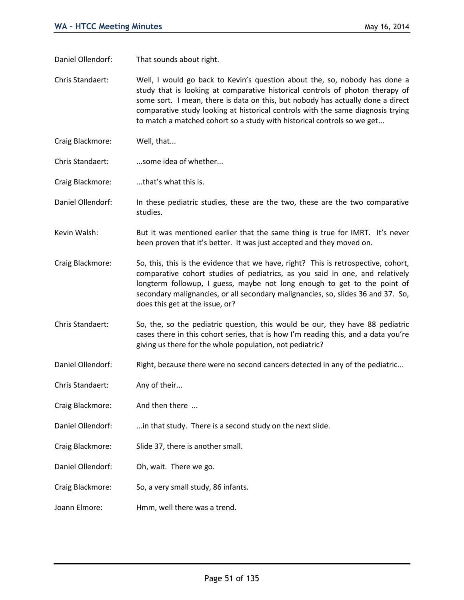Daniel Ollendorf: That sounds about right.

Chris Standaert: Well, I would go back to Kevin's question about the, so, nobody has done a study that is looking at comparative historical controls of photon therapy of some sort. I mean, there is data on this, but nobody has actually done a direct comparative study looking at historical controls with the same diagnosis trying to match a matched cohort so a study with historical controls so we get...

- Craig Blackmore: Well, that...
- Chris Standaert: ...some idea of whether...

Craig Blackmore: ...that's what this is.

Daniel Ollendorf: In these pediatric studies, these are the two, these are the two comparative studies.

Kevin Walsh: But it was mentioned earlier that the same thing is true for IMRT. It's never been proven that it's better. It was just accepted and they moved on.

Craig Blackmore: So, this, this is the evidence that we have, right? This is retrospective, cohort, comparative cohort studies of pediatrics, as you said in one, and relatively longterm followup, I guess, maybe not long enough to get to the point of secondary malignancies, or all secondary malignancies, so, slides 36 and 37. So, does this get at the issue, or?

Chris Standaert: So, the, so the pediatric question, this would be our, they have 88 pediatric cases there in this cohort series, that is how I'm reading this, and a data you're giving us there for the whole population, not pediatric?

Daniel Ollendorf: Right, because there were no second cancers detected in any of the pediatric...

Chris Standaert: Any of their...

Craig Blackmore: And then there ...

Daniel Ollendorf: ...in that study. There is a second study on the next slide.

Craig Blackmore: Slide 37, there is another small.

Daniel Ollendorf: Oh, wait. There we go.

Craig Blackmore: So, a very small study, 86 infants.

Joann Elmore: Hmm, well there was a trend.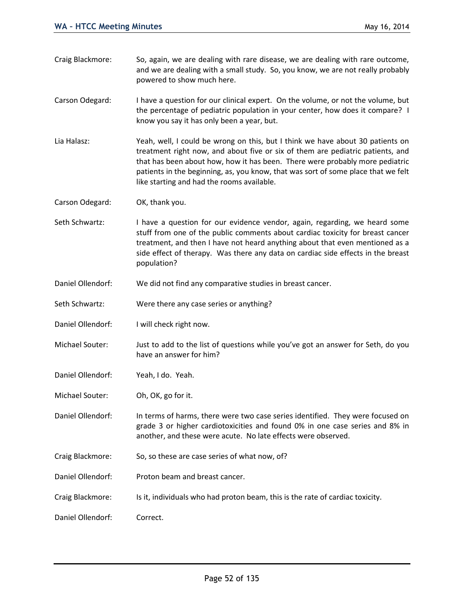- Craig Blackmore: So, again, we are dealing with rare disease, we are dealing with rare outcome, and we are dealing with a small study. So, you know, we are not really probably powered to show much here.
- Carson Odegard: I have a question for our clinical expert. On the volume, or not the volume, but the percentage of pediatric population in your center, how does it compare? I know you say it has only been a year, but.
- Lia Halasz: Yeah, well, I could be wrong on this, but I think we have about 30 patients on treatment right now, and about five or six of them are pediatric patients, and that has been about how, how it has been. There were probably more pediatric patients in the beginning, as, you know, that was sort of some place that we felt like starting and had the rooms available.
- Carson Odegard: OK, thank you.
- Seth Schwartz: I have a question for our evidence vendor, again, regarding, we heard some stuff from one of the public comments about cardiac toxicity for breast cancer treatment, and then I have not heard anything about that even mentioned as a side effect of therapy. Was there any data on cardiac side effects in the breast population?
- Daniel Ollendorf: We did not find any comparative studies in breast cancer.
- Seth Schwartz: Were there any case series or anything?
- Daniel Ollendorf: I will check right now.
- Michael Souter: Just to add to the list of questions while you've got an answer for Seth, do you have an answer for him?
- Daniel Ollendorf: Yeah, I do. Yeah.
- Michael Souter: Oh, OK, go for it.
- Daniel Ollendorf: In terms of harms, there were two case series identified. They were focused on grade 3 or higher cardiotoxicities and found 0% in one case series and 8% in another, and these were acute. No late effects were observed.
- Craig Blackmore: So, so these are case series of what now, of?
- Daniel Ollendorf: Proton beam and breast cancer.
- Craig Blackmore: Is it, individuals who had proton beam, this is the rate of cardiac toxicity.
- Daniel Ollendorf: Correct.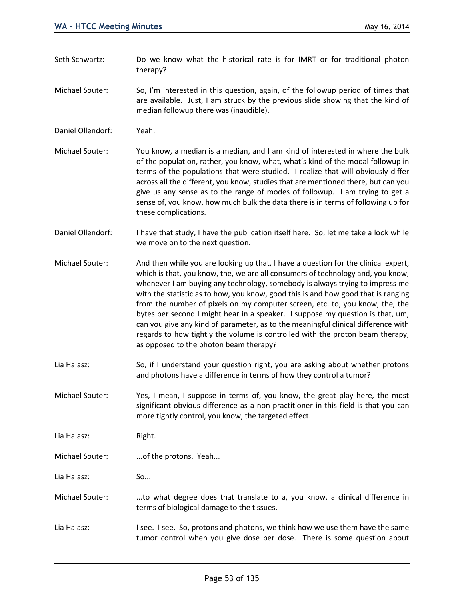- Seth Schwartz: Do we know what the historical rate is for IMRT or for traditional photon therapy?
- Michael Souter: So, I'm interested in this question, again, of the followup period of times that are available. Just, I am struck by the previous slide showing that the kind of median followup there was (inaudible).
- Daniel Ollendorf: Yeah.
- Michael Souter: You know, a median is a median, and I am kind of interested in where the bulk of the population, rather, you know, what, what's kind of the modal followup in terms of the populations that were studied. I realize that will obviously differ across all the different, you know, studies that are mentioned there, but can you give us any sense as to the range of modes of followup. I am trying to get a sense of, you know, how much bulk the data there is in terms of following up for these complications.
- Daniel Ollendorf: I have that study, I have the publication itself here. So, let me take a look while we move on to the next question.
- Michael Souter: And then while you are looking up that, I have a question for the clinical expert, which is that, you know, the, we are all consumers of technology and, you know, whenever I am buying any technology, somebody is always trying to impress me with the statistic as to how, you know, good this is and how good that is ranging from the number of pixels on my computer screen, etc. to, you know, the, the bytes per second I might hear in a speaker. I suppose my question is that, um, can you give any kind of parameter, as to the meaningful clinical difference with regards to how tightly the volume is controlled with the proton beam therapy, as opposed to the photon beam therapy?
- Lia Halasz: So, if I understand your question right, you are asking about whether protons and photons have a difference in terms of how they control a tumor?
- Michael Souter: Yes, I mean, I suppose in terms of, you know, the great play here, the most significant obvious difference as a non-practitioner in this field is that you can more tightly control, you know, the targeted effect...

Lia Halasz: Right.

Michael Souter: ...of the protons. Yeah...

Lia Halasz: So...

- Michael Souter: ...to what degree does that translate to a, you know, a clinical difference in terms of biological damage to the tissues.
- Lia Halasz: I see. I see. So, protons and photons, we think how we use them have the same tumor control when you give dose per dose. There is some question about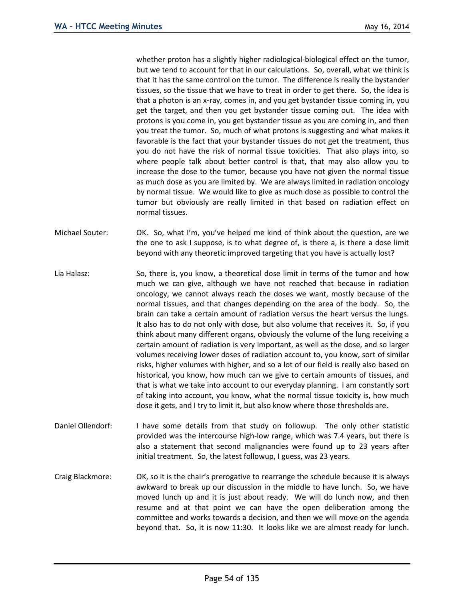whether proton has a slightly higher radiological-biological effect on the tumor, but we tend to account for that in our calculations. So, overall, what we think is that it has the same control on the tumor. The difference is really the bystander tissues, so the tissue that we have to treat in order to get there. So, the idea is that a photon is an x-ray, comes in, and you get bystander tissue coming in, you get the target, and then you get bystander tissue coming out. The idea with protons is you come in, you get bystander tissue as you are coming in, and then you treat the tumor. So, much of what protons is suggesting and what makes it favorable is the fact that your bystander tissues do not get the treatment, thus you do not have the risk of normal tissue toxicities. That also plays into, so where people talk about better control is that, that may also allow you to increase the dose to the tumor, because you have not given the normal tissue as much dose as you are limited by. We are always limited in radiation oncology by normal tissue. We would like to give as much dose as possible to control the tumor but obviously are really limited in that based on radiation effect on normal tissues.

- Michael Souter: OK. So, what I'm, you've helped me kind of think about the question, are we the one to ask I suppose, is to what degree of, is there a, is there a dose limit beyond with any theoretic improved targeting that you have is actually lost?
- Lia Halasz: So, there is, you know, a theoretical dose limit in terms of the tumor and how much we can give, although we have not reached that because in radiation oncology, we cannot always reach the doses we want, mostly because of the normal tissues, and that changes depending on the area of the body. So, the brain can take a certain amount of radiation versus the heart versus the lungs. It also has to do not only with dose, but also volume that receives it. So, if you think about many different organs, obviously the volume of the lung receiving a certain amount of radiation is very important, as well as the dose, and so larger volumes receiving lower doses of radiation account to, you know, sort of similar risks, higher volumes with higher, and so a lot of our field is really also based on historical, you know, how much can we give to certain amounts of tissues, and that is what we take into account to our everyday planning. I am constantly sort of taking into account, you know, what the normal tissue toxicity is, how much dose it gets, and I try to limit it, but also know where those thresholds are.
- Daniel Ollendorf: I have some details from that study on followup. The only other statistic provided was the intercourse high-low range, which was 7.4 years, but there is also a statement that second malignancies were found up to 23 years after initial treatment. So, the latest followup, I guess, was 23 years.
- Craig Blackmore: OK, so it is the chair's prerogative to rearrange the schedule because it is always awkward to break up our discussion in the middle to have lunch. So, we have moved lunch up and it is just about ready. We will do lunch now, and then resume and at that point we can have the open deliberation among the committee and works towards a decision, and then we will move on the agenda beyond that. So, it is now 11:30. It looks like we are almost ready for lunch.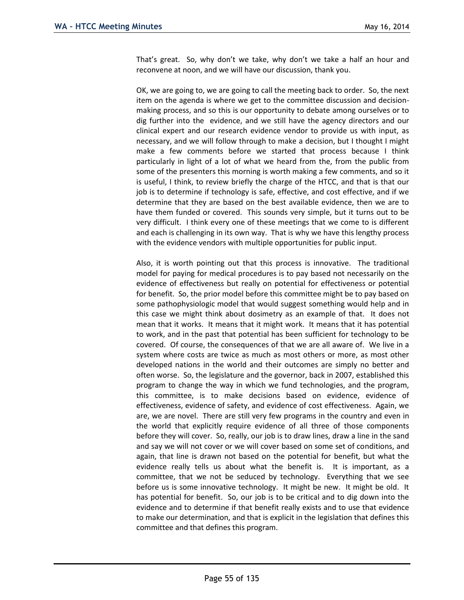That's great. So, why don't we take, why don't we take a half an hour and reconvene at noon, and we will have our discussion, thank you.

OK, we are going to, we are going to call the meeting back to order. So, the next item on the agenda is where we get to the committee discussion and decisionmaking process, and so this is our opportunity to debate among ourselves or to dig further into the evidence, and we still have the agency directors and our clinical expert and our research evidence vendor to provide us with input, as necessary, and we will follow through to make a decision, but I thought I might make a few comments before we started that process because I think particularly in light of a lot of what we heard from the, from the public from some of the presenters this morning is worth making a few comments, and so it is useful, I think, to review briefly the charge of the HTCC, and that is that our job is to determine if technology is safe, effective, and cost effective, and if we determine that they are based on the best available evidence, then we are to have them funded or covered. This sounds very simple, but it turns out to be very difficult. I think every one of these meetings that we come to is different and each is challenging in its own way. That is why we have this lengthy process with the evidence vendors with multiple opportunities for public input.

Also, it is worth pointing out that this process is innovative. The traditional model for paying for medical procedures is to pay based not necessarily on the evidence of effectiveness but really on potential for effectiveness or potential for benefit. So, the prior model before this committee might be to pay based on some pathophysiologic model that would suggest something would help and in this case we might think about dosimetry as an example of that. It does not mean that it works. It means that it might work. It means that it has potential to work, and in the past that potential has been sufficient for technology to be covered. Of course, the consequences of that we are all aware of. We live in a system where costs are twice as much as most others or more, as most other developed nations in the world and their outcomes are simply no better and often worse. So, the legislature and the governor, back in 2007, established this program to change the way in which we fund technologies, and the program, this committee, is to make decisions based on evidence, evidence of effectiveness, evidence of safety, and evidence of cost effectiveness. Again, we are, we are novel. There are still very few programs in the country and even in the world that explicitly require evidence of all three of those components before they will cover. So, really, our job is to draw lines, draw a line in the sand and say we will not cover or we will cover based on some set of conditions, and again, that line is drawn not based on the potential for benefit, but what the evidence really tells us about what the benefit is. It is important, as a committee, that we not be seduced by technology. Everything that we see before us is some innovative technology. It might be new. It might be old. It has potential for benefit. So, our job is to be critical and to dig down into the evidence and to determine if that benefit really exists and to use that evidence to make our determination, and that is explicit in the legislation that defines this committee and that defines this program.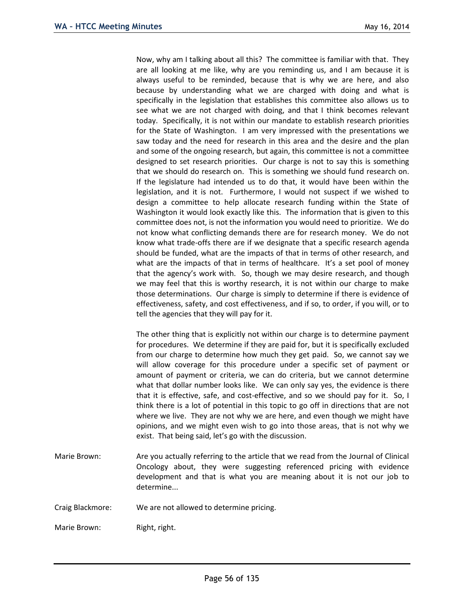Now, why am I talking about all this? The committee is familiar with that. They are all looking at me like, why are you reminding us, and I am because it is always useful to be reminded, because that is why we are here, and also because by understanding what we are charged with doing and what is specifically in the legislation that establishes this committee also allows us to see what we are not charged with doing, and that I think becomes relevant today. Specifically, it is not within our mandate to establish research priorities for the State of Washington. I am very impressed with the presentations we saw today and the need for research in this area and the desire and the plan and some of the ongoing research, but again, this committee is not a committee designed to set research priorities. Our charge is not to say this is something that we should do research on. This is something we should fund research on. If the legislature had intended us to do that, it would have been within the legislation, and it is not. Furthermore, I would not suspect if we wished to design a committee to help allocate research funding within the State of Washington it would look exactly like this. The information that is given to this committee does not, is not the information you would need to prioritize. We do not know what conflicting demands there are for research money. We do not know what trade-offs there are if we designate that a specific research agenda should be funded, what are the impacts of that in terms of other research, and what are the impacts of that in terms of healthcare. It's a set pool of money that the agency's work with. So, though we may desire research, and though we may feel that this is worthy research, it is not within our charge to make those determinations. Our charge is simply to determine if there is evidence of effectiveness, safety, and cost effectiveness, and if so, to order, if you will, or to tell the agencies that they will pay for it.

The other thing that is explicitly not within our charge is to determine payment for procedures. We determine if they are paid for, but it is specifically excluded from our charge to determine how much they get paid. So, we cannot say we will allow coverage for this procedure under a specific set of payment or amount of payment or criteria, we can do criteria, but we cannot determine what that dollar number looks like. We can only say yes, the evidence is there that it is effective, safe, and cost-effective, and so we should pay for it. So, I think there is a lot of potential in this topic to go off in directions that are not where we live. They are not why we are here, and even though we might have opinions, and we might even wish to go into those areas, that is not why we exist. That being said, let's go with the discussion.

- Marie Brown: Are you actually referring to the article that we read from the Journal of Clinical Oncology about, they were suggesting referenced pricing with evidence development and that is what you are meaning about it is not our job to determine...
- Craig Blackmore: We are not allowed to determine pricing.

Marie Brown: Right, right.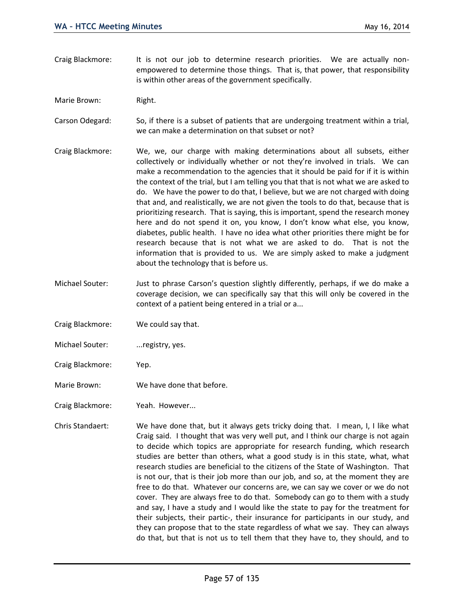Craig Blackmore: It is not our job to determine research priorities. We are actually nonempowered to determine those things. That is, that power, that responsibility is within other areas of the government specifically.

Marie Brown: Right.

Carson Odegard: So, if there is a subset of patients that are undergoing treatment within a trial, we can make a determination on that subset or not?

- Craig Blackmore: We, we, our charge with making determinations about all subsets, either collectively or individually whether or not they're involved in trials. We can make a recommendation to the agencies that it should be paid for if it is within the context of the trial, but I am telling you that that is not what we are asked to do. We have the power to do that, I believe, but we are not charged with doing that and, and realistically, we are not given the tools to do that, because that is prioritizing research. That is saying, this is important, spend the research money here and do not spend it on, you know, I don't know what else, you know, diabetes, public health. I have no idea what other priorities there might be for research because that is not what we are asked to do. That is not the information that is provided to us. We are simply asked to make a judgment about the technology that is before us.
- Michael Souter: Just to phrase Carson's question slightly differently, perhaps, if we do make a coverage decision, we can specifically say that this will only be covered in the context of a patient being entered in a trial or a...
- Craig Blackmore: We could say that.
- Michael Souter: ... registry, yes.
- Craig Blackmore: Yep.
- Marie Brown: We have done that before.
- Craig Blackmore: Yeah. However...
- Chris Standaert: We have done that, but it always gets tricky doing that. I mean, I, I like what Craig said. I thought that was very well put, and I think our charge is not again to decide which topics are appropriate for research funding, which research studies are better than others, what a good study is in this state, what, what research studies are beneficial to the citizens of the State of Washington. That is not our, that is their job more than our job, and so, at the moment they are free to do that. Whatever our concerns are, we can say we cover or we do not cover. They are always free to do that. Somebody can go to them with a study and say, I have a study and I would like the state to pay for the treatment for their subjects, their partic-, their insurance for participants in our study, and they can propose that to the state regardless of what we say. They can always do that, but that is not us to tell them that they have to, they should, and to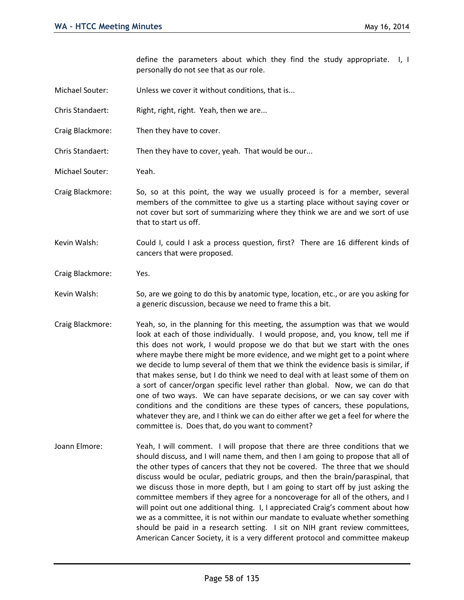define the parameters about which they find the study appropriate. I, I personally do not see that as our role.

- Michael Souter: Unless we cover it without conditions, that is...
- Chris Standaert: Right, right, right. Yeah, then we are...
- Craig Blackmore: Then they have to cover.

Chris Standaert: Then they have to cover, yeah. That would be our...

- Michael Souter: Yeah.
- Craig Blackmore: So, so at this point, the way we usually proceed is for a member, several members of the committee to give us a starting place without saying cover or not cover but sort of summarizing where they think we are and we sort of use that to start us off.
- Kevin Walsh: Could I, could I ask a process question, first? There are 16 different kinds of cancers that were proposed.
- Craig Blackmore: Yes.
- Kevin Walsh: So, are we going to do this by anatomic type, location, etc., or are you asking for a generic discussion, because we need to frame this a bit.
- Craig Blackmore: Yeah, so, in the planning for this meeting, the assumption was that we would look at each of those individually. I would propose, and, you know, tell me if this does not work, I would propose we do that but we start with the ones where maybe there might be more evidence, and we might get to a point where we decide to lump several of them that we think the evidence basis is similar, if that makes sense, but I do think we need to deal with at least some of them on a sort of cancer/organ specific level rather than global. Now, we can do that one of two ways. We can have separate decisions, or we can say cover with conditions and the conditions are these types of cancers, these populations, whatever they are, and I think we can do either after we get a feel for where the committee is. Does that, do you want to comment?
- Joann Elmore: Yeah, I will comment. I will propose that there are three conditions that we should discuss, and I will name them, and then I am going to propose that all of the other types of cancers that they not be covered. The three that we should discuss would be ocular, pediatric groups, and then the brain/paraspinal, that we discuss those in more depth, but I am going to start off by just asking the committee members if they agree for a noncoverage for all of the others, and I will point out one additional thing. I, I appreciated Craig's comment about how we as a committee, it is not within our mandate to evaluate whether something should be paid in a research setting. I sit on NIH grant review committees, American Cancer Society, it is a very different protocol and committee makeup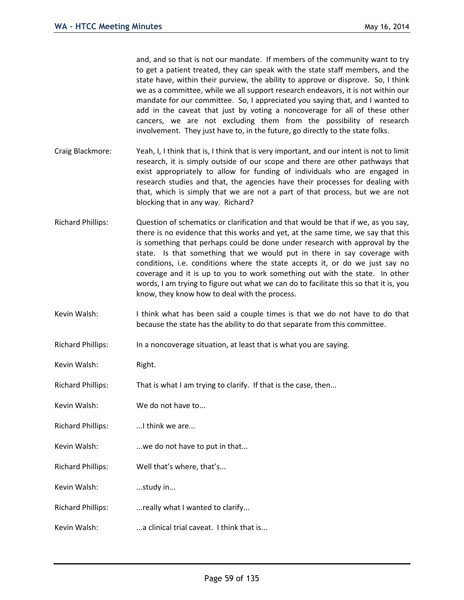and, and so that is not our mandate. If members of the community want to try to get a patient treated, they can speak with the state staff members, and the state have, within their purview, the ability to approve or disprove. So, I think we as a committee, while we all support research endeavors, it is not within our mandate for our committee. So, I appreciated you saying that, and I wanted to add in the caveat that just by voting a noncoverage for all of these other cancers, we are not excluding them from the possibility of research involvement. They just have to, in the future, go directly to the state folks.

- Craig Blackmore: Yeah, I, I think that is, I think that is very important, and our intent is not to limit research, it is simply outside of our scope and there are other pathways that exist appropriately to allow for funding of individuals who are engaged in research studies and that, the agencies have their processes for dealing with that, which is simply that we are not a part of that process, but we are not blocking that in any way. Richard?
- Richard Phillips: Question of schematics or clarification and that would be that if we, as you say, there is no evidence that this works and yet, at the same time, we say that this is something that perhaps could be done under research with approval by the state. Is that something that we would put in there in say coverage with conditions, i.e. conditions where the state accepts it, or do we just say no coverage and it is up to you to work something out with the state. In other words, I am trying to figure out what we can do to facilitate this so that it is, you know, they know how to deal with the process.
- Kevin Walsh: I think what has been said a couple times is that we do not have to do that because the state has the ability to do that separate from this committee.
- Richard Phillips: In a noncoverage situation, at least that is what you are saying.
- Kevin Walsh: Right.
- Richard Phillips: That is what I am trying to clarify. If that is the case, then...
- Kevin Walsh: We do not have to...
- Richard Phillips: ...I think we are...
- Kevin Walsh: ...we do not have to put in that...
- Richard Phillips: Well that's where, that's...
- Kevin Walsh: ...study in...
- Richard Phillips: ...really what I wanted to clarify...
- Kevin Walsh: ...a clinical trial caveat. I think that is...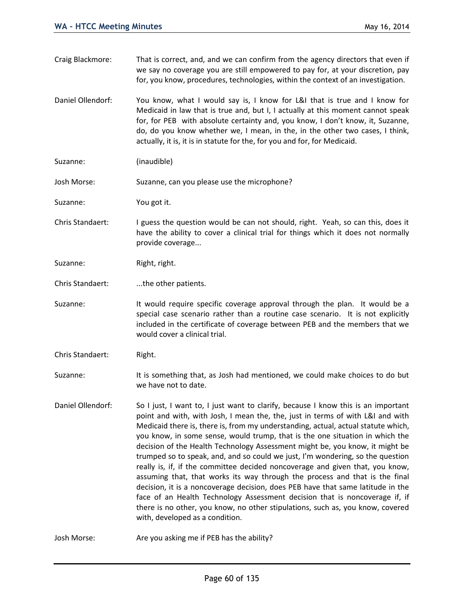- Craig Blackmore: That is correct, and, and we can confirm from the agency directors that even if we say no coverage you are still empowered to pay for, at your discretion, pay for, you know, procedures, technologies, within the context of an investigation. Daniel Ollendorf: You know, what I would say is, I know for L&I that is true and I know for Medicaid in law that is true and, but I, I actually at this moment cannot speak for, for PEB with absolute certainty and, you know, I don't know, it, Suzanne, do, do you know whether we, I mean, in the, in the other two cases, I think, actually, it is, it is in statute for the, for you and for, for Medicaid. Suzanne: (inaudible) Josh Morse: Suzanne, can you please use the microphone? Suzanne: You got it. Chris Standaert: I guess the question would be can not should, right. Yeah, so can this, does it have the ability to cover a clinical trial for things which it does not normally provide coverage... Suzanne: Right, right. Chris Standaert: ....the other patients. Suzanne: It would require specific coverage approval through the plan. It would be a
- special case scenario rather than a routine case scenario. It is not explicitly included in the certificate of coverage between PEB and the members that we would cover a clinical trial.
- Chris Standaert: Right.

Suzanne: It is something that, as Josh had mentioned, we could make choices to do but we have not to date.

Daniel Ollendorf: So I just, I want to, I just want to clarify, because I know this is an important point and with, with Josh, I mean the, the, just in terms of with L&I and with Medicaid there is, there is, from my understanding, actual, actual statute which, you know, in some sense, would trump, that is the one situation in which the decision of the Health Technology Assessment might be, you know, it might be trumped so to speak, and, and so could we just, I'm wondering, so the question really is, if, if the committee decided noncoverage and given that, you know, assuming that, that works its way through the process and that is the final decision, it is a noncoverage decision, does PEB have that same latitude in the face of an Health Technology Assessment decision that is noncoverage if, if there is no other, you know, no other stipulations, such as, you know, covered with, developed as a condition.

Josh Morse: Are you asking me if PEB has the ability?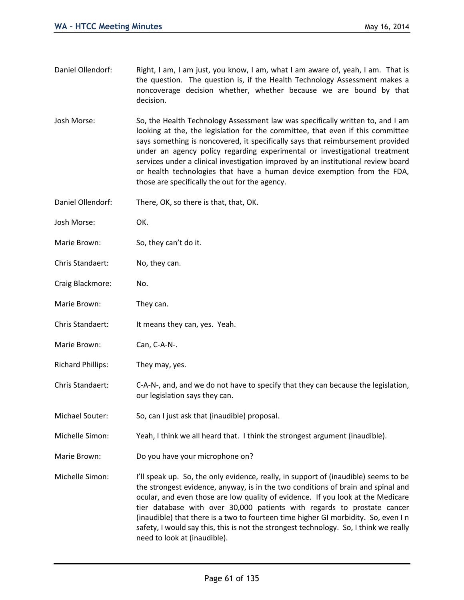- Daniel Ollendorf: Right, I am, I am just, you know, I am, what I am aware of, yeah, I am. That is the question. The question is, if the Health Technology Assessment makes a noncoverage decision whether, whether because we are bound by that decision.
- Josh Morse: So, the Health Technology Assessment law was specifically written to, and I am looking at the, the legislation for the committee, that even if this committee says something is noncovered, it specifically says that reimbursement provided under an agency policy regarding experimental or investigational treatment services under a clinical investigation improved by an institutional review board or health technologies that have a human device exemption from the FDA, those are specifically the out for the agency.
- Daniel Ollendorf: There, OK, so there is that, that, OK.
- Josh Morse: OK.
- Marie Brown: So, they can't do it.
- Chris Standaert: No, they can.
- Craig Blackmore: No.
- Marie Brown: They can.
- Chris Standaert: It means they can, yes. Yeah.
- Marie Brown: Can, C-A-N-.
- Richard Phillips: They may, yes.
- Chris Standaert: C-A-N-, and, and we do not have to specify that they can because the legislation, our legislation says they can.
- Michael Souter: So, can I just ask that (inaudible) proposal.
- Michelle Simon: Yeah, I think we all heard that. I think the strongest argument (inaudible).
- Marie Brown: Do you have your microphone on?
- Michelle Simon: I'll speak up. So, the only evidence, really, in support of (inaudible) seems to be the strongest evidence, anyway, is in the two conditions of brain and spinal and ocular, and even those are low quality of evidence. If you look at the Medicare tier database with over 30,000 patients with regards to prostate cancer (inaudible) that there is a two to fourteen time higher GI morbidity. So, even I n safety, I would say this, this is not the strongest technology. So, I think we really need to look at (inaudible).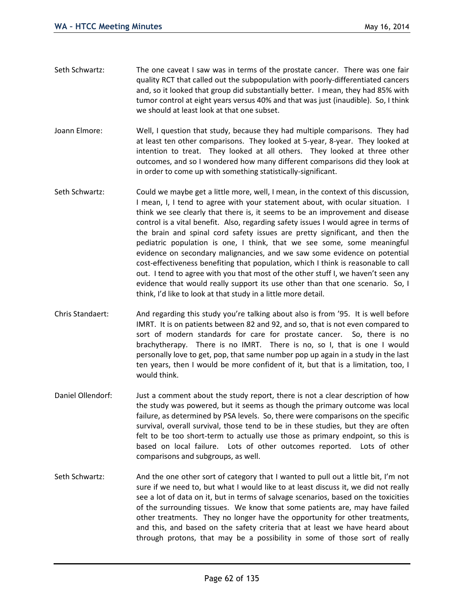- Seth Schwartz: The one caveat I saw was in terms of the prostate cancer. There was one fair quality RCT that called out the subpopulation with poorly-differentiated cancers and, so it looked that group did substantially better. I mean, they had 85% with tumor control at eight years versus 40% and that was just (inaudible). So, I think we should at least look at that one subset.
- Joann Elmore: Well, I question that study, because they had multiple comparisons. They had at least ten other comparisons. They looked at 5-year, 8-year. They looked at intention to treat. They looked at all others. They looked at three other outcomes, and so I wondered how many different comparisons did they look at in order to come up with something statistically-significant.
- Seth Schwartz: Could we maybe get a little more, well, I mean, in the context of this discussion, I mean, I, I tend to agree with your statement about, with ocular situation. I think we see clearly that there is, it seems to be an improvement and disease control is a vital benefit. Also, regarding safety issues I would agree in terms of the brain and spinal cord safety issues are pretty significant, and then the pediatric population is one, I think, that we see some, some meaningful evidence on secondary malignancies, and we saw some evidence on potential cost-effectiveness benefiting that population, which I think is reasonable to call out. I tend to agree with you that most of the other stuff I, we haven't seen any evidence that would really support its use other than that one scenario. So, I think, I'd like to look at that study in a little more detail.
- Chris Standaert: And regarding this study you're talking about also is from '95. It is well before IMRT. It is on patients between 82 and 92, and so, that is not even compared to sort of modern standards for care for prostate cancer. So, there is no brachytherapy. There is no IMRT. There is no, so I, that is one I would personally love to get, pop, that same number pop up again in a study in the last ten years, then I would be more confident of it, but that is a limitation, too, I would think.
- Daniel Ollendorf: Just a comment about the study report, there is not a clear description of how the study was powered, but it seems as though the primary outcome was local failure, as determined by PSA levels. So, there were comparisons on the specific survival, overall survival, those tend to be in these studies, but they are often felt to be too short-term to actually use those as primary endpoint, so this is based on local failure. Lots of other outcomes reported. Lots of other comparisons and subgroups, as well.
- Seth Schwartz: And the one other sort of category that I wanted to pull out a little bit, I'm not sure if we need to, but what I would like to at least discuss it, we did not really see a lot of data on it, but in terms of salvage scenarios, based on the toxicities of the surrounding tissues. We know that some patients are, may have failed other treatments. They no longer have the opportunity for other treatments, and this, and based on the safety criteria that at least we have heard about through protons, that may be a possibility in some of those sort of really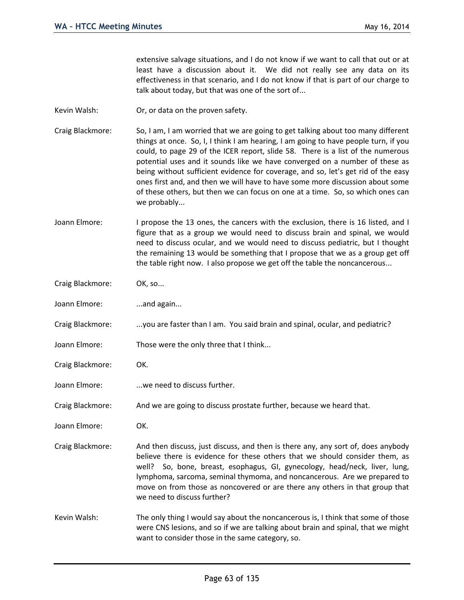extensive salvage situations, and I do not know if we want to call that out or at least have a discussion about it. We did not really see any data on its effectiveness in that scenario, and I do not know if that is part of our charge to talk about today, but that was one of the sort of...

- Kevin Walsh: Or, or data on the proven safety.
- Craig Blackmore: So, I am, I am worried that we are going to get talking about too many different things at once. So, I, I think I am hearing, I am going to have people turn, if you could, to page 29 of the ICER report, slide 58. There is a list of the numerous potential uses and it sounds like we have converged on a number of these as being without sufficient evidence for coverage, and so, let's get rid of the easy ones first and, and then we will have to have some more discussion about some of these others, but then we can focus on one at a time. So, so which ones can we probably...
- Joann Elmore: I propose the 13 ones, the cancers with the exclusion, there is 16 listed, and I figure that as a group we would need to discuss brain and spinal, we would need to discuss ocular, and we would need to discuss pediatric, but I thought the remaining 13 would be something that I propose that we as a group get off the table right now. I also propose we get off the table the noncancerous...
- Craig Blackmore: OK, so...
- Joann Elmore: ...and again...
- Craig Blackmore: ...you are faster than I am. You said brain and spinal, ocular, and pediatric?
- Joann Elmore: Those were the only three that I think...
- Craig Blackmore: OK.
- Joann Elmore: ...we need to discuss further.
- Craig Blackmore: And we are going to discuss prostate further, because we heard that.
- Joann Elmore: OK.
- Craig Blackmore: And then discuss, just discuss, and then is there any, any sort of, does anybody believe there is evidence for these others that we should consider them, as well? So, bone, breast, esophagus, GI, gynecology, head/neck, liver, lung, lymphoma, sarcoma, seminal thymoma, and noncancerous. Are we prepared to move on from those as noncovered or are there any others in that group that we need to discuss further?
- Kevin Walsh: The only thing I would say about the noncancerous is, I think that some of those were CNS lesions, and so if we are talking about brain and spinal, that we might want to consider those in the same category, so.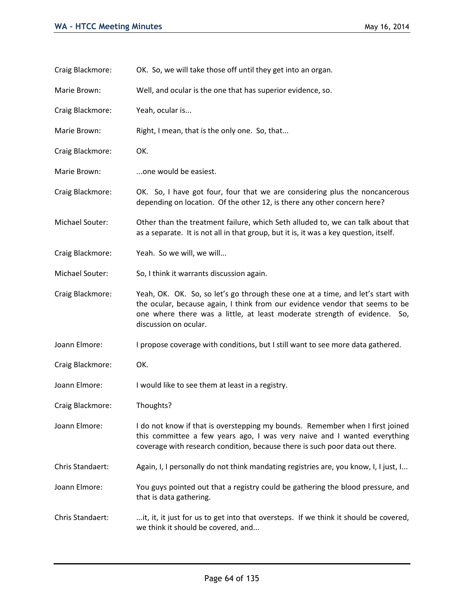| Craig Blackmore: | OK. So, we will take those off until they get into an organ.                                                                                                                                                                                                          |
|------------------|-----------------------------------------------------------------------------------------------------------------------------------------------------------------------------------------------------------------------------------------------------------------------|
| Marie Brown:     | Well, and ocular is the one that has superior evidence, so.                                                                                                                                                                                                           |
| Craig Blackmore: | Yeah, ocular is                                                                                                                                                                                                                                                       |
| Marie Brown:     | Right, I mean, that is the only one. So, that                                                                                                                                                                                                                         |
| Craig Blackmore: | OK.                                                                                                                                                                                                                                                                   |
| Marie Brown:     | one would be easiest.                                                                                                                                                                                                                                                 |
| Craig Blackmore: | OK. So, I have got four, four that we are considering plus the noncancerous<br>depending on location. Of the other 12, is there any other concern here?                                                                                                               |
| Michael Souter:  | Other than the treatment failure, which Seth alluded to, we can talk about that<br>as a separate. It is not all in that group, but it is, it was a key question, itself.                                                                                              |
| Craig Blackmore: | Yeah. So we will, we will                                                                                                                                                                                                                                             |
| Michael Souter:  | So, I think it warrants discussion again.                                                                                                                                                                                                                             |
| Craig Blackmore: | Yeah, OK. OK. So, so let's go through these one at a time, and let's start with<br>the ocular, because again, I think from our evidence vendor that seems to be<br>one where there was a little, at least moderate strength of evidence. So,<br>discussion on ocular. |
| Joann Elmore:    | I propose coverage with conditions, but I still want to see more data gathered.                                                                                                                                                                                       |
| Craig Blackmore: | OK.                                                                                                                                                                                                                                                                   |
| Joann Elmore:    | I would like to see them at least in a registry.                                                                                                                                                                                                                      |
| Craig Blackmore: | Thoughts?                                                                                                                                                                                                                                                             |
| Joann Elmore:    | I do not know if that is overstepping my bounds. Remember when I first joined<br>this committee a few years ago, I was very naive and I wanted everything<br>coverage with research condition, because there is such poor data out there.                             |
| Chris Standaert: | Again, I, I personally do not think mandating registries are, you know, I, I just, I                                                                                                                                                                                  |
| Joann Elmore:    | You guys pointed out that a registry could be gathering the blood pressure, and<br>that is data gathering.                                                                                                                                                            |
| Chris Standaert: | it, it, it just for us to get into that oversteps. If we think it should be covered,<br>we think it should be covered, and                                                                                                                                            |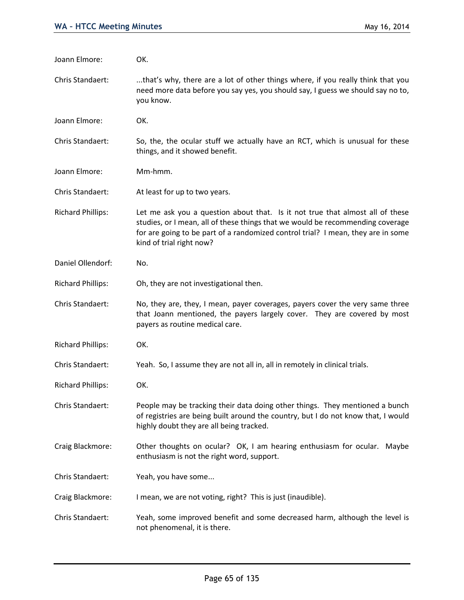| Joann Elmore:            | OK.                                                                                                                                                                                                                                                                             |
|--------------------------|---------------------------------------------------------------------------------------------------------------------------------------------------------------------------------------------------------------------------------------------------------------------------------|
| Chris Standaert:         | that's why, there are a lot of other things where, if you really think that you<br>need more data before you say yes, you should say, I guess we should say no to,<br>you know.                                                                                                 |
| Joann Elmore:            | OK.                                                                                                                                                                                                                                                                             |
| Chris Standaert:         | So, the, the ocular stuff we actually have an RCT, which is unusual for these<br>things, and it showed benefit.                                                                                                                                                                 |
| Joann Elmore:            | Mm-hmm.                                                                                                                                                                                                                                                                         |
| Chris Standaert:         | At least for up to two years.                                                                                                                                                                                                                                                   |
| <b>Richard Phillips:</b> | Let me ask you a question about that. Is it not true that almost all of these<br>studies, or I mean, all of these things that we would be recommending coverage<br>for are going to be part of a randomized control trial? I mean, they are in some<br>kind of trial right now? |
| Daniel Ollendorf:        | No.                                                                                                                                                                                                                                                                             |
| <b>Richard Phillips:</b> | Oh, they are not investigational then.                                                                                                                                                                                                                                          |
| Chris Standaert:         | No, they are, they, I mean, payer coverages, payers cover the very same three<br>that Joann mentioned, the payers largely cover. They are covered by most<br>payers as routine medical care.                                                                                    |
| <b>Richard Phillips:</b> | OK.                                                                                                                                                                                                                                                                             |
| Chris Standaert:         | Yeah. So, I assume they are not all in, all in remotely in clinical trials.                                                                                                                                                                                                     |
| <b>Richard Phillips:</b> | OK.                                                                                                                                                                                                                                                                             |
| Chris Standaert:         | People may be tracking their data doing other things. They mentioned a bunch<br>of registries are being built around the country, but I do not know that, I would<br>highly doubt they are all being tracked.                                                                   |
| Craig Blackmore:         | Other thoughts on ocular? OK, I am hearing enthusiasm for ocular. Maybe<br>enthusiasm is not the right word, support.                                                                                                                                                           |
| Chris Standaert:         | Yeah, you have some                                                                                                                                                                                                                                                             |
| Craig Blackmore:         | I mean, we are not voting, right? This is just (inaudible).                                                                                                                                                                                                                     |
| Chris Standaert:         | Yeah, some improved benefit and some decreased harm, although the level is<br>not phenomenal, it is there.                                                                                                                                                                      |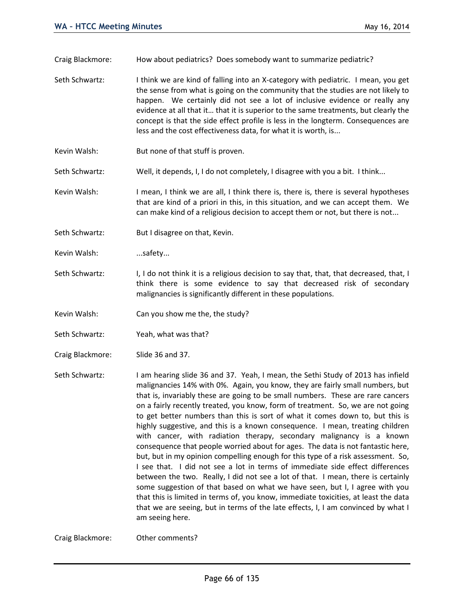Craig Blackmore: How about pediatrics? Does somebody want to summarize pediatric?

- Seth Schwartz: I think we are kind of falling into an X-category with pediatric. I mean, you get the sense from what is going on the community that the studies are not likely to happen. We certainly did not see a lot of inclusive evidence or really any evidence at all that it… that it is superior to the same treatments, but clearly the concept is that the side effect profile is less in the longterm. Consequences are less and the cost effectiveness data, for what it is worth, is...
- Kevin Walsh: But none of that stuff is proven.
- Seth Schwartz: Well, it depends, I, I do not completely, I disagree with you a bit. I think...
- Kevin Walsh: I mean, I think we are all, I think there is, there is, there is several hypotheses that are kind of a priori in this, in this situation, and we can accept them. We can make kind of a religious decision to accept them or not, but there is not...
- Seth Schwartz: But I disagree on that, Kevin.
- Kevin Walsh: ...safety...
- Seth Schwartz: I, I do not think it is a religious decision to say that, that, that decreased, that, I think there is some evidence to say that decreased risk of secondary malignancies is significantly different in these populations.
- Kevin Walsh: Can you show me the, the study?
- Seth Schwartz: Yeah, what was that?
- Craig Blackmore: Slide 36 and 37.
- Seth Schwartz: I am hearing slide 36 and 37. Yeah, I mean, the Sethi Study of 2013 has infield malignancies 14% with 0%. Again, you know, they are fairly small numbers, but that is, invariably these are going to be small numbers. These are rare cancers on a fairly recently treated, you know, form of treatment. So, we are not going to get better numbers than this is sort of what it comes down to, but this is highly suggestive, and this is a known consequence. I mean, treating children with cancer, with radiation therapy, secondary malignancy is a known consequence that people worried about for ages. The data is not fantastic here, but, but in my opinion compelling enough for this type of a risk assessment. So, I see that. I did not see a lot in terms of immediate side effect differences between the two. Really, I did not see a lot of that. I mean, there is certainly some suggestion of that based on what we have seen, but I, I agree with you that this is limited in terms of, you know, immediate toxicities, at least the data that we are seeing, but in terms of the late effects, I, I am convinced by what I am seeing here.

Craig Blackmore: Other comments?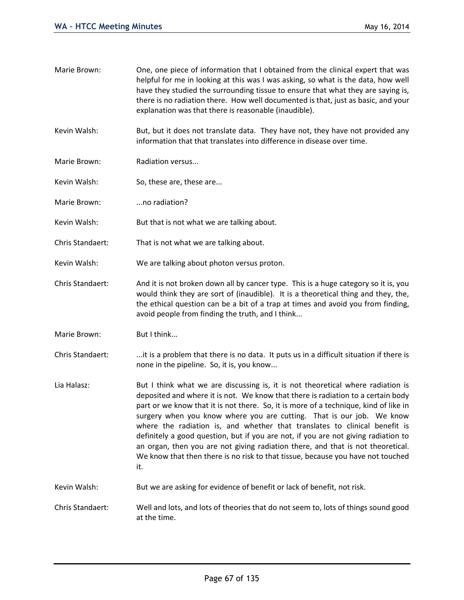- Marie Brown: One, one piece of information that I obtained from the clinical expert that was helpful for me in looking at this was I was asking, so what is the data, how well have they studied the surrounding tissue to ensure that what they are saying is, there is no radiation there. How well documented is that, just as basic, and your explanation was that there is reasonable (inaudible).
- Kevin Walsh: But, but it does not translate data. They have not, they have not provided any information that that translates into difference in disease over time.
- Marie Brown: Radiation versus...
- Kevin Walsh: So, these are, these are...
- Marie Brown: ...no radiation?
- Kevin Walsh: But that is not what we are talking about.
- Chris Standaert: That is not what we are talking about.
- Kevin Walsh: We are talking about photon versus proton.
- Chris Standaert: And it is not broken down all by cancer type. This is a huge category so it is, you would think they are sort of (inaudible). It is a theoretical thing and they, the, the ethical question can be a bit of a trap at times and avoid you from finding, avoid people from finding the truth, and I think...
- Marie Brown: But I think...
- Chris Standaert: ...it is a problem that there is no data. It puts us in a difficult situation if there is none in the pipeline. So, it is, you know...
- Lia Halasz: But I think what we are discussing is, it is not theoretical where radiation is deposited and where it is not. We know that there is radiation to a certain body part or we know that it is not there. So, it is more of a technique, kind of like in surgery when you know where you are cutting. That is our job. We know where the radiation is, and whether that translates to clinical benefit is definitely a good question, but if you are not, if you are not giving radiation to an organ, then you are not giving radiation there, and that is not theoretical. We know that then there is no risk to that tissue, because you have not touched it.
- Kevin Walsh: But we are asking for evidence of benefit or lack of benefit, not risk.
- Chris Standaert: Well and lots, and lots of theories that do not seem to, lots of things sound good at the time.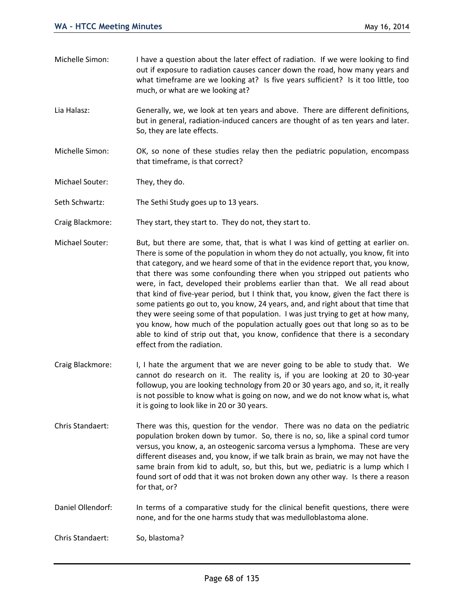- Michelle Simon: I have a question about the later effect of radiation. If we were looking to find out if exposure to radiation causes cancer down the road, how many years and what timeframe are we looking at? Is five years sufficient? Is it too little, too much, or what are we looking at?
- Lia Halasz: Generally, we, we look at ten years and above. There are different definitions, but in general, radiation-induced cancers are thought of as ten years and later. So, they are late effects.
- Michelle Simon: OK, so none of these studies relay then the pediatric population, encompass that timeframe, is that correct?
- Michael Souter: They, they do.
- Seth Schwartz: The Sethi Study goes up to 13 years.
- Craig Blackmore: They start, they start to. They do not, they start to.
- Michael Souter: But, but there are some, that, that is what I was kind of getting at earlier on. There is some of the population in whom they do not actually, you know, fit into that category, and we heard some of that in the evidence report that, you know, that there was some confounding there when you stripped out patients who were, in fact, developed their problems earlier than that. We all read about that kind of five-year period, but I think that, you know, given the fact there is some patients go out to, you know, 24 years, and, and right about that time that they were seeing some of that population. I was just trying to get at how many, you know, how much of the population actually goes out that long so as to be able to kind of strip out that, you know, confidence that there is a secondary effect from the radiation.
- Craig Blackmore: I, I hate the argument that we are never going to be able to study that. We cannot do research on it. The reality is, if you are looking at 20 to 30-year followup, you are looking technology from 20 or 30 years ago, and so, it, it really is not possible to know what is going on now, and we do not know what is, what it is going to look like in 20 or 30 years.
- Chris Standaert: There was this, question for the vendor. There was no data on the pediatric population broken down by tumor. So, there is no, so, like a spinal cord tumor versus, you know, a, an osteogenic sarcoma versus a lymphoma. These are very different diseases and, you know, if we talk brain as brain, we may not have the same brain from kid to adult, so, but this, but we, pediatric is a lump which I found sort of odd that it was not broken down any other way. Is there a reason for that, or?
- Daniel Ollendorf: In terms of a comparative study for the clinical benefit questions, there were none, and for the one harms study that was medulloblastoma alone.

Chris Standaert: So, blastoma?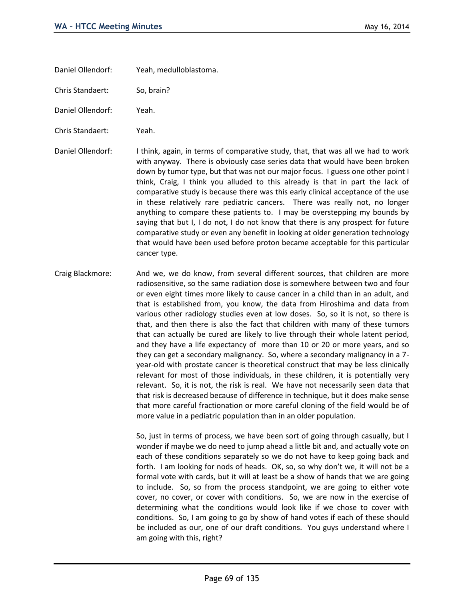Daniel Ollendorf: Yeah, medulloblastoma.

Chris Standaert: So, brain?

Daniel Ollendorf: Yeah.

Chris Standaert: Yeah.

Daniel Ollendorf: I think, again, in terms of comparative study, that, that was all we had to work with anyway. There is obviously case series data that would have been broken down by tumor type, but that was not our major focus. I guess one other point I think, Craig, I think you alluded to this already is that in part the lack of comparative study is because there was this early clinical acceptance of the use in these relatively rare pediatric cancers. There was really not, no longer anything to compare these patients to. I may be overstepping my bounds by saying that but I, I do not, I do not know that there is any prospect for future comparative study or even any benefit in looking at older generation technology that would have been used before proton became acceptable for this particular cancer type.

Craig Blackmore: And we, we do know, from several different sources, that children are more radiosensitive, so the same radiation dose is somewhere between two and four or even eight times more likely to cause cancer in a child than in an adult, and that is established from, you know, the data from Hiroshima and data from various other radiology studies even at low doses. So, so it is not, so there is that, and then there is also the fact that children with many of these tumors that can actually be cured are likely to live through their whole latent period, and they have a life expectancy of more than 10 or 20 or more years, and so they can get a secondary malignancy. So, where a secondary malignancy in a 7 year-old with prostate cancer is theoretical construct that may be less clinically relevant for most of those individuals, in these children, it is potentially very relevant. So, it is not, the risk is real. We have not necessarily seen data that that risk is decreased because of difference in technique, but it does make sense that more careful fractionation or more careful cloning of the field would be of more value in a pediatric population than in an older population.

> So, just in terms of process, we have been sort of going through casually, but I wonder if maybe we do need to jump ahead a little bit and, and actually vote on each of these conditions separately so we do not have to keep going back and forth. I am looking for nods of heads. OK, so, so why don't we, it will not be a formal vote with cards, but it will at least be a show of hands that we are going to include. So, so from the process standpoint, we are going to either vote cover, no cover, or cover with conditions. So, we are now in the exercise of determining what the conditions would look like if we chose to cover with conditions. So, I am going to go by show of hand votes if each of these should be included as our, one of our draft conditions. You guys understand where I am going with this, right?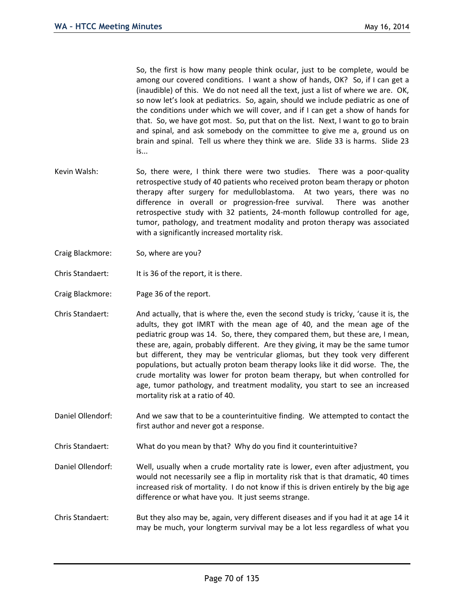So, the first is how many people think ocular, just to be complete, would be among our covered conditions. I want a show of hands, OK? So, if I can get a (inaudible) of this. We do not need all the text, just a list of where we are. OK, so now let's look at pediatrics. So, again, should we include pediatric as one of the conditions under which we will cover, and if I can get a show of hands for that. So, we have got most. So, put that on the list. Next, I want to go to brain and spinal, and ask somebody on the committee to give me a, ground us on brain and spinal. Tell us where they think we are. Slide 33 is harms. Slide 23 is...

- Kevin Walsh: So, there were, I think there were two studies. There was a poor-quality retrospective study of 40 patients who received proton beam therapy or photon therapy after surgery for medulloblastoma. At two years, there was no difference in overall or progression-free survival. There was another retrospective study with 32 patients, 24-month followup controlled for age, tumor, pathology, and treatment modality and proton therapy was associated with a significantly increased mortality risk.
- Craig Blackmore: So, where are you?
- Chris Standaert: It is 36 of the report, it is there.
- Craig Blackmore: Page 36 of the report.
- Chris Standaert: And actually, that is where the, even the second study is tricky, 'cause it is, the adults, they got IMRT with the mean age of 40, and the mean age of the pediatric group was 14. So, there, they compared them, but these are, I mean, these are, again, probably different. Are they giving, it may be the same tumor but different, they may be ventricular gliomas, but they took very different populations, but actually proton beam therapy looks like it did worse. The, the crude mortality was lower for proton beam therapy, but when controlled for age, tumor pathology, and treatment modality, you start to see an increased mortality risk at a ratio of 40.
- Daniel Ollendorf: And we saw that to be a counterintuitive finding. We attempted to contact the first author and never got a response.
- Chris Standaert: What do you mean by that? Why do you find it counterintuitive?
- Daniel Ollendorf: Well, usually when a crude mortality rate is lower, even after adjustment, you would not necessarily see a flip in mortality risk that is that dramatic, 40 times increased risk of mortality. I do not know if this is driven entirely by the big age difference or what have you. It just seems strange.
- Chris Standaert: But they also may be, again, very different diseases and if you had it at age 14 it may be much, your longterm survival may be a lot less regardless of what you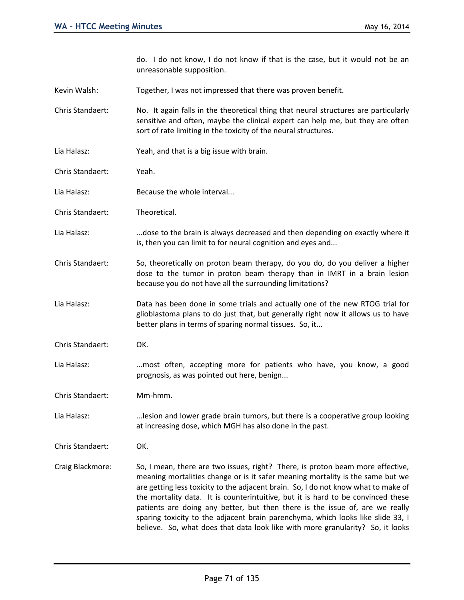do. I do not know, I do not know if that is the case, but it would not be an unreasonable supposition.

Kevin Walsh: Together, I was not impressed that there was proven benefit.

Chris Standaert: No. It again falls in the theoretical thing that neural structures are particularly sensitive and often, maybe the clinical expert can help me, but they are often sort of rate limiting in the toxicity of the neural structures.

- Lia Halasz: Yeah, and that is a big issue with brain.
- Chris Standaert: Yeah.
- Lia Halasz: Because the whole interval...
- Chris Standaert: Theoretical.
- Lia Halasz: .............dose to the brain is always decreased and then depending on exactly where it is, then you can limit to for neural cognition and eyes and...
- Chris Standaert: So, theoretically on proton beam therapy, do you do, do you deliver a higher dose to the tumor in proton beam therapy than in IMRT in a brain lesion because you do not have all the surrounding limitations?
- Lia Halasz: Data has been done in some trials and actually one of the new RTOG trial for glioblastoma plans to do just that, but generally right now it allows us to have better plans in terms of sparing normal tissues. So, it...
- Chris Standaert: OK.
- Lia Halasz: ...most often, accepting more for patients who have, you know, a good prognosis, as was pointed out here, benign...

Chris Standaert: Mm-hmm.

Lia Halasz: ...lesion and lower grade brain tumors, but there is a cooperative group looking at increasing dose, which MGH has also done in the past.

Chris Standaert: OK.

Craig Blackmore: So, I mean, there are two issues, right? There, is proton beam more effective, meaning mortalities change or is it safer meaning mortality is the same but we are getting less toxicity to the adjacent brain. So, I do not know what to make of the mortality data. It is counterintuitive, but it is hard to be convinced these patients are doing any better, but then there is the issue of, are we really sparing toxicity to the adjacent brain parenchyma, which looks like slide 33, I believe. So, what does that data look like with more granularity? So, it looks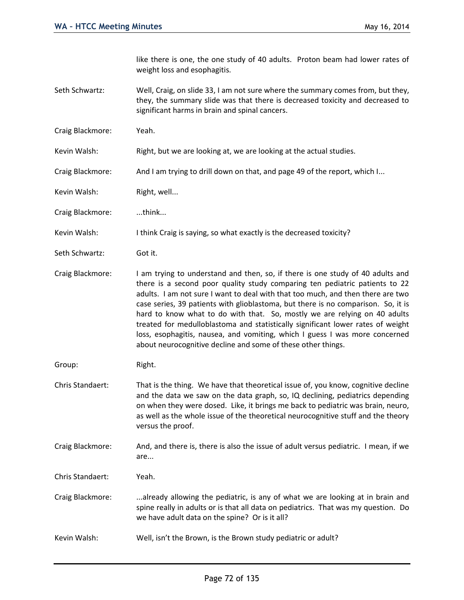like there is one, the one study of 40 adults. Proton beam had lower rates of weight loss and esophagitis.

- Seth Schwartz: Well, Craig, on slide 33, I am not sure where the summary comes from, but they, they, the summary slide was that there is decreased toxicity and decreased to significant harms in brain and spinal cancers.
- Craig Blackmore: Yeah.
- Kevin Walsh: Right, but we are looking at, we are looking at the actual studies.
- Craig Blackmore: And I am trying to drill down on that, and page 49 of the report, which I...
- Kevin Walsh: Right, well...
- Craig Blackmore: ...think...
- Kevin Walsh: I think Craig is saying, so what exactly is the decreased toxicity?
- Seth Schwartz: Got it.
- Craig Blackmore: I am trying to understand and then, so, if there is one study of 40 adults and there is a second poor quality study comparing ten pediatric patients to 22 adults. I am not sure I want to deal with that too much, and then there are two case series, 39 patients with glioblastoma, but there is no comparison. So, it is hard to know what to do with that. So, mostly we are relying on 40 adults treated for medulloblastoma and statistically significant lower rates of weight loss, esophagitis, nausea, and vomiting, which I guess I was more concerned about neurocognitive decline and some of these other things.
- Group: Right.
- Chris Standaert: That is the thing. We have that theoretical issue of, you know, cognitive decline and the data we saw on the data graph, so, IQ declining, pediatrics depending on when they were dosed. Like, it brings me back to pediatric was brain, neuro, as well as the whole issue of the theoretical neurocognitive stuff and the theory versus the proof.
- Craig Blackmore: And, and there is, there is also the issue of adult versus pediatric. I mean, if we are...
- Chris Standaert: Yeah.
- Craig Blackmore: ...already allowing the pediatric, is any of what we are looking at in brain and spine really in adults or is that all data on pediatrics. That was my question. Do we have adult data on the spine? Or is it all?
- Kevin Walsh: Well, isn't the Brown, is the Brown study pediatric or adult?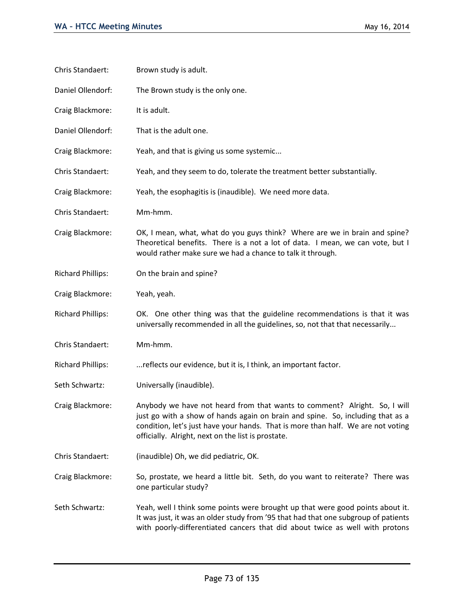| Chris Standaert:         | Brown study is adult.                                                                                                                                                                                                                                                                                 |
|--------------------------|-------------------------------------------------------------------------------------------------------------------------------------------------------------------------------------------------------------------------------------------------------------------------------------------------------|
| Daniel Ollendorf:        | The Brown study is the only one.                                                                                                                                                                                                                                                                      |
| Craig Blackmore:         | It is adult.                                                                                                                                                                                                                                                                                          |
| Daniel Ollendorf:        | That is the adult one.                                                                                                                                                                                                                                                                                |
| Craig Blackmore:         | Yeah, and that is giving us some systemic                                                                                                                                                                                                                                                             |
| Chris Standaert:         | Yeah, and they seem to do, tolerate the treatment better substantially.                                                                                                                                                                                                                               |
| Craig Blackmore:         | Yeah, the esophagitis is (inaudible). We need more data.                                                                                                                                                                                                                                              |
| Chris Standaert:         | Mm-hmm.                                                                                                                                                                                                                                                                                               |
| Craig Blackmore:         | OK, I mean, what, what do you guys think? Where are we in brain and spine?<br>Theoretical benefits. There is a not a lot of data. I mean, we can vote, but I<br>would rather make sure we had a chance to talk it through.                                                                            |
| <b>Richard Phillips:</b> | On the brain and spine?                                                                                                                                                                                                                                                                               |
| Craig Blackmore:         | Yeah, yeah.                                                                                                                                                                                                                                                                                           |
| <b>Richard Phillips:</b> | OK. One other thing was that the guideline recommendations is that it was<br>universally recommended in all the guidelines, so, not that that necessarily                                                                                                                                             |
| Chris Standaert:         | Mm-hmm.                                                                                                                                                                                                                                                                                               |
| <b>Richard Phillips:</b> | reflects our evidence, but it is, I think, an important factor.                                                                                                                                                                                                                                       |
| Seth Schwartz:           | Universally (inaudible).                                                                                                                                                                                                                                                                              |
| Craig Blackmore:         | Anybody we have not heard from that wants to comment? Alright. So, I will<br>just go with a show of hands again on brain and spine. So, including that as a<br>condition, let's just have your hands. That is more than half. We are not voting<br>officially. Alright, next on the list is prostate. |
| Chris Standaert:         | (inaudible) Oh, we did pediatric, OK.                                                                                                                                                                                                                                                                 |
| Craig Blackmore:         | So, prostate, we heard a little bit. Seth, do you want to reiterate? There was<br>one particular study?                                                                                                                                                                                               |
| Seth Schwartz:           | Yeah, well I think some points were brought up that were good points about it.<br>It was just, it was an older study from '95 that had that one subgroup of patients<br>with poorly-differentiated cancers that did about twice as well with protons                                                  |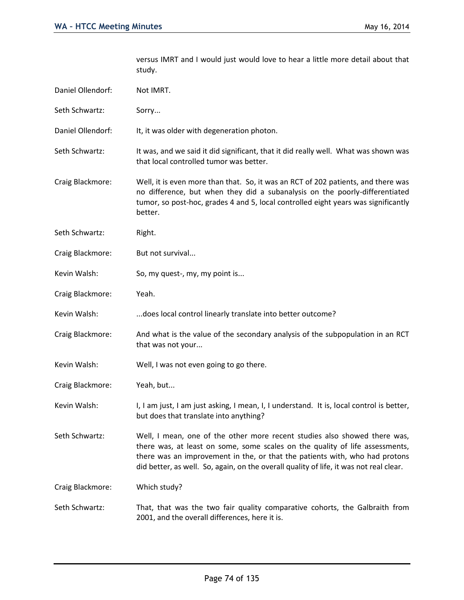versus IMRT and I would just would love to hear a little more detail about that study.

| Daniel Ollendorf: | Not IMRT.                                                                                                                                                                                                                                                                                                                          |
|-------------------|------------------------------------------------------------------------------------------------------------------------------------------------------------------------------------------------------------------------------------------------------------------------------------------------------------------------------------|
| Seth Schwartz:    | Sorry                                                                                                                                                                                                                                                                                                                              |
| Daniel Ollendorf: | It, it was older with degeneration photon.                                                                                                                                                                                                                                                                                         |
| Seth Schwartz:    | It was, and we said it did significant, that it did really well. What was shown was<br>that local controlled tumor was better.                                                                                                                                                                                                     |
| Craig Blackmore:  | Well, it is even more than that. So, it was an RCT of 202 patients, and there was<br>no difference, but when they did a subanalysis on the poorly-differentiated<br>tumor, so post-hoc, grades 4 and 5, local controlled eight years was significantly<br>better.                                                                  |
| Seth Schwartz:    | Right.                                                                                                                                                                                                                                                                                                                             |
| Craig Blackmore:  | But not survival                                                                                                                                                                                                                                                                                                                   |
| Kevin Walsh:      | So, my quest-, my, my point is                                                                                                                                                                                                                                                                                                     |
| Craig Blackmore:  | Yeah.                                                                                                                                                                                                                                                                                                                              |
| Kevin Walsh:      | does local control linearly translate into better outcome?                                                                                                                                                                                                                                                                         |
| Craig Blackmore:  | And what is the value of the secondary analysis of the subpopulation in an RCT<br>that was not your                                                                                                                                                                                                                                |
| Kevin Walsh:      | Well, I was not even going to go there.                                                                                                                                                                                                                                                                                            |
| Craig Blackmore:  | Yeah, but                                                                                                                                                                                                                                                                                                                          |
| Kevin Walsh:      | I, I am just, I am just asking, I mean, I, I understand. It is, local control is better,<br>but does that translate into anything?                                                                                                                                                                                                 |
| Seth Schwartz:    | Well, I mean, one of the other more recent studies also showed there was,<br>there was, at least on some, some scales on the quality of life assessments,<br>there was an improvement in the, or that the patients with, who had protons<br>did better, as well. So, again, on the overall quality of life, it was not real clear. |
| Craig Blackmore:  | Which study?                                                                                                                                                                                                                                                                                                                       |
| Seth Schwartz:    | That, that was the two fair quality comparative cohorts, the Galbraith from<br>2001, and the overall differences, here it is.                                                                                                                                                                                                      |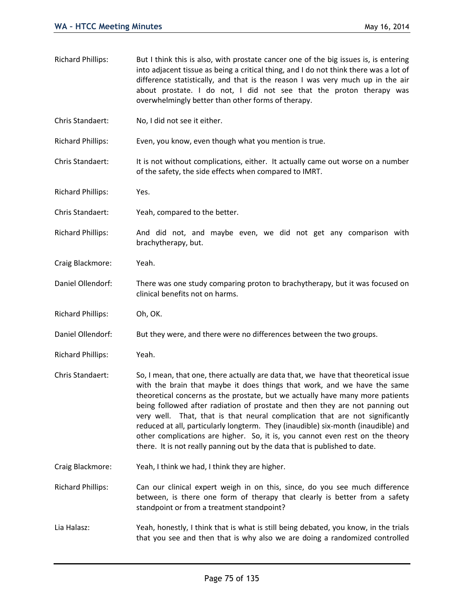into adjacent tissue as being a critical thing, and I do not think there was a lot of difference statistically, and that is the reason I was very much up in the air about prostate. I do not, I did not see that the proton therapy was overwhelmingly better than other forms of therapy. Chris Standaert: No, I did not see it either. Richard Phillips: Even, you know, even though what you mention is true. Chris Standaert: It is not without complications, either. It actually came out worse on a number of the safety, the side effects when compared to IMRT. Richard Phillips: Yes. Chris Standaert: Yeah, compared to the better. Richard Phillips: And did not, and maybe even, we did not get any comparison with brachytherapy, but. Craig Blackmore: Yeah. Daniel Ollendorf: There was one study comparing proton to brachytherapy, but it was focused on clinical benefits not on harms. Richard Phillips: Oh, OK. Daniel Ollendorf: But they were, and there were no differences between the two groups. Richard Phillips: Yeah. Chris Standaert: So, I mean, that one, there actually are data that, we have that theoretical issue with the brain that maybe it does things that work, and we have the same theoretical concerns as the prostate, but we actually have many more patients being followed after radiation of prostate and then they are not panning out very well. That, that is that neural complication that are not significantly reduced at all, particularly longterm. They (inaudible) six-month (inaudible) and other complications are higher. So, it is, you cannot even rest on the theory there. It is not really panning out by the data that is published to date. Craig Blackmore: Yeah, I think we had, I think they are higher. Richard Phillips: Can our clinical expert weigh in on this, since, do you see much difference between, is there one form of therapy that clearly is better from a safety standpoint or from a treatment standpoint? Lia Halasz: Yeah, honestly, I think that is what is still being debated, you know, in the trials

Richard Phillips: But I think this is also, with prostate cancer one of the big issues is, is entering

that you see and then that is why also we are doing a randomized controlled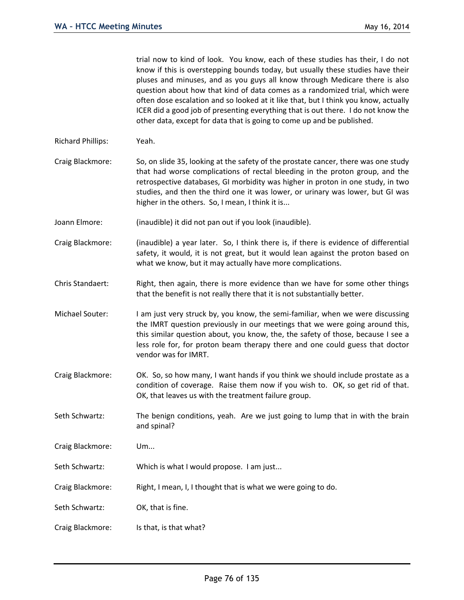trial now to kind of look. You know, each of these studies has their, I do not know if this is overstepping bounds today, but usually these studies have their pluses and minuses, and as you guys all know through Medicare there is also question about how that kind of data comes as a randomized trial, which were often dose escalation and so looked at it like that, but I think you know, actually ICER did a good job of presenting everything that is out there. I do not know the other data, except for data that is going to come up and be published.

- Richard Phillips: Yeah.
- Craig Blackmore: So, on slide 35, looking at the safety of the prostate cancer, there was one study that had worse complications of rectal bleeding in the proton group, and the retrospective databases, GI morbidity was higher in proton in one study, in two studies, and then the third one it was lower, or urinary was lower, but GI was higher in the others. So, I mean, I think it is...
- Joann Elmore: (inaudible) it did not pan out if you look (inaudible).
- Craig Blackmore: (inaudible) a year later. So, I think there is, if there is evidence of differential safety, it would, it is not great, but it would lean against the proton based on what we know, but it may actually have more complications.
- Chris Standaert: Right, then again, there is more evidence than we have for some other things that the benefit is not really there that it is not substantially better.
- Michael Souter: I am just very struck by, you know, the semi-familiar, when we were discussing the IMRT question previously in our meetings that we were going around this, this similar question about, you know, the, the safety of those, because I see a less role for, for proton beam therapy there and one could guess that doctor vendor was for IMRT.
- Craig Blackmore: OK. So, so how many, I want hands if you think we should include prostate as a condition of coverage. Raise them now if you wish to. OK, so get rid of that. OK, that leaves us with the treatment failure group.
- Seth Schwartz: The benign conditions, yeah. Are we just going to lump that in with the brain and spinal?
- Craig Blackmore: Um...
- Seth Schwartz: Which is what I would propose. I am just...
- Craig Blackmore: Right, I mean, I, I thought that is what we were going to do.
- Seth Schwartz: OK, that is fine.
- Craig Blackmore: Is that, is that what?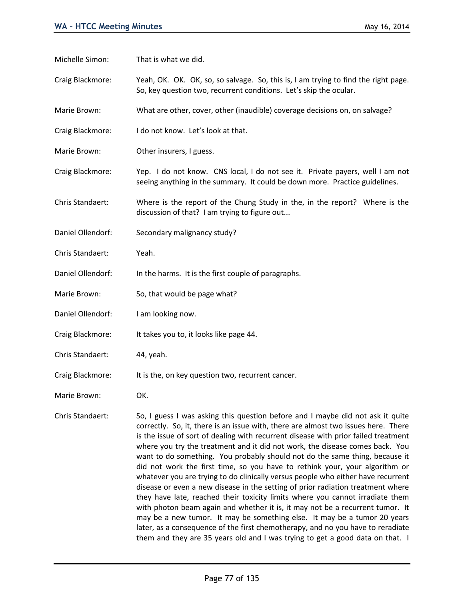Michelle Simon: That is what we did.

Craig Blackmore: Yeah, OK. OK. OK, so, so salvage. So, this is, I am trying to find the right page. So, key question two, recurrent conditions. Let's skip the ocular.

Marie Brown: What are other, cover, other (inaudible) coverage decisions on, on salvage?

- Craig Blackmore: I do not know. Let's look at that.
- Marie Brown: Other insurers, I guess.

Craig Blackmore: Yep. I do not know. CNS local, I do not see it. Private payers, well I am not seeing anything in the summary. It could be down more. Practice guidelines.

Chris Standaert: Where is the report of the Chung Study in the, in the report? Where is the discussion of that? I am trying to figure out...

- Daniel Ollendorf: Secondary malignancy study?
- Chris Standaert: Yeah.
- Daniel Ollendorf: In the harms. It is the first couple of paragraphs.
- Marie Brown: So, that would be page what?
- Daniel Ollendorf: I am looking now.
- Craig Blackmore: It takes you to, it looks like page 44.
- Chris Standaert: 44, yeah.
- Craig Blackmore: It is the, on key question two, recurrent cancer.
- Marie Brown: OK.

Chris Standaert: So, I guess I was asking this question before and I maybe did not ask it quite correctly. So, it, there is an issue with, there are almost two issues here. There is the issue of sort of dealing with recurrent disease with prior failed treatment where you try the treatment and it did not work, the disease comes back. You want to do something. You probably should not do the same thing, because it did not work the first time, so you have to rethink your, your algorithm or whatever you are trying to do clinically versus people who either have recurrent disease or even a new disease in the setting of prior radiation treatment where they have late, reached their toxicity limits where you cannot irradiate them with photon beam again and whether it is, it may not be a recurrent tumor. It may be a new tumor. It may be something else. It may be a tumor 20 years later, as a consequence of the first chemotherapy, and no you have to reradiate them and they are 35 years old and I was trying to get a good data on that. I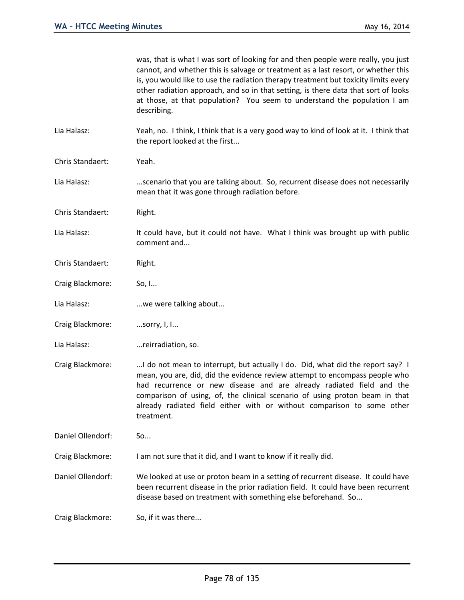|                   | was, that is what I was sort of looking for and then people were really, you just<br>cannot, and whether this is salvage or treatment as a last resort, or whether this<br>is, you would like to use the radiation therapy treatment but toxicity limits every<br>other radiation approach, and so in that setting, is there data that sort of looks<br>at those, at that population? You seem to understand the population I am<br>describing. |
|-------------------|-------------------------------------------------------------------------------------------------------------------------------------------------------------------------------------------------------------------------------------------------------------------------------------------------------------------------------------------------------------------------------------------------------------------------------------------------|
| Lia Halasz:       | Yeah, no. I think, I think that is a very good way to kind of look at it. I think that<br>the report looked at the first                                                                                                                                                                                                                                                                                                                        |
| Chris Standaert:  | Yeah.                                                                                                                                                                                                                                                                                                                                                                                                                                           |
| Lia Halasz:       | scenario that you are talking about. So, recurrent disease does not necessarily<br>mean that it was gone through radiation before.                                                                                                                                                                                                                                                                                                              |
| Chris Standaert:  | Right.                                                                                                                                                                                                                                                                                                                                                                                                                                          |
| Lia Halasz:       | It could have, but it could not have. What I think was brought up with public<br>comment and                                                                                                                                                                                                                                                                                                                                                    |
| Chris Standaert:  | Right.                                                                                                                                                                                                                                                                                                                                                                                                                                          |
| Craig Blackmore:  | So, I                                                                                                                                                                                                                                                                                                                                                                                                                                           |
| Lia Halasz:       | we were talking about                                                                                                                                                                                                                                                                                                                                                                                                                           |
| Craig Blackmore:  | sorry, I, I                                                                                                                                                                                                                                                                                                                                                                                                                                     |
| Lia Halasz:       | reirradiation, so.                                                                                                                                                                                                                                                                                                                                                                                                                              |
| Craig Blackmore:  | I do not mean to interrupt, but actually I do. Did, what did the report say? I<br>mean, you are, did, did the evidence review attempt to encompass people who<br>had recurrence or new disease and are already radiated field and the<br>comparison of using, of, the clinical scenario of using proton beam in that<br>already radiated field either with or without comparison to some other<br>treatment.                                    |
| Daniel Ollendorf: | So                                                                                                                                                                                                                                                                                                                                                                                                                                              |
| Craig Blackmore:  | I am not sure that it did, and I want to know if it really did.                                                                                                                                                                                                                                                                                                                                                                                 |
| Daniel Ollendorf: | We looked at use or proton beam in a setting of recurrent disease. It could have<br>been recurrent disease in the prior radiation field. It could have been recurrent<br>disease based on treatment with something else beforehand. So                                                                                                                                                                                                          |
| Craig Blackmore:  | So, if it was there                                                                                                                                                                                                                                                                                                                                                                                                                             |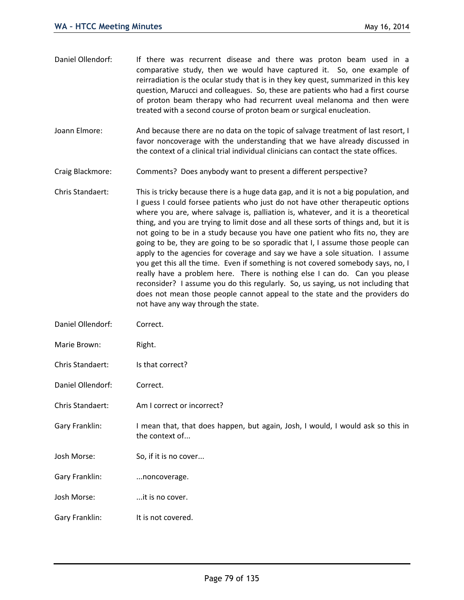| Daniel Ollendorf: | If there was recurrent disease and there was proton beam used in a<br>comparative study, then we would have captured it. So, one example of<br>reirradiation is the ocular study that is in they key quest, summarized in this key<br>question, Marucci and colleagues. So, these are patients who had a first course<br>of proton beam therapy who had recurrent uveal melanoma and then were<br>treated with a second course of proton beam or surgical enucleation. |
|-------------------|------------------------------------------------------------------------------------------------------------------------------------------------------------------------------------------------------------------------------------------------------------------------------------------------------------------------------------------------------------------------------------------------------------------------------------------------------------------------|
| Joann Elmore:     | And because there are no data on the topic of salvage treatment of last resort, I                                                                                                                                                                                                                                                                                                                                                                                      |

favor noncoverage with the understanding that we have already discussed in the context of a clinical trial individual clinicians can contact the state offices.

Craig Blackmore: Comments? Does anybody want to present a different perspective?

- Chris Standaert: This is tricky because there is a huge data gap, and it is not a big population, and I guess I could forsee patients who just do not have other therapeutic options where you are, where salvage is, palliation is, whatever, and it is a theoretical thing, and you are trying to limit dose and all these sorts of things and, but it is not going to be in a study because you have one patient who fits no, they are going to be, they are going to be so sporadic that I, I assume those people can apply to the agencies for coverage and say we have a sole situation. I assume you get this all the time. Even if something is not covered somebody says, no, I really have a problem here. There is nothing else I can do. Can you please reconsider? I assume you do this regularly. So, us saying, us not including that does not mean those people cannot appeal to the state and the providers do not have any way through the state.
- Daniel Ollendorf: Correct.
- Marie Brown: Right.
- Chris Standaert: Is that correct?

Daniel Ollendorf: Correct.

- Chris Standaert: Am I correct or incorrect?
- Gary Franklin: I mean that, that does happen, but again, Josh, I would, I would ask so this in the context of...
- Josh Morse: So, if it is no cover...
- Gary Franklin: ...noncoverage.
- Josh Morse: ...it is no cover.
- Gary Franklin: It is not covered.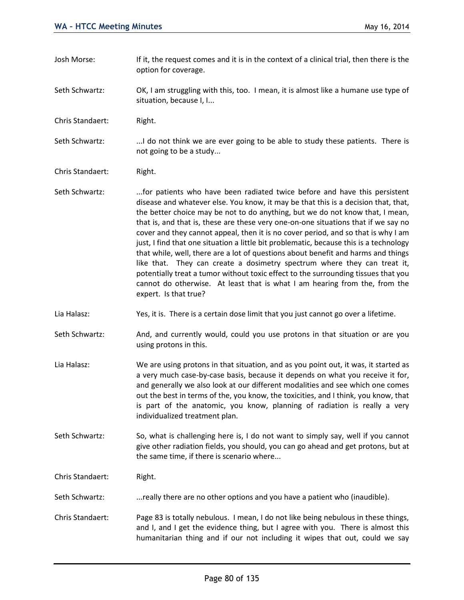- Josh Morse: If it, the request comes and it is in the context of a clinical trial, then there is the option for coverage.
- Seth Schwartz: OK, I am struggling with this, too. I mean, it is almost like a humane use type of situation, because I, I...
- Chris Standaert: Right.
- Seth Schwartz: .............I do not think we are ever going to be able to study these patients. There is not going to be a study...
- Chris Standaert: Right.
- Seth Schwartz: ....for patients who have been radiated twice before and have this persistent disease and whatever else. You know, it may be that this is a decision that, that, the better choice may be not to do anything, but we do not know that, I mean, that is, and that is, these are these very one-on-one situations that if we say no cover and they cannot appeal, then it is no cover period, and so that is why I am just, I find that one situation a little bit problematic, because this is a technology that while, well, there are a lot of questions about benefit and harms and things like that. They can create a dosimetry spectrum where they can treat it, potentially treat a tumor without toxic effect to the surrounding tissues that you cannot do otherwise. At least that is what I am hearing from the, from the expert. Is that true?
- Lia Halasz: Yes, it is. There is a certain dose limit that you just cannot go over a lifetime.
- Seth Schwartz: And, and currently would, could you use protons in that situation or are you using protons in this.
- Lia Halasz: We are using protons in that situation, and as you point out, it was, it started as a very much case-by-case basis, because it depends on what you receive it for, and generally we also look at our different modalities and see which one comes out the best in terms of the, you know, the toxicities, and I think, you know, that is part of the anatomic, you know, planning of radiation is really a very individualized treatment plan.
- Seth Schwartz: So, what is challenging here is, I do not want to simply say, well if you cannot give other radiation fields, you should, you can go ahead and get protons, but at the same time, if there is scenario where...
- Chris Standaert: Right.
- Seth Schwartz: ...really there are no other options and you have a patient who (inaudible).
- Chris Standaert: Page 83 is totally nebulous. I mean, I do not like being nebulous in these things, and I, and I get the evidence thing, but I agree with you. There is almost this humanitarian thing and if our not including it wipes that out, could we say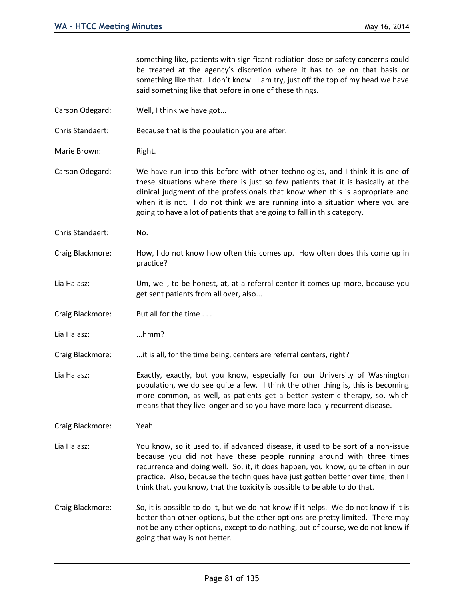something like, patients with significant radiation dose or safety concerns could be treated at the agency's discretion where it has to be on that basis or something like that. I don't know. I am try, just off the top of my head we have said something like that before in one of these things.

Carson Odegard: Well, I think we have got...

Chris Standaert: Because that is the population you are after.

Marie Brown: Right.

Carson Odegard: We have run into this before with other technologies, and I think it is one of these situations where there is just so few patients that it is basically at the clinical judgment of the professionals that know when this is appropriate and when it is not. I do not think we are running into a situation where you are going to have a lot of patients that are going to fall in this category.

- Chris Standaert: No.
- Craig Blackmore: How, I do not know how often this comes up. How often does this come up in practice?
- Lia Halasz: Um, well, to be honest, at, at a referral center it comes up more, because you get sent patients from all over, also...
- Craig Blackmore: But all for the time . . .

Lia Halasz: ...hmm?

Craig Blackmore: ...it is all, for the time being, centers are referral centers, right?

Lia Halasz: Exactly, exactly, but you know, especially for our University of Washington population, we do see quite a few. I think the other thing is, this is becoming more common, as well, as patients get a better systemic therapy, so, which means that they live longer and so you have more locally recurrent disease.

Craig Blackmore: Yeah.

- Lia Halasz: You know, so it used to, if advanced disease, it used to be sort of a non-issue because you did not have these people running around with three times recurrence and doing well. So, it, it does happen, you know, quite often in our practice. Also, because the techniques have just gotten better over time, then I think that, you know, that the toxicity is possible to be able to do that.
- Craig Blackmore: So, it is possible to do it, but we do not know if it helps. We do not know if it is better than other options, but the other options are pretty limited. There may not be any other options, except to do nothing, but of course, we do not know if going that way is not better.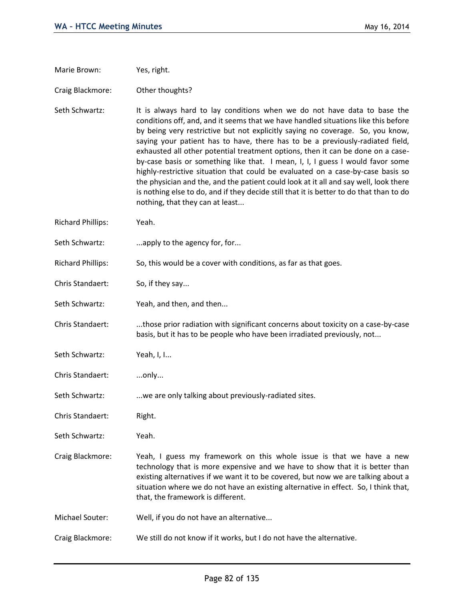Marie Brown: Yes, right.

Craig Blackmore: Other thoughts?

Seth Schwartz: It is always hard to lay conditions when we do not have data to base the conditions off, and, and it seems that we have handled situations like this before by being very restrictive but not explicitly saying no coverage. So, you know, saying your patient has to have, there has to be a previously-radiated field, exhausted all other potential treatment options, then it can be done on a caseby-case basis or something like that. I mean, I, I, I guess I would favor some highly-restrictive situation that could be evaluated on a case-by-case basis so the physician and the, and the patient could look at it all and say well, look there is nothing else to do, and if they decide still that it is better to do that than to do nothing, that they can at least...

- Richard Phillips: Yeah.
- Seth Schwartz: ...apply to the agency for, for...
- Richard Phillips: So, this would be a cover with conditions, as far as that goes.
- Chris Standaert: So, if they say...
- Seth Schwartz: Yeah, and then, and then...

Chris Standaert: ...those prior radiation with significant concerns about toxicity on a case-by-case basis, but it has to be people who have been irradiated previously, not...

- Seth Schwartz: Yeah, I, I...
- Chris Standaert: ...only...
- Seth Schwartz: ...we are only talking about previously-radiated sites.
- Chris Standaert: Right.
- Seth Schwartz: Yeah.
- Craig Blackmore: Yeah, I guess my framework on this whole issue is that we have a new technology that is more expensive and we have to show that it is better than existing alternatives if we want it to be covered, but now we are talking about a situation where we do not have an existing alternative in effect. So, I think that, that, the framework is different.
- Michael Souter: Well, if you do not have an alternative...
- Craig Blackmore: We still do not know if it works, but I do not have the alternative.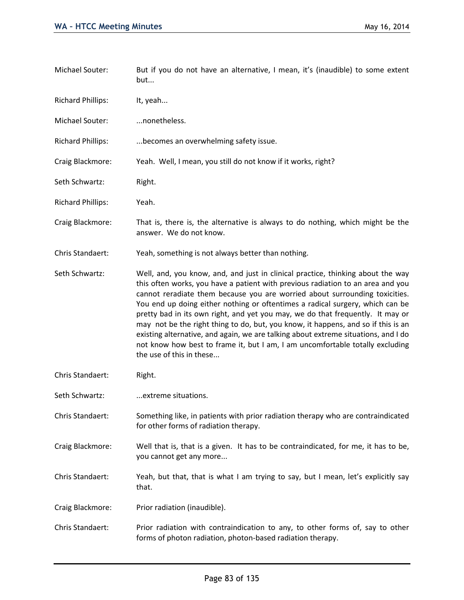| Michael Souter:          | But if you do not have an alternative, I mean, it's (inaudible) to some extent<br>but                                                                                                                                                                                                                                                                                                                                                                                                                                                                                                                                                                                                                        |
|--------------------------|--------------------------------------------------------------------------------------------------------------------------------------------------------------------------------------------------------------------------------------------------------------------------------------------------------------------------------------------------------------------------------------------------------------------------------------------------------------------------------------------------------------------------------------------------------------------------------------------------------------------------------------------------------------------------------------------------------------|
| <b>Richard Phillips:</b> | It, yeah                                                                                                                                                                                                                                                                                                                                                                                                                                                                                                                                                                                                                                                                                                     |
| Michael Souter:          | nonetheless.                                                                                                                                                                                                                                                                                                                                                                                                                                                                                                                                                                                                                                                                                                 |
| <b>Richard Phillips:</b> | becomes an overwhelming safety issue.                                                                                                                                                                                                                                                                                                                                                                                                                                                                                                                                                                                                                                                                        |
| Craig Blackmore:         | Yeah. Well, I mean, you still do not know if it works, right?                                                                                                                                                                                                                                                                                                                                                                                                                                                                                                                                                                                                                                                |
| Seth Schwartz:           | Right.                                                                                                                                                                                                                                                                                                                                                                                                                                                                                                                                                                                                                                                                                                       |
| <b>Richard Phillips:</b> | Yeah.                                                                                                                                                                                                                                                                                                                                                                                                                                                                                                                                                                                                                                                                                                        |
| Craig Blackmore:         | That is, there is, the alternative is always to do nothing, which might be the<br>answer. We do not know.                                                                                                                                                                                                                                                                                                                                                                                                                                                                                                                                                                                                    |
| Chris Standaert:         | Yeah, something is not always better than nothing.                                                                                                                                                                                                                                                                                                                                                                                                                                                                                                                                                                                                                                                           |
| Seth Schwartz:           | Well, and, you know, and, and just in clinical practice, thinking about the way<br>this often works, you have a patient with previous radiation to an area and you<br>cannot reradiate them because you are worried about surrounding toxicities.<br>You end up doing either nothing or oftentimes a radical surgery, which can be<br>pretty bad in its own right, and yet you may, we do that frequently. It may or<br>may not be the right thing to do, but, you know, it happens, and so if this is an<br>existing alternative, and again, we are talking about extreme situations, and I do<br>not know how best to frame it, but I am, I am uncomfortable totally excluding<br>the use of this in these |
| Chris Standaert:         | Right.                                                                                                                                                                                                                                                                                                                                                                                                                                                                                                                                                                                                                                                                                                       |
| Seth Schwartz:           | extreme situations.                                                                                                                                                                                                                                                                                                                                                                                                                                                                                                                                                                                                                                                                                          |
| Chris Standaert:         | Something like, in patients with prior radiation therapy who are contraindicated<br>for other forms of radiation therapy.                                                                                                                                                                                                                                                                                                                                                                                                                                                                                                                                                                                    |
| Craig Blackmore:         | Well that is, that is a given. It has to be contraindicated, for me, it has to be,<br>you cannot get any more                                                                                                                                                                                                                                                                                                                                                                                                                                                                                                                                                                                                |
| Chris Standaert:         | Yeah, but that, that is what I am trying to say, but I mean, let's explicitly say<br>that.                                                                                                                                                                                                                                                                                                                                                                                                                                                                                                                                                                                                                   |
| Craig Blackmore:         | Prior radiation (inaudible).                                                                                                                                                                                                                                                                                                                                                                                                                                                                                                                                                                                                                                                                                 |
| Chris Standaert:         | Prior radiation with contraindication to any, to other forms of, say to other<br>forms of photon radiation, photon-based radiation therapy.                                                                                                                                                                                                                                                                                                                                                                                                                                                                                                                                                                  |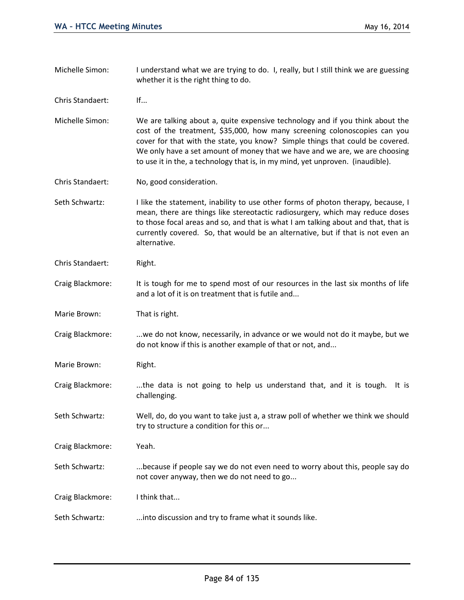- Michelle Simon: I understand what we are trying to do. I, really, but I still think we are guessing whether it is the right thing to do.
- Chris Standaert: If...
- Michelle Simon: We are talking about a, quite expensive technology and if you think about the cost of the treatment, \$35,000, how many screening colonoscopies can you cover for that with the state, you know? Simple things that could be covered. We only have a set amount of money that we have and we are, we are choosing to use it in the, a technology that is, in my mind, yet unproven. (inaudible).
- Chris Standaert: No, good consideration.
- Seth Schwartz: I like the statement, inability to use other forms of photon therapy, because, I mean, there are things like stereotactic radiosurgery, which may reduce doses to those focal areas and so, and that is what I am talking about and that, that is currently covered. So, that would be an alternative, but if that is not even an alternative.
- Chris Standaert: Right.
- Craig Blackmore: It is tough for me to spend most of our resources in the last six months of life and a lot of it is on treatment that is futile and...
- Marie Brown: That is right.
- Craig Blackmore: ...we do not know, necessarily, in advance or we would not do it maybe, but we do not know if this is another example of that or not, and...
- Marie Brown: Right.
- Craig Blackmore: ...the data is not going to help us understand that, and it is tough. It is challenging.
- Seth Schwartz: Well, do, do you want to take just a, a straw poll of whether we think we should try to structure a condition for this or...
- Craig Blackmore: Yeah.
- Seth Schwartz: ... because if people say we do not even need to worry about this, people say do not cover anyway, then we do not need to go...
- Craig Blackmore: I think that...
- Seth Schwartz: ...into discussion and try to frame what it sounds like.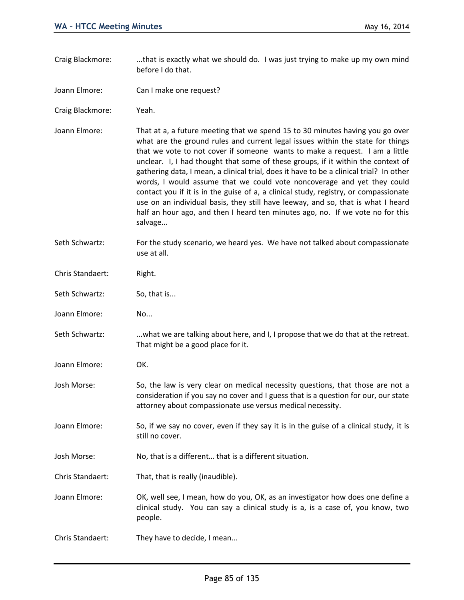- Craig Blackmore: ...that is exactly what we should do. I was just trying to make up my own mind before I do that.
- Joann Elmore: Can I make one request?
- Craig Blackmore: Yeah.
- Joann Elmore: That at a, a future meeting that we spend 15 to 30 minutes having you go over what are the ground rules and current legal issues within the state for things that we vote to not cover if someone wants to make a request. I am a little unclear. I, I had thought that some of these groups, if it within the context of gathering data, I mean, a clinical trial, does it have to be a clinical trial? In other words, I would assume that we could vote noncoverage and yet they could contact you if it is in the guise of a, a clinical study, registry, or compassionate use on an individual basis, they still have leeway, and so, that is what I heard half an hour ago, and then I heard ten minutes ago, no. If we vote no for this salvage...
- Seth Schwartz: For the study scenario, we heard yes. We have not talked about compassionate use at all.
- Chris Standaert: Right.
- Seth Schwartz: So, that is...
- Joann Elmore: No...
- Seth Schwartz: ...what we are talking about here, and I, I propose that we do that at the retreat. That might be a good place for it.
- Joann Elmore: OK.
- Josh Morse: So, the law is very clear on medical necessity questions, that those are not a consideration if you say no cover and I guess that is a question for our, our state attorney about compassionate use versus medical necessity.
- Joann Elmore: So, if we say no cover, even if they say it is in the guise of a clinical study, it is still no cover.
- Josh Morse: No, that is a different… that is a different situation.
- Chris Standaert: That, that is really (inaudible).
- Joann Elmore: OK, well see, I mean, how do you, OK, as an investigator how does one define a clinical study. You can say a clinical study is a, is a case of, you know, two people.
- Chris Standaert: They have to decide, I mean...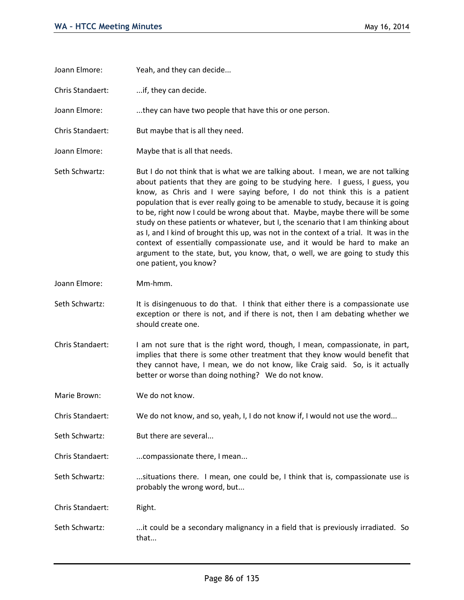| Joann Elmore: | Yeah, and they can decide |
|---------------|---------------------------|
|---------------|---------------------------|

Chris Standaert: ...if, they can decide.

Joann Elmore: ...they can have two people that have this or one person.

- Chris Standaert: But maybe that is all they need.
- Joann Elmore: Maybe that is all that needs.
- Seth Schwartz: But I do not think that is what we are talking about. I mean, we are not talking about patients that they are going to be studying here. I guess, I guess, you know, as Chris and I were saying before, I do not think this is a patient population that is ever really going to be amenable to study, because it is going to be, right now I could be wrong about that. Maybe, maybe there will be some study on these patients or whatever, but I, the scenario that I am thinking about as I, and I kind of brought this up, was not in the context of a trial. It was in the context of essentially compassionate use, and it would be hard to make an argument to the state, but, you know, that, o well, we are going to study this one patient, you know?
- Joann Elmore: Mm-hmm.
- Seth Schwartz: It is disingenuous to do that. I think that either there is a compassionate use exception or there is not, and if there is not, then I am debating whether we should create one.
- Chris Standaert: I am not sure that is the right word, though, I mean, compassionate, in part, implies that there is some other treatment that they know would benefit that they cannot have, I mean, we do not know, like Craig said. So, is it actually better or worse than doing nothing? We do not know.

Marie Brown: We do not know.

Chris Standaert: We do not know, and so, yeah, I, I do not know if, I would not use the word...

- Seth Schwartz: But there are several...
- Chris Standaert: ...compassionate there, I mean...

Seth Schwartz: ...situations there. I mean, one could be, I think that is, compassionate use is probably the wrong word, but...

Chris Standaert: Right.

Seth Schwartz: ...it could be a secondary malignancy in a field that is previously irradiated. So that...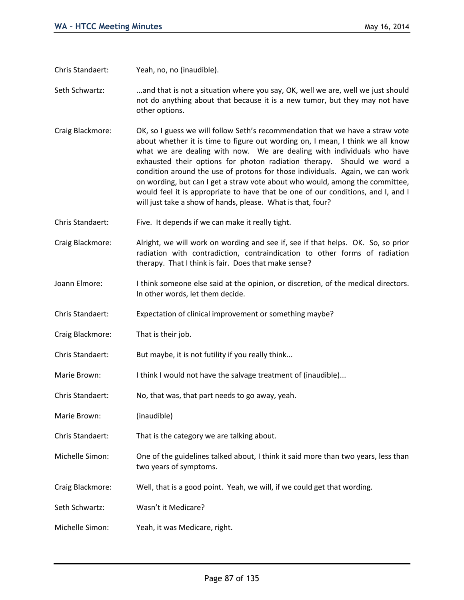Chris Standaert: Yeah, no, no (inaudible).

Seth Schwartz: ...and that is not a situation where you say, OK, well we are, well we just should not do anything about that because it is a new tumor, but they may not have other options.

- Craig Blackmore: OK, so I guess we will follow Seth's recommendation that we have a straw vote about whether it is time to figure out wording on, I mean, I think we all know what we are dealing with now. We are dealing with individuals who have exhausted their options for photon radiation therapy. Should we word a condition around the use of protons for those individuals. Again, we can work on wording, but can I get a straw vote about who would, among the committee, would feel it is appropriate to have that be one of our conditions, and I, and I will just take a show of hands, please. What is that, four?
- Chris Standaert: Five. It depends if we can make it really tight.
- Craig Blackmore: Alright, we will work on wording and see if, see if that helps. OK. So, so prior radiation with contradiction, contraindication to other forms of radiation therapy. That I think is fair. Does that make sense?
- Joann Elmore: I think someone else said at the opinion, or discretion, of the medical directors. In other words, let them decide.
- Chris Standaert: Expectation of clinical improvement or something maybe?
- Craig Blackmore: That is their job.
- Chris Standaert: But maybe, it is not futility if you really think...
- Marie Brown: I think I would not have the salvage treatment of (inaudible)...
- Chris Standaert: No, that was, that part needs to go away, yeah.
- Marie Brown: (inaudible)
- Chris Standaert: That is the category we are talking about.
- Michelle Simon: One of the guidelines talked about, I think it said more than two years, less than two years of symptoms.
- Craig Blackmore: Well, that is a good point. Yeah, we will, if we could get that wording.
- Seth Schwartz: Wasn't it Medicare?
- Michelle Simon: Yeah, it was Medicare, right.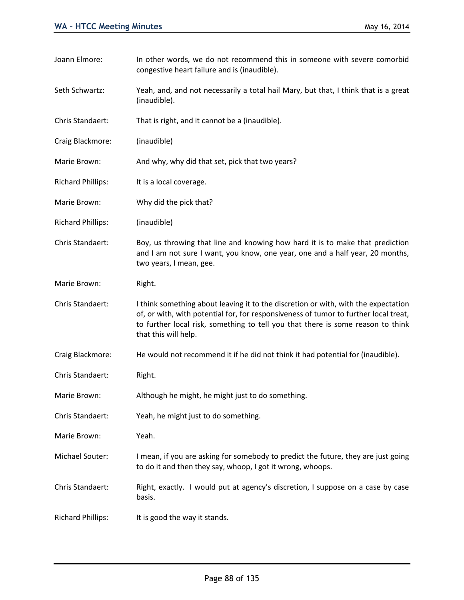Joann Elmore: In other words, we do not recommend this in someone with severe comorbid congestive heart failure and is (inaudible). Seth Schwartz: Yeah, and, and not necessarily a total hail Mary, but that, I think that is a great (inaudible). Chris Standaert: That is right, and it cannot be a (inaudible). Craig Blackmore: (inaudible) Marie Brown: And why, why did that set, pick that two years? Richard Phillips: It is a local coverage. Marie Brown: Why did the pick that? Richard Phillips: (inaudible) Chris Standaert: Boy, us throwing that line and knowing how hard it is to make that prediction and I am not sure I want, you know, one year, one and a half year, 20 months, two years, I mean, gee. Marie Brown: Right. Chris Standaert: I think something about leaving it to the discretion or with, with the expectation of, or with, with potential for, for responsiveness of tumor to further local treat, to further local risk, something to tell you that there is some reason to think that this will help. Craig Blackmore: He would not recommend it if he did not think it had potential for (inaudible). Chris Standaert: Right. Marie Brown: Although he might, he might just to do something. Chris Standaert: Yeah, he might just to do something. Marie Brown: Yeah. Michael Souter: I mean, if you are asking for somebody to predict the future, they are just going to do it and then they say, whoop, I got it wrong, whoops. Chris Standaert: Right, exactly. I would put at agency's discretion, I suppose on a case by case basis. Richard Phillips: It is good the way it stands.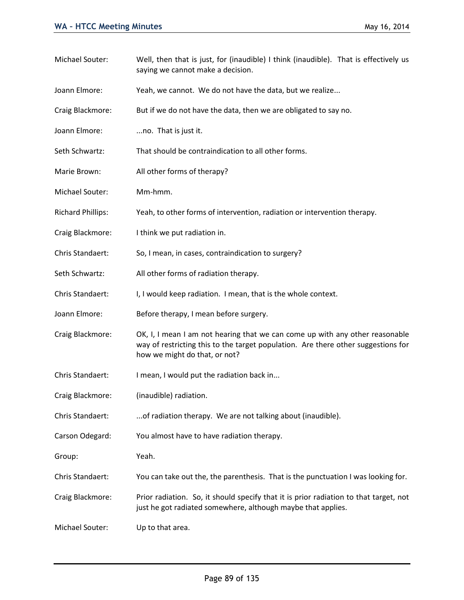Michael Souter: Well, then that is just, for (inaudible) I think (inaudible). That is effectively us saying we cannot make a decision. Joann Elmore: Yeah, we cannot. We do not have the data, but we realize... Craig Blackmore: But if we do not have the data, then we are obligated to say no. Joann Elmore: ...no. That is just it. Seth Schwartz: That should be contraindication to all other forms. Marie Brown: All other forms of therapy? Michael Souter: Mm-hmm. Richard Phillips: Yeah, to other forms of intervention, radiation or intervention therapy. Craig Blackmore: I think we put radiation in. Chris Standaert: So, I mean, in cases, contraindication to surgery? Seth Schwartz: All other forms of radiation therapy. Chris Standaert: I, I would keep radiation. I mean, that is the whole context. Joann Elmore: Before therapy, I mean before surgery. Craig Blackmore: OK, I, I mean I am not hearing that we can come up with any other reasonable way of restricting this to the target population. Are there other suggestions for how we might do that, or not? Chris Standaert: I mean, I would put the radiation back in... Craig Blackmore: (inaudible) radiation. Chris Standaert: ...of radiation therapy. We are not talking about (inaudible). Carson Odegard: You almost have to have radiation therapy. Group: Yeah. Chris Standaert: You can take out the, the parenthesis. That is the punctuation I was looking for. Craig Blackmore: Prior radiation. So, it should specify that it is prior radiation to that target, not just he got radiated somewhere, although maybe that applies.

Michael Souter: Up to that area.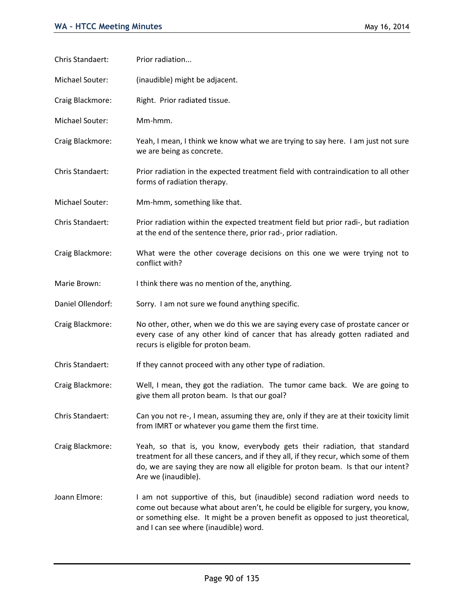| Chris Standaert:  | Prior radiation                                                                                                                                                                                                                                                                            |
|-------------------|--------------------------------------------------------------------------------------------------------------------------------------------------------------------------------------------------------------------------------------------------------------------------------------------|
| Michael Souter:   | (inaudible) might be adjacent.                                                                                                                                                                                                                                                             |
| Craig Blackmore:  | Right. Prior radiated tissue.                                                                                                                                                                                                                                                              |
| Michael Souter:   | Mm-hmm.                                                                                                                                                                                                                                                                                    |
| Craig Blackmore:  | Yeah, I mean, I think we know what we are trying to say here. I am just not sure<br>we are being as concrete.                                                                                                                                                                              |
| Chris Standaert:  | Prior radiation in the expected treatment field with contraindication to all other<br>forms of radiation therapy.                                                                                                                                                                          |
| Michael Souter:   | Mm-hmm, something like that.                                                                                                                                                                                                                                                               |
| Chris Standaert:  | Prior radiation within the expected treatment field but prior radi-, but radiation<br>at the end of the sentence there, prior rad-, prior radiation.                                                                                                                                       |
| Craig Blackmore:  | What were the other coverage decisions on this one we were trying not to<br>conflict with?                                                                                                                                                                                                 |
| Marie Brown:      | I think there was no mention of the, anything.                                                                                                                                                                                                                                             |
| Daniel Ollendorf: | Sorry. I am not sure we found anything specific.                                                                                                                                                                                                                                           |
| Craig Blackmore:  | No other, other, when we do this we are saying every case of prostate cancer or<br>every case of any other kind of cancer that has already gotten radiated and<br>recurs is eligible for proton beam.                                                                                      |
| Chris Standaert:  | If they cannot proceed with any other type of radiation.                                                                                                                                                                                                                                   |
| Craig Blackmore:  | Well, I mean, they got the radiation. The tumor came back. We are going to<br>give them all proton beam. Is that our goal?                                                                                                                                                                 |
| Chris Standaert:  | Can you not re-, I mean, assuming they are, only if they are at their toxicity limit<br>from IMRT or whatever you game them the first time.                                                                                                                                                |
| Craig Blackmore:  | Yeah, so that is, you know, everybody gets their radiation, that standard<br>treatment for all these cancers, and if they all, if they recur, which some of them<br>do, we are saying they are now all eligible for proton beam. Is that our intent?<br>Are we (inaudible).                |
| Joann Elmore:     | I am not supportive of this, but (inaudible) second radiation word needs to<br>come out because what about aren't, he could be eligible for surgery, you know,<br>or something else. It might be a proven benefit as opposed to just theoretical,<br>and I can see where (inaudible) word. |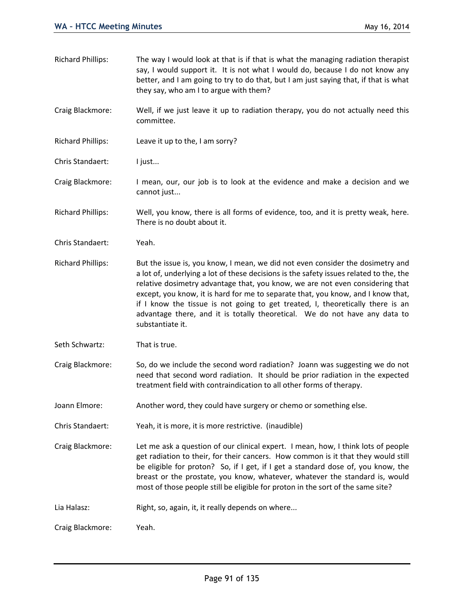Richard Phillips: The way I would look at that is if that is what the managing radiation therapist say, I would support it. It is not what I would do, because I do not know any better, and I am going to try to do that, but I am just saying that, if that is what they say, who am I to argue with them?

Craig Blackmore: Well, if we just leave it up to radiation therapy, you do not actually need this committee.

Richard Phillips: Leave it up to the, I am sorry?

Chris Standaert: I just...

- Craig Blackmore: I mean, our, our job is to look at the evidence and make a decision and we cannot just...
- Richard Phillips: Well, you know, there is all forms of evidence, too, and it is pretty weak, here. There is no doubt about it.
- Chris Standaert: Yeah.
- Richard Phillips: But the issue is, you know, I mean, we did not even consider the dosimetry and a lot of, underlying a lot of these decisions is the safety issues related to the, the relative dosimetry advantage that, you know, we are not even considering that except, you know, it is hard for me to separate that, you know, and I know that, if I know the tissue is not going to get treated, I, theoretically there is an advantage there, and it is totally theoretical. We do not have any data to substantiate it.
- Seth Schwartz: That is true.
- Craig Blackmore: So, do we include the second word radiation? Joann was suggesting we do not need that second word radiation. It should be prior radiation in the expected treatment field with contraindication to all other forms of therapy.
- Joann Elmore: Another word, they could have surgery or chemo or something else.
- Chris Standaert: Yeah, it is more, it is more restrictive. (inaudible)

Craig Blackmore: Let me ask a question of our clinical expert. I mean, how, I think lots of people get radiation to their, for their cancers. How common is it that they would still be eligible for proton? So, if I get, if I get a standard dose of, you know, the breast or the prostate, you know, whatever, whatever the standard is, would most of those people still be eligible for proton in the sort of the same site?

Lia Halasz: Right, so, again, it, it really depends on where...

Craig Blackmore: Yeah.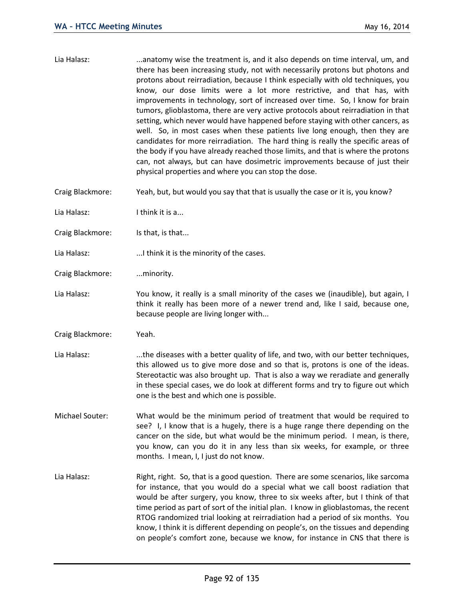- Lia Halasz: ...anatomy wise the treatment is, and it also depends on time interval, um, and there has been increasing study, not with necessarily protons but photons and protons about reirradiation, because I think especially with old techniques, you know, our dose limits were a lot more restrictive, and that has, with improvements in technology, sort of increased over time. So, I know for brain tumors, glioblastoma, there are very active protocols about reirradiation in that setting, which never would have happened before staying with other cancers, as well. So, in most cases when these patients live long enough, then they are candidates for more reirradiation. The hard thing is really the specific areas of the body if you have already reached those limits, and that is where the protons can, not always, but can have dosimetric improvements because of just their physical properties and where you can stop the dose. Craig Blackmore: Yeah, but, but would you say that that is usually the case or it is, you know? Lia Halasz: I think it is a... Craig Blackmore: Is that, is that... Lia Halasz: ...I think it is the minority of the cases. Craig Blackmore: ... minority. Lia Halasz: You know, it really is a small minority of the cases we (inaudible), but again, I think it really has been more of a newer trend and, like I said, because one, because people are living longer with... Craig Blackmore: Yeah.
- Lia Halasz: .....the diseases with a better quality of life, and two, with our better techniques, this allowed us to give more dose and so that is, protons is one of the ideas. Stereotactic was also brought up. That is also a way we reradiate and generally in these special cases, we do look at different forms and try to figure out which one is the best and which one is possible.
- Michael Souter: What would be the minimum period of treatment that would be required to see? I, I know that is a hugely, there is a huge range there depending on the cancer on the side, but what would be the minimum period. I mean, is there, you know, can you do it in any less than six weeks, for example, or three months. I mean, I, I just do not know.
- Lia Halasz: Right, right. So, that is a good question. There are some scenarios, like sarcoma for instance, that you would do a special what we call boost radiation that would be after surgery, you know, three to six weeks after, but I think of that time period as part of sort of the initial plan. I know in glioblastomas, the recent RTOG randomized trial looking at reirradiation had a period of six months. You know, I think it is different depending on people's, on the tissues and depending on people's comfort zone, because we know, for instance in CNS that there is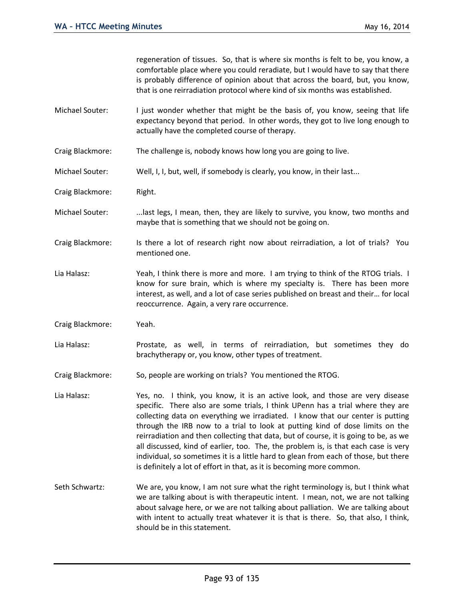regeneration of tissues. So, that is where six months is felt to be, you know, a comfortable place where you could reradiate, but I would have to say that there is probably difference of opinion about that across the board, but, you know, that is one reirradiation protocol where kind of six months was established.

- Michael Souter: I just wonder whether that might be the basis of, you know, seeing that life expectancy beyond that period. In other words, they got to live long enough to actually have the completed course of therapy.
- Craig Blackmore: The challenge is, nobody knows how long you are going to live.
- Michael Souter: Well, I, I, but, well, if somebody is clearly, you know, in their last...

Craig Blackmore: Right.

- Michael Souter: ...last legs, I mean, then, they are likely to survive, you know, two months and maybe that is something that we should not be going on.
- Craig Blackmore: Is there a lot of research right now about reirradiation, a lot of trials? You mentioned one.
- Lia Halasz: Yeah, I think there is more and more. I am trying to think of the RTOG trials. I know for sure brain, which is where my specialty is. There has been more interest, as well, and a lot of case series published on breast and their… for local reoccurrence. Again, a very rare occurrence.

Craig Blackmore: Yeah.

- Lia Halasz: Prostate, as well, in terms of reirradiation, but sometimes they do brachytherapy or, you know, other types of treatment.
- Craig Blackmore: So, people are working on trials? You mentioned the RTOG.
- Lia Halasz: Yes, no. I think, you know, it is an active look, and those are very disease specific. There also are some trials, I think UPenn has a trial where they are collecting data on everything we irradiated. I know that our center is putting through the IRB now to a trial to look at putting kind of dose limits on the reirradiation and then collecting that data, but of course, it is going to be, as we all discussed, kind of earlier, too. The, the problem is, is that each case is very individual, so sometimes it is a little hard to glean from each of those, but there is definitely a lot of effort in that, as it is becoming more common.
- Seth Schwartz: We are, you know, I am not sure what the right terminology is, but I think what we are talking about is with therapeutic intent. I mean, not, we are not talking about salvage here, or we are not talking about palliation. We are talking about with intent to actually treat whatever it is that is there. So, that also, I think, should be in this statement.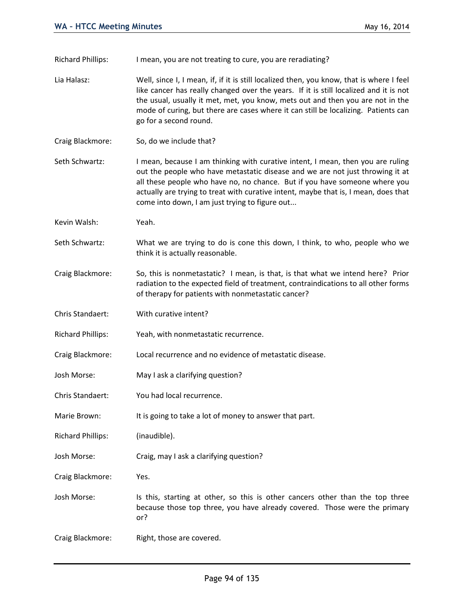Richard Phillips: I mean, you are not treating to cure, you are reradiating?

- Lia Halasz: Well, since I, I mean, if, if it is still localized then, you know, that is where I feel like cancer has really changed over the years. If it is still localized and it is not the usual, usually it met, met, you know, mets out and then you are not in the mode of curing, but there are cases where it can still be localizing. Patients can go for a second round.
- Craig Blackmore: So, do we include that?
- Seth Schwartz: I mean, because I am thinking with curative intent, I mean, then you are ruling out the people who have metastatic disease and we are not just throwing it at all these people who have no, no chance. But if you have someone where you actually are trying to treat with curative intent, maybe that is, I mean, does that come into down, I am just trying to figure out...
- Kevin Walsh: Yeah.
- Seth Schwartz: What we are trying to do is cone this down, I think, to who, people who we think it is actually reasonable.
- Craig Blackmore: So, this is nonmetastatic? I mean, is that, is that what we intend here? Prior radiation to the expected field of treatment, contraindications to all other forms of therapy for patients with nonmetastatic cancer?
- Chris Standaert: With curative intent?
- Richard Phillips: Yeah, with nonmetastatic recurrence.
- Craig Blackmore: Local recurrence and no evidence of metastatic disease.
- Josh Morse: May I ask a clarifying question?
- Chris Standaert: You had local recurrence.
- Marie Brown: It is going to take a lot of money to answer that part.
- Richard Phillips: (inaudible).
- Josh Morse: Craig, may I ask a clarifying question?
- Craig Blackmore: Yes.
- Josh Morse: Is this, starting at other, so this is other cancers other than the top three because those top three, you have already covered. Those were the primary or?
- Craig Blackmore: Right, those are covered.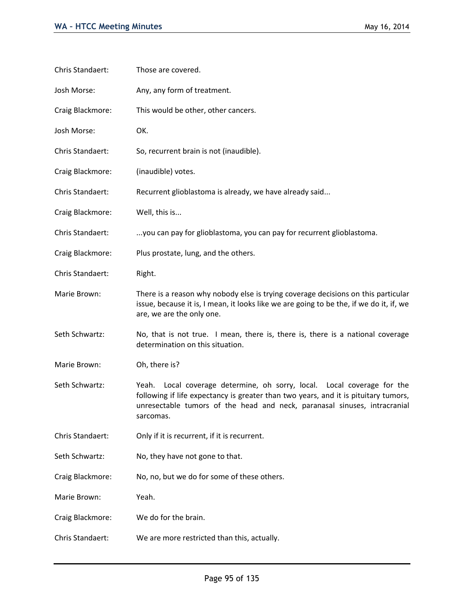| Chris Standaert: | Those are covered.                                                                                                                                                                                                                                          |
|------------------|-------------------------------------------------------------------------------------------------------------------------------------------------------------------------------------------------------------------------------------------------------------|
| Josh Morse:      | Any, any form of treatment.                                                                                                                                                                                                                                 |
| Craig Blackmore: | This would be other, other cancers.                                                                                                                                                                                                                         |
| Josh Morse:      | OK.                                                                                                                                                                                                                                                         |
| Chris Standaert: | So, recurrent brain is not (inaudible).                                                                                                                                                                                                                     |
| Craig Blackmore: | (inaudible) votes.                                                                                                                                                                                                                                          |
| Chris Standaert: | Recurrent glioblastoma is already, we have already said                                                                                                                                                                                                     |
| Craig Blackmore: | Well, this is                                                                                                                                                                                                                                               |
| Chris Standaert: | you can pay for glioblastoma, you can pay for recurrent glioblastoma.                                                                                                                                                                                       |
| Craig Blackmore: | Plus prostate, lung, and the others.                                                                                                                                                                                                                        |
| Chris Standaert: | Right.                                                                                                                                                                                                                                                      |
| Marie Brown:     | There is a reason why nobody else is trying coverage decisions on this particular<br>issue, because it is, I mean, it looks like we are going to be the, if we do it, if, we<br>are, we are the only one.                                                   |
| Seth Schwartz:   | No, that is not true. I mean, there is, there is, there is a national coverage<br>determination on this situation.                                                                                                                                          |
| Marie Brown:     | Oh, there is?                                                                                                                                                                                                                                               |
| Seth Schwartz:   | Local coverage determine, oh sorry, local. Local coverage for the<br>Yeah.<br>following if life expectancy is greater than two years, and it is pituitary tumors,<br>unresectable tumors of the head and neck, paranasal sinuses, intracranial<br>sarcomas. |
| Chris Standaert: | Only if it is recurrent, if it is recurrent.                                                                                                                                                                                                                |
| Seth Schwartz:   | No, they have not gone to that.                                                                                                                                                                                                                             |
| Craig Blackmore: | No, no, but we do for some of these others.                                                                                                                                                                                                                 |
| Marie Brown:     | Yeah.                                                                                                                                                                                                                                                       |
| Craig Blackmore: | We do for the brain.                                                                                                                                                                                                                                        |
| Chris Standaert: | We are more restricted than this, actually.                                                                                                                                                                                                                 |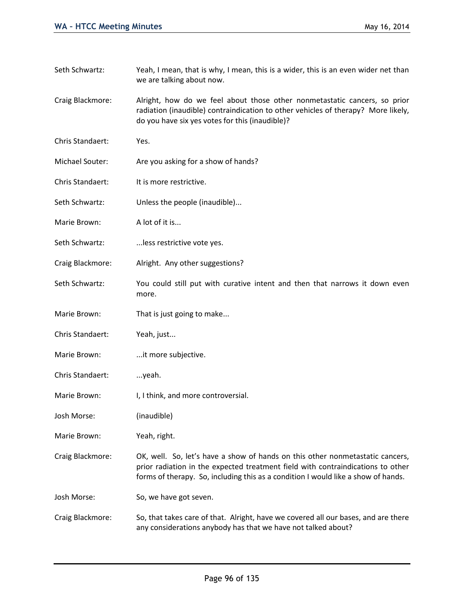we are talking about now. Craig Blackmore: Alright, how do we feel about those other nonmetastatic cancers, so prior radiation (inaudible) contraindication to other vehicles of therapy? More likely, do you have six yes votes for this (inaudible)? Chris Standaert: Yes. Michael Souter: Are you asking for a show of hands? Chris Standaert: It is more restrictive. Seth Schwartz: Unless the people (inaudible)... Marie Brown: A lot of it is... Seth Schwartz: ...less restrictive vote yes. Craig Blackmore: Alright. Any other suggestions? Seth Schwartz: You could still put with curative intent and then that narrows it down even more. Marie Brown: That is just going to make... Chris Standaert: Yeah, just... Marie Brown: ...it more subjective. Chris Standaert: ...yeah. Marie Brown: I, I think, and more controversial. Josh Morse: (inaudible) Marie Brown: Yeah, right. Craig Blackmore: OK, well. So, let's have a show of hands on this other nonmetastatic cancers, prior radiation in the expected treatment field with contraindications to other forms of therapy. So, including this as a condition I would like a show of hands. Josh Morse: So, we have got seven. Craig Blackmore: So, that takes care of that. Alright, have we covered all our bases, and are there any considerations anybody has that we have not talked about?

Seth Schwartz: Yeah, I mean, that is why, I mean, this is a wider, this is an even wider net than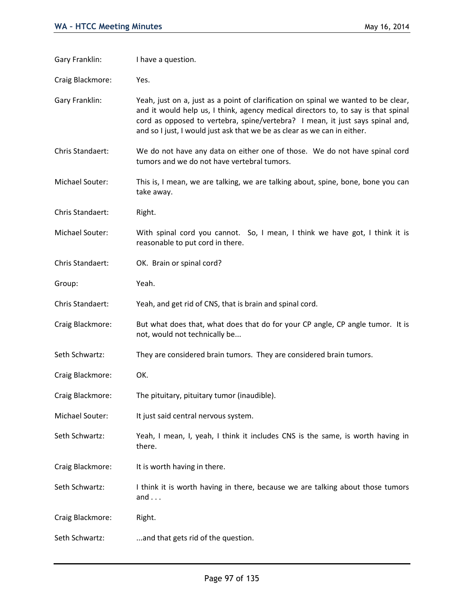| Gary Franklin:   | I have a question.                                                                                                                                                                                                                                                                                                                   |
|------------------|--------------------------------------------------------------------------------------------------------------------------------------------------------------------------------------------------------------------------------------------------------------------------------------------------------------------------------------|
| Craig Blackmore: | Yes.                                                                                                                                                                                                                                                                                                                                 |
| Gary Franklin:   | Yeah, just on a, just as a point of clarification on spinal we wanted to be clear,<br>and it would help us, I think, agency medical directors to, to say is that spinal<br>cord as opposed to vertebra, spine/vertebra? I mean, it just says spinal and,<br>and so I just, I would just ask that we be as clear as we can in either. |
| Chris Standaert: | We do not have any data on either one of those. We do not have spinal cord<br>tumors and we do not have vertebral tumors.                                                                                                                                                                                                            |
| Michael Souter:  | This is, I mean, we are talking, we are talking about, spine, bone, bone you can<br>take away.                                                                                                                                                                                                                                       |
| Chris Standaert: | Right.                                                                                                                                                                                                                                                                                                                               |
| Michael Souter:  | With spinal cord you cannot. So, I mean, I think we have got, I think it is<br>reasonable to put cord in there.                                                                                                                                                                                                                      |
| Chris Standaert: | OK. Brain or spinal cord?                                                                                                                                                                                                                                                                                                            |
| Group:           | Yeah.                                                                                                                                                                                                                                                                                                                                |
| Chris Standaert: | Yeah, and get rid of CNS, that is brain and spinal cord.                                                                                                                                                                                                                                                                             |
| Craig Blackmore: | But what does that, what does that do for your CP angle, CP angle tumor. It is<br>not, would not technically be                                                                                                                                                                                                                      |
| Seth Schwartz:   | They are considered brain tumors. They are considered brain tumors.                                                                                                                                                                                                                                                                  |
| Craig Blackmore: | OK.                                                                                                                                                                                                                                                                                                                                  |
| Craig Blackmore: | The pituitary, pituitary tumor (inaudible).                                                                                                                                                                                                                                                                                          |
| Michael Souter:  | It just said central nervous system.                                                                                                                                                                                                                                                                                                 |
| Seth Schwartz:   | Yeah, I mean, I, yeah, I think it includes CNS is the same, is worth having in<br>there.                                                                                                                                                                                                                                             |
| Craig Blackmore: | It is worth having in there.                                                                                                                                                                                                                                                                                                         |
| Seth Schwartz:   | I think it is worth having in there, because we are talking about those tumors<br>and $\ldots$                                                                                                                                                                                                                                       |
| Craig Blackmore: | Right.                                                                                                                                                                                                                                                                                                                               |
| Seth Schwartz:   | and that gets rid of the question.                                                                                                                                                                                                                                                                                                   |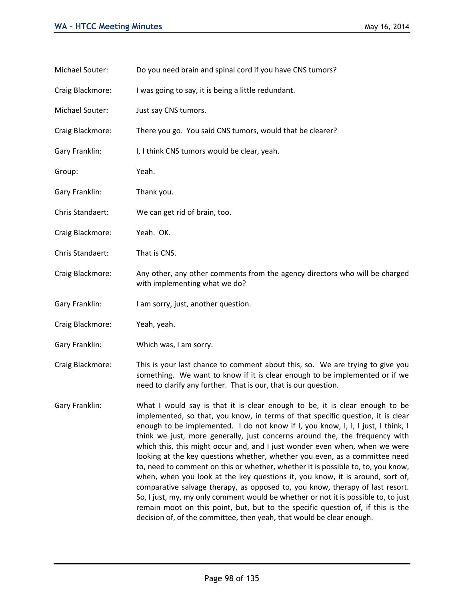| Michael Souter:  | Do you need brain and spinal cord if you have CNS tumors?                                                                                                                                                                                                                                                                                                                                                                                                                                                                                                                                                                                                            |
|------------------|----------------------------------------------------------------------------------------------------------------------------------------------------------------------------------------------------------------------------------------------------------------------------------------------------------------------------------------------------------------------------------------------------------------------------------------------------------------------------------------------------------------------------------------------------------------------------------------------------------------------------------------------------------------------|
| Craig Blackmore: | I was going to say, it is being a little redundant.                                                                                                                                                                                                                                                                                                                                                                                                                                                                                                                                                                                                                  |
| Michael Souter:  | Just say CNS tumors.                                                                                                                                                                                                                                                                                                                                                                                                                                                                                                                                                                                                                                                 |
| Craig Blackmore: | There you go. You said CNS tumors, would that be clearer?                                                                                                                                                                                                                                                                                                                                                                                                                                                                                                                                                                                                            |
| Gary Franklin:   | I, I think CNS tumors would be clear, yeah.                                                                                                                                                                                                                                                                                                                                                                                                                                                                                                                                                                                                                          |
| Group:           | Yeah.                                                                                                                                                                                                                                                                                                                                                                                                                                                                                                                                                                                                                                                                |
| Gary Franklin:   | Thank you.                                                                                                                                                                                                                                                                                                                                                                                                                                                                                                                                                                                                                                                           |
| Chris Standaert: | We can get rid of brain, too.                                                                                                                                                                                                                                                                                                                                                                                                                                                                                                                                                                                                                                        |
| Craig Blackmore: | Yeah. OK.                                                                                                                                                                                                                                                                                                                                                                                                                                                                                                                                                                                                                                                            |
| Chris Standaert: | That is CNS.                                                                                                                                                                                                                                                                                                                                                                                                                                                                                                                                                                                                                                                         |
| Craig Blackmore: | Any other, any other comments from the agency directors who will be charged<br>with implementing what we do?                                                                                                                                                                                                                                                                                                                                                                                                                                                                                                                                                         |
| Gary Franklin:   | I am sorry, just, another question.                                                                                                                                                                                                                                                                                                                                                                                                                                                                                                                                                                                                                                  |
| Craig Blackmore: | Yeah, yeah.                                                                                                                                                                                                                                                                                                                                                                                                                                                                                                                                                                                                                                                          |
| Gary Franklin:   | Which was, I am sorry.                                                                                                                                                                                                                                                                                                                                                                                                                                                                                                                                                                                                                                               |
| Craig Blackmore: | This is your last chance to comment about this, so. We are trying to give you<br>something. We want to know if it is clear enough to be implemented or if we<br>need to clarify any further. That is our, that is our question.                                                                                                                                                                                                                                                                                                                                                                                                                                      |
| Gary Franklin:   | What I would say is that it is clear enough to be, it is clear enough to be<br>implemented, so that, you know, in terms of that specific question, it is clear<br>enough to be implemented. I do not know if I, you know, I, I, I just, I think, I<br>think we just, more generally, just concerns around the, the frequency with<br>which this, this might occur and, and I just wonder even when, when we were<br>looking at the key questions whether, whether you even, as a committee need<br>to, need to comment on this or whether, whether it is possible to, to, you know,<br>when, when you look at the key questions it, you know, it is around, sort of, |

comparative salvage therapy, as opposed to, you know, therapy of last resort. So, I just, my, my only comment would be whether or not it is possible to, to just remain moot on this point, but, but to the specific question of, if this is the

decision of, of the committee, then yeah, that would be clear enough.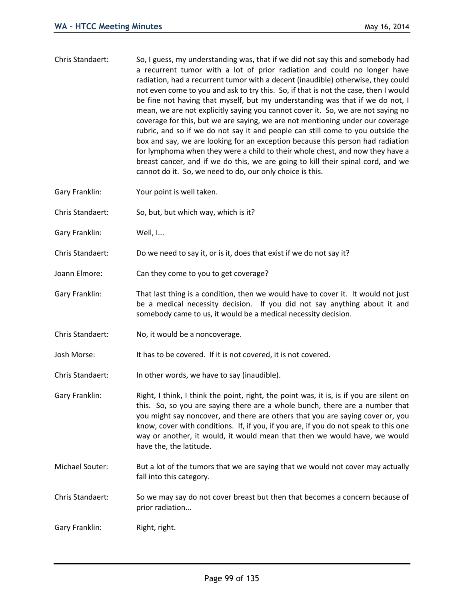- Chris Standaert: So, I guess, my understanding was, that if we did not say this and somebody had a recurrent tumor with a lot of prior radiation and could no longer have radiation, had a recurrent tumor with a decent (inaudible) otherwise, they could not even come to you and ask to try this. So, if that is not the case, then I would be fine not having that myself, but my understanding was that if we do not, I mean, we are not explicitly saying you cannot cover it. So, we are not saying no coverage for this, but we are saying, we are not mentioning under our coverage rubric, and so if we do not say it and people can still come to you outside the box and say, we are looking for an exception because this person had radiation for lymphoma when they were a child to their whole chest, and now they have a breast cancer, and if we do this, we are going to kill their spinal cord, and we cannot do it. So, we need to do, our only choice is this.
- Gary Franklin: Your point is well taken.
- Chris Standaert: So, but, but which way, which is it?
- Gary Franklin: Well, I...
- Chris Standaert: Do we need to say it, or is it, does that exist if we do not say it?
- Joann Elmore: Can they come to you to get coverage?
- Gary Franklin: That last thing is a condition, then we would have to cover it. It would not just be a medical necessity decision. If you did not say anything about it and somebody came to us, it would be a medical necessity decision.
- Chris Standaert: No, it would be a noncoverage.
- Josh Morse: It has to be covered. If it is not covered, it is not covered.
- Chris Standaert: In other words, we have to say (inaudible).
- Gary Franklin: Right, I think, I think the point, right, the point was, it is, is if you are silent on this. So, so you are saying there are a whole bunch, there are a number that you might say noncover, and there are others that you are saying cover or, you know, cover with conditions. If, if you, if you are, if you do not speak to this one way or another, it would, it would mean that then we would have, we would have the, the latitude.
- Michael Souter: But a lot of the tumors that we are saying that we would not cover may actually fall into this category.
- Chris Standaert: So we may say do not cover breast but then that becomes a concern because of prior radiation...
- Gary Franklin: Right, right.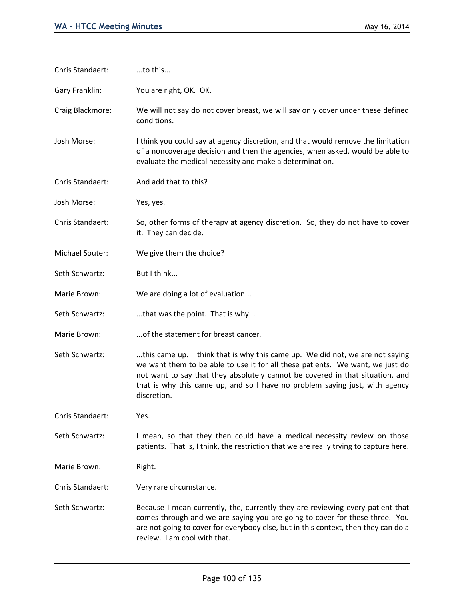| Chris Standaert: | to this                                                                                                                                                                                                                                                                                                                                       |
|------------------|-----------------------------------------------------------------------------------------------------------------------------------------------------------------------------------------------------------------------------------------------------------------------------------------------------------------------------------------------|
| Gary Franklin:   | You are right, OK. OK.                                                                                                                                                                                                                                                                                                                        |
| Craig Blackmore: | We will not say do not cover breast, we will say only cover under these defined<br>conditions.                                                                                                                                                                                                                                                |
| Josh Morse:      | I think you could say at agency discretion, and that would remove the limitation<br>of a noncoverage decision and then the agencies, when asked, would be able to<br>evaluate the medical necessity and make a determination.                                                                                                                 |
| Chris Standaert: | And add that to this?                                                                                                                                                                                                                                                                                                                         |
| Josh Morse:      | Yes, yes.                                                                                                                                                                                                                                                                                                                                     |
| Chris Standaert: | So, other forms of therapy at agency discretion. So, they do not have to cover<br>it. They can decide.                                                                                                                                                                                                                                        |
| Michael Souter:  | We give them the choice?                                                                                                                                                                                                                                                                                                                      |
| Seth Schwartz:   | But I think                                                                                                                                                                                                                                                                                                                                   |
| Marie Brown:     | We are doing a lot of evaluation                                                                                                                                                                                                                                                                                                              |
| Seth Schwartz:   | that was the point. That is why                                                                                                                                                                                                                                                                                                               |
| Marie Brown:     | of the statement for breast cancer.                                                                                                                                                                                                                                                                                                           |
| Seth Schwartz:   | this came up. I think that is why this came up. We did not, we are not saying<br>we want them to be able to use it for all these patients. We want, we just do<br>not want to say that they absolutely cannot be covered in that situation, and<br>that is why this came up, and so I have no problem saying just, with agency<br>discretion. |
| Chris Standaert: | Yes.                                                                                                                                                                                                                                                                                                                                          |
| Seth Schwartz:   | I mean, so that they then could have a medical necessity review on those<br>patients. That is, I think, the restriction that we are really trying to capture here.                                                                                                                                                                            |
| Marie Brown:     | Right.                                                                                                                                                                                                                                                                                                                                        |
| Chris Standaert: | Very rare circumstance.                                                                                                                                                                                                                                                                                                                       |
| Seth Schwartz:   | Because I mean currently, the, currently they are reviewing every patient that<br>comes through and we are saying you are going to cover for these three. You<br>are not going to cover for everybody else, but in this context, then they can do a<br>review. I am cool with that.                                                           |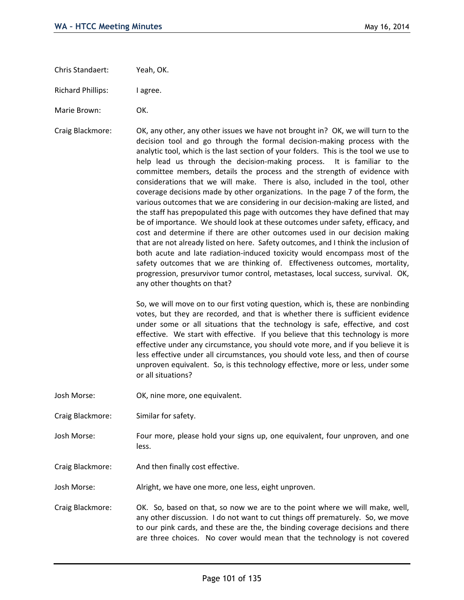Chris Standaert: Yeah, OK.

Richard Phillips: I agree.

Marie Brown: OK.

Craig Blackmore: OK, any other, any other issues we have not brought in? OK, we will turn to the decision tool and go through the formal decision-making process with the analytic tool, which is the last section of your folders. This is the tool we use to help lead us through the decision-making process. It is familiar to the committee members, details the process and the strength of evidence with considerations that we will make. There is also, included in the tool, other coverage decisions made by other organizations. In the page 7 of the form, the various outcomes that we are considering in our decision-making are listed, and the staff has prepopulated this page with outcomes they have defined that may be of importance. We should look at these outcomes under safety, efficacy, and cost and determine if there are other outcomes used in our decision making that are not already listed on here. Safety outcomes, and I think the inclusion of both acute and late radiation-induced toxicity would encompass most of the safety outcomes that we are thinking of. Effectiveness outcomes, mortality, progression, presurvivor tumor control, metastases, local success, survival. OK, any other thoughts on that?

> So, we will move on to our first voting question, which is, these are nonbinding votes, but they are recorded, and that is whether there is sufficient evidence under some or all situations that the technology is safe, effective, and cost effective. We start with effective. If you believe that this technology is more effective under any circumstance, you should vote more, and if you believe it is less effective under all circumstances, you should vote less, and then of course unproven equivalent. So, is this technology effective, more or less, under some or all situations?

- Josh Morse: OK, nine more, one equivalent.
- Craig Blackmore: Similar for safety.
- Josh Morse: Four more, please hold your signs up, one equivalent, four unproven, and one less.
- Craig Blackmore: And then finally cost effective.

Josh Morse: Alright, we have one more, one less, eight unproven.

Craig Blackmore: OK. So, based on that, so now we are to the point where we will make, well, any other discussion. I do not want to cut things off prematurely. So, we move to our pink cards, and these are the, the binding coverage decisions and there are three choices. No cover would mean that the technology is not covered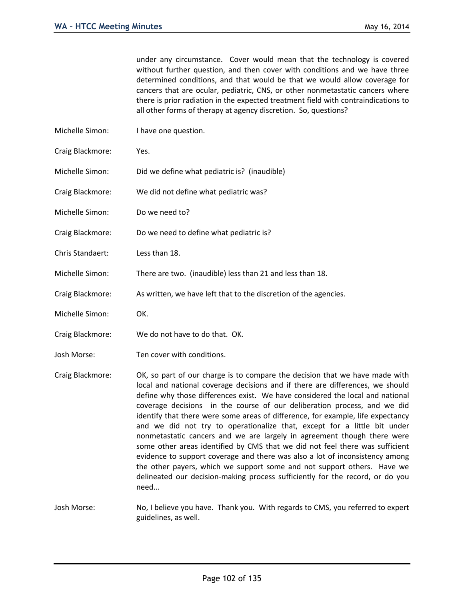under any circumstance. Cover would mean that the technology is covered without further question, and then cover with conditions and we have three determined conditions, and that would be that we would allow coverage for cancers that are ocular, pediatric, CNS, or other nonmetastatic cancers where there is prior radiation in the expected treatment field with contraindications to all other forms of therapy at agency discretion. So, questions?

- Michelle Simon: I have one question.
- Craig Blackmore: Yes.
- Michelle Simon: Did we define what pediatric is? (inaudible)
- Craig Blackmore: We did not define what pediatric was?
- Michelle Simon: Do we need to?
- Craig Blackmore: Do we need to define what pediatric is?
- Chris Standaert: Less than 18.
- Michelle Simon: There are two. (inaudible) less than 21 and less than 18.
- Craig Blackmore: As written, we have left that to the discretion of the agencies.
- Michelle Simon: OK.
- Craig Blackmore: We do not have to do that. OK.
- Josh Morse: Ten cover with conditions.
- Craig Blackmore: OK, so part of our charge is to compare the decision that we have made with local and national coverage decisions and if there are differences, we should define why those differences exist. We have considered the local and national coverage decisions in the course of our deliberation process, and we did identify that there were some areas of difference, for example, life expectancy and we did not try to operationalize that, except for a little bit under nonmetastatic cancers and we are largely in agreement though there were some other areas identified by CMS that we did not feel there was sufficient evidence to support coverage and there was also a lot of inconsistency among the other payers, which we support some and not support others. Have we delineated our decision-making process sufficiently for the record, or do you need...

Josh Morse: No, I believe you have. Thank you. With regards to CMS, you referred to expert guidelines, as well.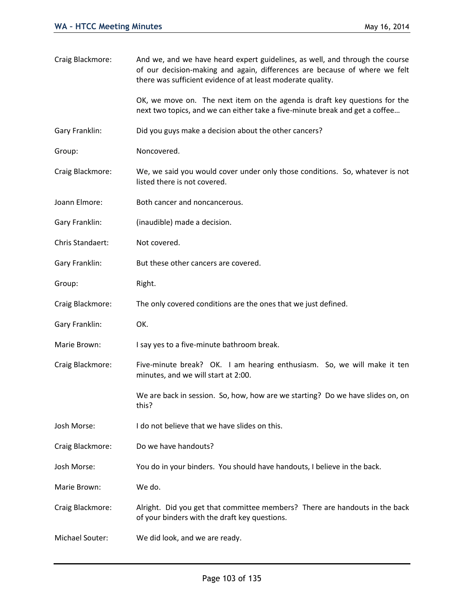| Craig Blackmore: | And we, and we have heard expert guidelines, as well, and through the course<br>of our decision-making and again, differences are because of where we felt<br>there was sufficient evidence of at least moderate quality. |
|------------------|---------------------------------------------------------------------------------------------------------------------------------------------------------------------------------------------------------------------------|
|                  | OK, we move on. The next item on the agenda is draft key questions for the<br>next two topics, and we can either take a five-minute break and get a coffee                                                                |
| Gary Franklin:   | Did you guys make a decision about the other cancers?                                                                                                                                                                     |
| Group:           | Noncovered.                                                                                                                                                                                                               |
| Craig Blackmore: | We, we said you would cover under only those conditions. So, whatever is not<br>listed there is not covered.                                                                                                              |
| Joann Elmore:    | Both cancer and noncancerous.                                                                                                                                                                                             |
| Gary Franklin:   | (inaudible) made a decision.                                                                                                                                                                                              |
| Chris Standaert: | Not covered.                                                                                                                                                                                                              |
| Gary Franklin:   | But these other cancers are covered.                                                                                                                                                                                      |
| Group:           | Right.                                                                                                                                                                                                                    |
| Craig Blackmore: | The only covered conditions are the ones that we just defined.                                                                                                                                                            |
| Gary Franklin:   | OK.                                                                                                                                                                                                                       |
| Marie Brown:     | I say yes to a five-minute bathroom break.                                                                                                                                                                                |
| Craig Blackmore: | Five-minute break? OK. I am hearing enthusiasm. So, we will make it ten<br>minutes, and we will start at 2:00.                                                                                                            |
|                  | We are back in session. So, how, how are we starting? Do we have slides on, on<br>this?                                                                                                                                   |
| Josh Morse:      | I do not believe that we have slides on this.                                                                                                                                                                             |
| Craig Blackmore: | Do we have handouts?                                                                                                                                                                                                      |
| Josh Morse:      | You do in your binders. You should have handouts, I believe in the back.                                                                                                                                                  |
| Marie Brown:     | We do.                                                                                                                                                                                                                    |
| Craig Blackmore: | Alright. Did you get that committee members? There are handouts in the back<br>of your binders with the draft key questions.                                                                                              |
| Michael Souter:  | We did look, and we are ready.                                                                                                                                                                                            |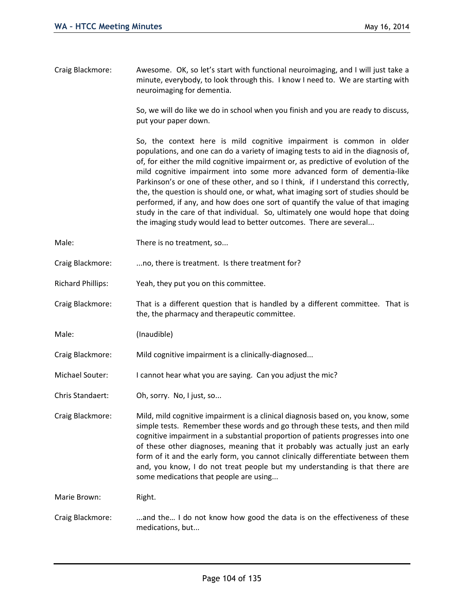Craig Blackmore: Awesome. OK, so let's start with functional neuroimaging, and I will just take a minute, everybody, to look through this. I know I need to. We are starting with neuroimaging for dementia.

> So, we will do like we do in school when you finish and you are ready to discuss, put your paper down.

> So, the context here is mild cognitive impairment is common in older populations, and one can do a variety of imaging tests to aid in the diagnosis of, of, for either the mild cognitive impairment or, as predictive of evolution of the mild cognitive impairment into some more advanced form of dementia-like Parkinson's or one of these other, and so I think, if I understand this correctly, the, the question is should one, or what, what imaging sort of studies should be performed, if any, and how does one sort of quantify the value of that imaging study in the care of that individual. So, ultimately one would hope that doing the imaging study would lead to better outcomes. There are several...

- Male: There is no treatment, so...
- Craig Blackmore: ...no, there is treatment. Is there treatment for?
- Richard Phillips: Yeah, they put you on this committee.
- Craig Blackmore: That is a different question that is handled by a different committee. That is the, the pharmacy and therapeutic committee.

Male: (Inaudible)

Craig Blackmore: Mild cognitive impairment is a clinically-diagnosed...

- Michael Souter: I cannot hear what you are saying. Can you adjust the mic?
- Chris Standaert: Oh, sorry. No, I just, so...

Craig Blackmore: Mild, mild cognitive impairment is a clinical diagnosis based on, you know, some simple tests. Remember these words and go through these tests, and then mild cognitive impairment in a substantial proportion of patients progresses into one of these other diagnoses, meaning that it probably was actually just an early form of it and the early form, you cannot clinically differentiate between them and, you know, I do not treat people but my understanding is that there are some medications that people are using...

Marie Brown: Right.

Craig Blackmore: ...and the... I do not know how good the data is on the effectiveness of these medications, but...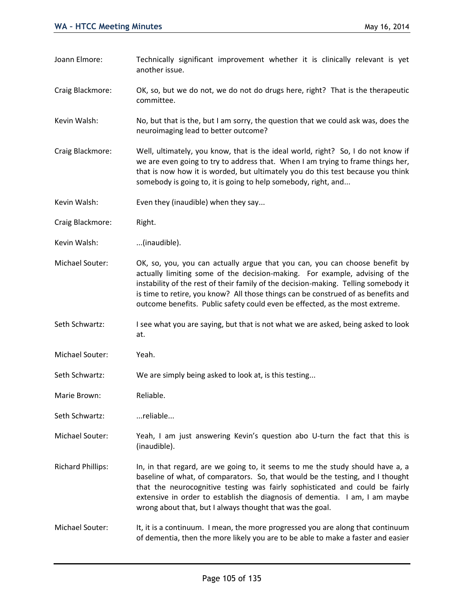- Joann Elmore: Technically significant improvement whether it is clinically relevant is yet another issue.
- Craig Blackmore: OK, so, but we do not, we do not do drugs here, right? That is the therapeutic committee.
- Kevin Walsh: No, but that is the, but I am sorry, the question that we could ask was, does the neuroimaging lead to better outcome?
- Craig Blackmore: Well, ultimately, you know, that is the ideal world, right? So, I do not know if we are even going to try to address that. When I am trying to frame things her, that is now how it is worded, but ultimately you do this test because you think somebody is going to, it is going to help somebody, right, and...
- Kevin Walsh: Even they (inaudible) when they say...
- Craig Blackmore: Right.
- Kevin Walsh: ...(inaudible).
- Michael Souter: OK, so, you, you can actually argue that you can, you can choose benefit by actually limiting some of the decision-making. For example, advising of the instability of the rest of their family of the decision-making. Telling somebody it is time to retire, you know? All those things can be construed of as benefits and outcome benefits. Public safety could even be effected, as the most extreme.
- Seth Schwartz: I see what you are saying, but that is not what we are asked, being asked to look at.
- Michael Souter: Yeah.
- Seth Schwartz: We are simply being asked to look at, is this testing...
- Marie Brown: Reliable.
- Seth Schwartz: ...reliable...
- Michael Souter: Yeah, I am just answering Kevin's question abo U-turn the fact that this is (inaudible).
- Richard Phillips: In, in that regard, are we going to, it seems to me the study should have a, a baseline of what, of comparators. So, that would be the testing, and I thought that the neurocognitive testing was fairly sophisticated and could be fairly extensive in order to establish the diagnosis of dementia. I am, I am maybe wrong about that, but I always thought that was the goal.
- Michael Souter: It, it is a continuum. I mean, the more progressed you are along that continuum of dementia, then the more likely you are to be able to make a faster and easier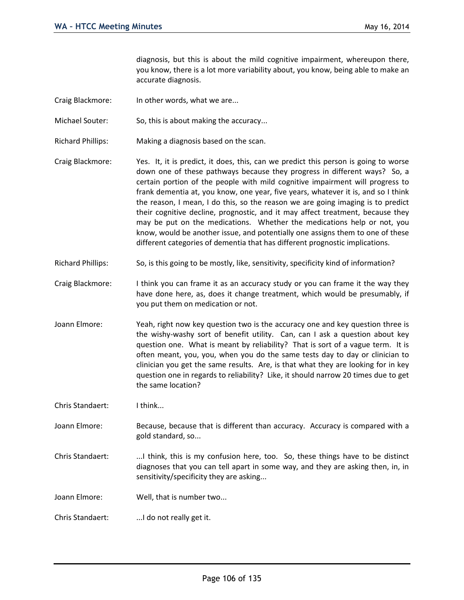diagnosis, but this is about the mild cognitive impairment, whereupon there, you know, there is a lot more variability about, you know, being able to make an accurate diagnosis.

- Craig Blackmore: In other words, what we are...
- Michael Souter: So, this is about making the accuracy...
- Richard Phillips: Making a diagnosis based on the scan.
- Craig Blackmore: Yes. It, it is predict, it does, this, can we predict this person is going to worse down one of these pathways because they progress in different ways? So, a certain portion of the people with mild cognitive impairment will progress to frank dementia at, you know, one year, five years, whatever it is, and so I think the reason, I mean, I do this, so the reason we are going imaging is to predict their cognitive decline, prognostic, and it may affect treatment, because they may be put on the medications. Whether the medications help or not, you know, would be another issue, and potentially one assigns them to one of these different categories of dementia that has different prognostic implications.
- Richard Phillips: So, is this going to be mostly, like, sensitivity, specificity kind of information?
- Craig Blackmore: I think you can frame it as an accuracy study or you can frame it the way they have done here, as, does it change treatment, which would be presumably, if you put them on medication or not.
- Joann Elmore: Yeah, right now key question two is the accuracy one and key question three is the wishy-washy sort of benefit utility. Can, can I ask a question about key question one. What is meant by reliability? That is sort of a vague term. It is often meant, you, you, when you do the same tests day to day or clinician to clinician you get the same results. Are, is that what they are looking for in key question one in regards to reliability? Like, it should narrow 20 times due to get the same location?

Chris Standaert: I think...

- Joann Elmore: Because, because that is different than accuracy. Accuracy is compared with a gold standard, so...
- Chris Standaert: ...I think, this is my confusion here, too. So, these things have to be distinct diagnoses that you can tell apart in some way, and they are asking then, in, in sensitivity/specificity they are asking...
- Joann Elmore: Well, that is number two...
- Chris Standaert: ...I do not really get it.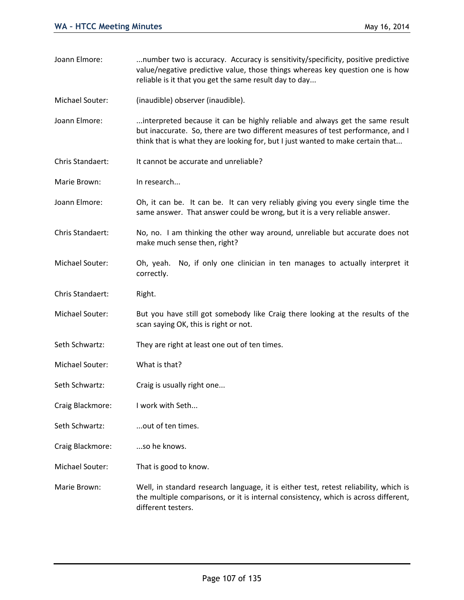| Joann Elmore:    | number two is accuracy. Accuracy is sensitivity/specificity, positive predictive<br>value/negative predictive value, those things whereas key question one is how<br>reliable is it that you get the same result day to day                        |
|------------------|----------------------------------------------------------------------------------------------------------------------------------------------------------------------------------------------------------------------------------------------------|
| Michael Souter:  | (inaudible) observer (inaudible).                                                                                                                                                                                                                  |
| Joann Elmore:    | interpreted because it can be highly reliable and always get the same result<br>but inaccurate. So, there are two different measures of test performance, and I<br>think that is what they are looking for, but I just wanted to make certain that |
| Chris Standaert: | It cannot be accurate and unreliable?                                                                                                                                                                                                              |
| Marie Brown:     | In research                                                                                                                                                                                                                                        |
| Joann Elmore:    | Oh, it can be. It can be. It can very reliably giving you every single time the<br>same answer. That answer could be wrong, but it is a very reliable answer.                                                                                      |
| Chris Standaert: | No, no. I am thinking the other way around, unreliable but accurate does not<br>make much sense then, right?                                                                                                                                       |
| Michael Souter:  | No, if only one clinician in ten manages to actually interpret it<br>Oh, yeah.<br>correctly.                                                                                                                                                       |
| Chris Standaert: | Right.                                                                                                                                                                                                                                             |
| Michael Souter:  | But you have still got somebody like Craig there looking at the results of the<br>scan saying OK, this is right or not.                                                                                                                            |
| Seth Schwartz:   | They are right at least one out of ten times.                                                                                                                                                                                                      |
| Michael Souter:  | What is that?                                                                                                                                                                                                                                      |
| Seth Schwartz:   | Craig is usually right one                                                                                                                                                                                                                         |
| Craig Blackmore: | I work with Seth                                                                                                                                                                                                                                   |
| Seth Schwartz:   | out of ten times.                                                                                                                                                                                                                                  |
| Craig Blackmore: | so he knows.                                                                                                                                                                                                                                       |
| Michael Souter:  | That is good to know.                                                                                                                                                                                                                              |
| Marie Brown:     | Well, in standard research language, it is either test, retest reliability, which is<br>the multiple comparisons, or it is internal consistency, which is across different,<br>different testers.                                                  |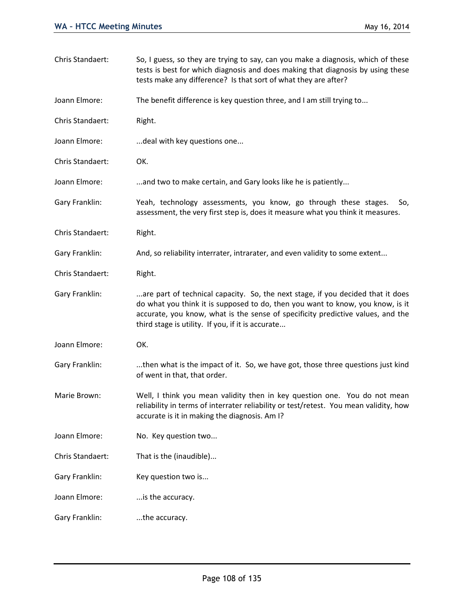| Chris Standaert: | So, I guess, so they are trying to say, can you make a diagnosis, which of these<br>tests is best for which diagnosis and does making that diagnosis by using these<br>tests make any difference? Is that sort of what they are after?                                                                    |
|------------------|-----------------------------------------------------------------------------------------------------------------------------------------------------------------------------------------------------------------------------------------------------------------------------------------------------------|
| Joann Elmore:    | The benefit difference is key question three, and I am still trying to                                                                                                                                                                                                                                    |
| Chris Standaert: | Right.                                                                                                                                                                                                                                                                                                    |
| Joann Elmore:    | deal with key questions one                                                                                                                                                                                                                                                                               |
| Chris Standaert: | OK.                                                                                                                                                                                                                                                                                                       |
| Joann Elmore:    | and two to make certain, and Gary looks like he is patiently                                                                                                                                                                                                                                              |
| Gary Franklin:   | Yeah, technology assessments, you know, go through these stages.<br>So,<br>assessment, the very first step is, does it measure what you think it measures.                                                                                                                                                |
| Chris Standaert: | Right.                                                                                                                                                                                                                                                                                                    |
| Gary Franklin:   | And, so reliability interrater, intrarater, and even validity to some extent                                                                                                                                                                                                                              |
| Chris Standaert: | Right.                                                                                                                                                                                                                                                                                                    |
| Gary Franklin:   | are part of technical capacity. So, the next stage, if you decided that it does<br>do what you think it is supposed to do, then you want to know, you know, is it<br>accurate, you know, what is the sense of specificity predictive values, and the<br>third stage is utility. If you, if it is accurate |
| Joann Elmore:    | OK.                                                                                                                                                                                                                                                                                                       |
| Gary Franklin:   | then what is the impact of it. So, we have got, those three questions just kind<br>of went in that, that order.                                                                                                                                                                                           |
| Marie Brown:     | Well, I think you mean validity then in key question one. You do not mean<br>reliability in terms of interrater reliability or test/retest. You mean validity, how<br>accurate is it in making the diagnosis. Am I?                                                                                       |
| Joann Elmore:    | No. Key question two                                                                                                                                                                                                                                                                                      |
| Chris Standaert: | That is the (inaudible)                                                                                                                                                                                                                                                                                   |
| Gary Franklin:   | Key question two is                                                                                                                                                                                                                                                                                       |
| Joann Elmore:    | is the accuracy.                                                                                                                                                                                                                                                                                          |
| Gary Franklin:   | the accuracy.                                                                                                                                                                                                                                                                                             |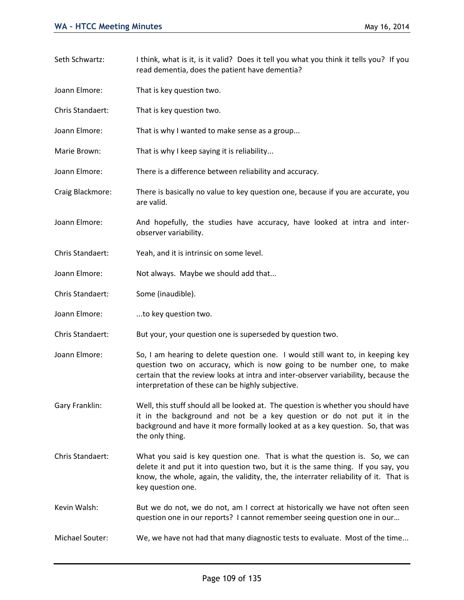| Seth Schwartz:   | I think, what is it, is it valid? Does it tell you what you think it tells you? If you<br>read dementia, does the patient have dementia?                                                                                                                                                            |
|------------------|-----------------------------------------------------------------------------------------------------------------------------------------------------------------------------------------------------------------------------------------------------------------------------------------------------|
| Joann Elmore:    | That is key question two.                                                                                                                                                                                                                                                                           |
| Chris Standaert: | That is key question two.                                                                                                                                                                                                                                                                           |
| Joann Elmore:    | That is why I wanted to make sense as a group                                                                                                                                                                                                                                                       |
| Marie Brown:     | That is why I keep saying it is reliability                                                                                                                                                                                                                                                         |
| Joann Elmore:    | There is a difference between reliability and accuracy.                                                                                                                                                                                                                                             |
| Craig Blackmore: | There is basically no value to key question one, because if you are accurate, you<br>are valid.                                                                                                                                                                                                     |
| Joann Elmore:    | And hopefully, the studies have accuracy, have looked at intra and inter-<br>observer variability.                                                                                                                                                                                                  |
| Chris Standaert: | Yeah, and it is intrinsic on some level.                                                                                                                                                                                                                                                            |
| Joann Elmore:    | Not always. Maybe we should add that                                                                                                                                                                                                                                                                |
| Chris Standaert: | Some (inaudible).                                                                                                                                                                                                                                                                                   |
| Joann Elmore:    | to key question two.                                                                                                                                                                                                                                                                                |
| Chris Standaert: | But your, your question one is superseded by question two.                                                                                                                                                                                                                                          |
| Joann Elmore:    | So, I am hearing to delete question one. I would still want to, in keeping key<br>question two on accuracy, which is now going to be number one, to make<br>certain that the review looks at intra and inter-observer variability, because the<br>interpretation of these can be highly subjective. |
| Gary Franklin:   | Well, this stuff should all be looked at. The question is whether you should have<br>it in the background and not be a key question or do not put it in the<br>background and have it more formally looked at as a key question. So, that was<br>the only thing.                                    |
| Chris Standaert: | What you said is key question one. That is what the question is. So, we can<br>delete it and put it into question two, but it is the same thing. If you say, you<br>know, the whole, again, the validity, the, the interrater reliability of it. That is<br>key question one.                       |
| Kevin Walsh:     | But we do not, we do not, am I correct at historically we have not often seen<br>question one in our reports? I cannot remember seeing question one in our                                                                                                                                          |
| Michael Souter:  | We, we have not had that many diagnostic tests to evaluate. Most of the time                                                                                                                                                                                                                        |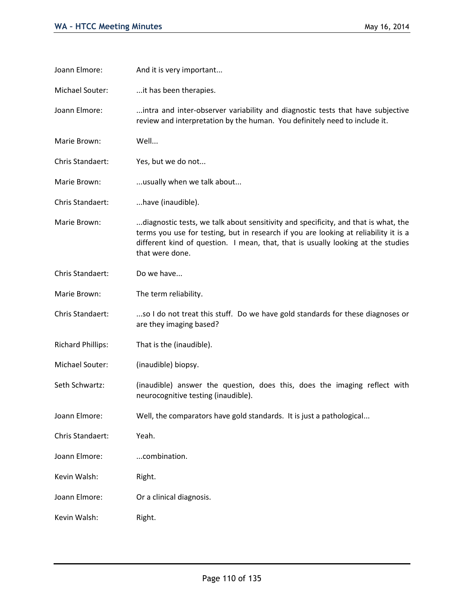| Joann Elmore:            | And it is very important                                                                                                                                                                                                                                                          |
|--------------------------|-----------------------------------------------------------------------------------------------------------------------------------------------------------------------------------------------------------------------------------------------------------------------------------|
| Michael Souter:          | it has been therapies.                                                                                                                                                                                                                                                            |
| Joann Elmore:            | intra and inter-observer variability and diagnostic tests that have subjective<br>review and interpretation by the human. You definitely need to include it.                                                                                                                      |
| Marie Brown:             | Well                                                                                                                                                                                                                                                                              |
| Chris Standaert:         | Yes, but we do not                                                                                                                                                                                                                                                                |
| Marie Brown:             | usually when we talk about                                                                                                                                                                                                                                                        |
| Chris Standaert:         | have (inaudible).                                                                                                                                                                                                                                                                 |
| Marie Brown:             | diagnostic tests, we talk about sensitivity and specificity, and that is what, the<br>terms you use for testing, but in research if you are looking at reliability it is a<br>different kind of question. I mean, that, that is usually looking at the studies<br>that were done. |
| Chris Standaert:         | Do we have                                                                                                                                                                                                                                                                        |
| Marie Brown:             | The term reliability.                                                                                                                                                                                                                                                             |
| Chris Standaert:         | so I do not treat this stuff. Do we have gold standards for these diagnoses or<br>are they imaging based?                                                                                                                                                                         |
| <b>Richard Phillips:</b> | That is the (inaudible).                                                                                                                                                                                                                                                          |
| Michael Souter:          | (inaudible) biopsy.                                                                                                                                                                                                                                                               |
| Seth Schwartz:           | (inaudible) answer the question, does this, does the imaging reflect with<br>neurocognitive testing (inaudible).                                                                                                                                                                  |
| Joann Elmore:            | Well, the comparators have gold standards. It is just a pathological                                                                                                                                                                                                              |
| Chris Standaert:         | Yeah.                                                                                                                                                                                                                                                                             |
| Joann Elmore:            | combination.                                                                                                                                                                                                                                                                      |
| Kevin Walsh:             | Right.                                                                                                                                                                                                                                                                            |
| Joann Elmore:            | Or a clinical diagnosis.                                                                                                                                                                                                                                                          |
| Kevin Walsh:             | Right.                                                                                                                                                                                                                                                                            |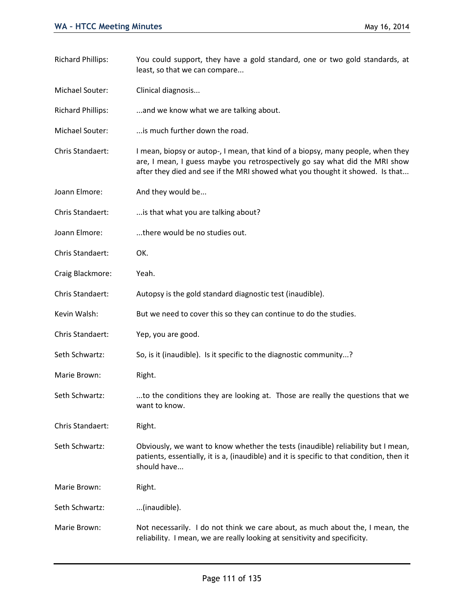least, so that we can compare... Michael Souter: Clinical diagnosis... Richard Phillips: ...and we know what we are talking about. Michael Souter: ...is much further down the road. Chris Standaert: I mean, biopsy or autop-, I mean, that kind of a biopsy, many people, when they are, I mean, I guess maybe you retrospectively go say what did the MRI show after they died and see if the MRI showed what you thought it showed. Is that... Joann Elmore: And they would be... Chris Standaert: ...is that what you are talking about? Joann Elmore: ...there would be no studies out. Chris Standaert: OK. Craig Blackmore: Yeah. Chris Standaert: Autopsy is the gold standard diagnostic test (inaudible). Kevin Walsh: But we need to cover this so they can continue to do the studies. Chris Standaert: Yep, you are good. Seth Schwartz: So, is it (inaudible). Is it specific to the diagnostic community...? Marie Brown: Right. Seth Schwartz: ...to the conditions they are looking at. Those are really the questions that we want to know. Chris Standaert: Right. Seth Schwartz: Obviously, we want to know whether the tests (inaudible) reliability but I mean, patients, essentially, it is a, (inaudible) and it is specific to that condition, then it should have... Marie Brown: Right. Seth Schwartz: ...(inaudible). Marie Brown: Not necessarily. I do not think we care about, as much about the, I mean, the

Richard Phillips: You could support, they have a gold standard, one or two gold standards, at

reliability. I mean, we are really looking at sensitivity and specificity.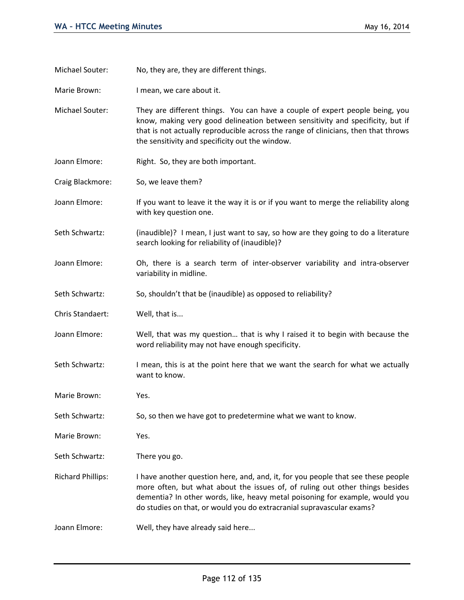Michael Souter: No, they are, they are different things.

Marie Brown: I mean, we care about it.

- Michael Souter: They are different things. You can have a couple of expert people being, you know, making very good delineation between sensitivity and specificity, but if that is not actually reproducible across the range of clinicians, then that throws the sensitivity and specificity out the window.
- Joann Elmore: Right. So, they are both important.
- Craig Blackmore: So, we leave them?
- Joann Elmore: If you want to leave it the way it is or if you want to merge the reliability along with key question one.
- Seth Schwartz: (inaudible)? I mean, I just want to say, so how are they going to do a literature search looking for reliability of (inaudible)?
- Joann Elmore: Oh, there is a search term of inter-observer variability and intra-observer variability in midline.
- Seth Schwartz: So, shouldn't that be (inaudible) as opposed to reliability?
- Chris Standaert: Well, that is...
- Joann Elmore: Well, that was my question… that is why I raised it to begin with because the word reliability may not have enough specificity.
- Seth Schwartz: I mean, this is at the point here that we want the search for what we actually want to know.
- Marie Brown: Yes.
- Seth Schwartz: So, so then we have got to predetermine what we want to know.
- Marie Brown: Yes.
- Seth Schwartz: There you go.
- Richard Phillips: I have another question here, and, and, it, for you people that see these people more often, but what about the issues of, of ruling out other things besides dementia? In other words, like, heavy metal poisoning for example, would you do studies on that, or would you do extracranial supravascular exams?
- Joann Elmore: Well, they have already said here...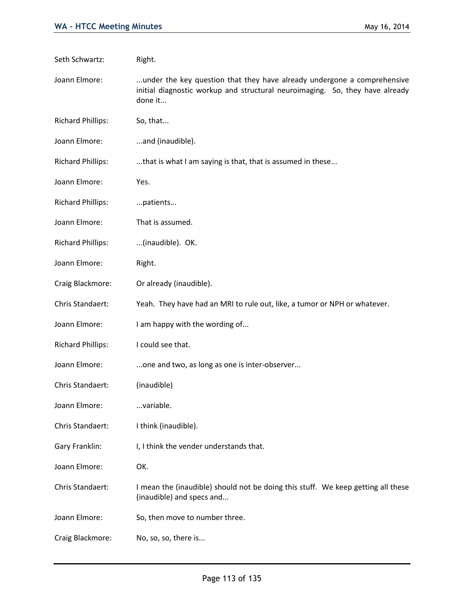| Seth Schwartz:           | Right.                                                                                                                                                             |
|--------------------------|--------------------------------------------------------------------------------------------------------------------------------------------------------------------|
| Joann Elmore:            | under the key question that they have already undergone a comprehensive<br>initial diagnostic workup and structural neuroimaging. So, they have already<br>done it |
| <b>Richard Phillips:</b> | So, that                                                                                                                                                           |
| Joann Elmore:            | and (inaudible).                                                                                                                                                   |
| <b>Richard Phillips:</b> | that is what I am saying is that, that is assumed in these                                                                                                         |
| Joann Elmore:            | Yes.                                                                                                                                                               |
| <b>Richard Phillips:</b> | patients                                                                                                                                                           |
| Joann Elmore:            | That is assumed.                                                                                                                                                   |
| <b>Richard Phillips:</b> | (inaudible). OK.                                                                                                                                                   |
| Joann Elmore:            | Right.                                                                                                                                                             |
| Craig Blackmore:         | Or already (inaudible).                                                                                                                                            |
| Chris Standaert:         | Yeah. They have had an MRI to rule out, like, a tumor or NPH or whatever.                                                                                          |
| Joann Elmore:            | I am happy with the wording of                                                                                                                                     |
| <b>Richard Phillips:</b> | I could see that.                                                                                                                                                  |
| Joann Elmore:            | one and two, as long as one is inter-observer                                                                                                                      |
| Chris Standaert:         | (inaudible)                                                                                                                                                        |
| Joann Elmore:            | variable.                                                                                                                                                          |
| Chris Standaert:         | I think (inaudible).                                                                                                                                               |
| Gary Franklin:           | I, I think the vender understands that.                                                                                                                            |
| Joann Elmore:            | OK.                                                                                                                                                                |
| Chris Standaert:         | I mean the (inaudible) should not be doing this stuff. We keep getting all these<br>(inaudible) and specs and                                                      |
| Joann Elmore:            | So, then move to number three.                                                                                                                                     |
| Craig Blackmore:         | No, so, so, there is                                                                                                                                               |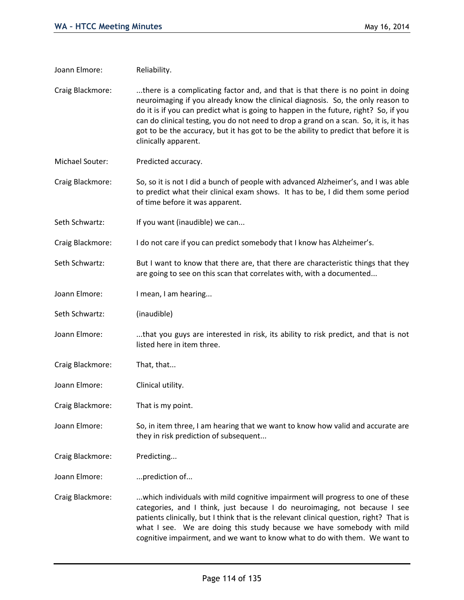| Joann Elmore:    | Reliability.                                                                                                                                                                                                                                                                                                                                                                                                                                                         |
|------------------|----------------------------------------------------------------------------------------------------------------------------------------------------------------------------------------------------------------------------------------------------------------------------------------------------------------------------------------------------------------------------------------------------------------------------------------------------------------------|
| Craig Blackmore: | there is a complicating factor and, and that is that there is no point in doing<br>neuroimaging if you already know the clinical diagnosis. So, the only reason to<br>do it is if you can predict what is going to happen in the future, right? So, if you<br>can do clinical testing, you do not need to drop a grand on a scan. So, it is, it has<br>got to be the accuracy, but it has got to be the ability to predict that before it is<br>clinically apparent. |
| Michael Souter:  | Predicted accuracy.                                                                                                                                                                                                                                                                                                                                                                                                                                                  |
| Craig Blackmore: | So, so it is not I did a bunch of people with advanced Alzheimer's, and I was able<br>to predict what their clinical exam shows. It has to be, I did them some period<br>of time before it was apparent.                                                                                                                                                                                                                                                             |
| Seth Schwartz:   | If you want (inaudible) we can                                                                                                                                                                                                                                                                                                                                                                                                                                       |
| Craig Blackmore: | I do not care if you can predict somebody that I know has Alzheimer's.                                                                                                                                                                                                                                                                                                                                                                                               |
| Seth Schwartz:   | But I want to know that there are, that there are characteristic things that they<br>are going to see on this scan that correlates with, with a documented                                                                                                                                                                                                                                                                                                           |
| Joann Elmore:    | I mean, I am hearing                                                                                                                                                                                                                                                                                                                                                                                                                                                 |
| Seth Schwartz:   | (inaudible)                                                                                                                                                                                                                                                                                                                                                                                                                                                          |
| Joann Elmore:    | that you guys are interested in risk, its ability to risk predict, and that is not<br>listed here in item three.                                                                                                                                                                                                                                                                                                                                                     |
| Craig Blackmore: | That, that                                                                                                                                                                                                                                                                                                                                                                                                                                                           |
| Joann Elmore:    | Clinical utility.                                                                                                                                                                                                                                                                                                                                                                                                                                                    |
| Craig Blackmore: | That is my point.                                                                                                                                                                                                                                                                                                                                                                                                                                                    |
| Joann Elmore:    | So, in item three, I am hearing that we want to know how valid and accurate are<br>they in risk prediction of subsequent                                                                                                                                                                                                                                                                                                                                             |
| Craig Blackmore: | Predicting                                                                                                                                                                                                                                                                                                                                                                                                                                                           |
| Joann Elmore:    | prediction of                                                                                                                                                                                                                                                                                                                                                                                                                                                        |
| Craig Blackmore: | which individuals with mild cognitive impairment will progress to one of these<br>categories, and I think, just because I do neuroimaging, not because I see<br>patients clinically, but I think that is the relevant clinical question, right? That is<br>what I see. We are doing this study because we have somebody with mild<br>cognitive impairment, and we want to know what to do with them. We want to                                                      |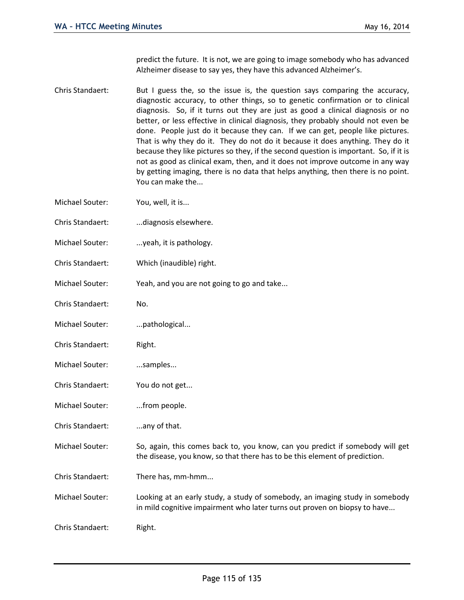predict the future. It is not, we are going to image somebody who has advanced Alzheimer disease to say yes, they have this advanced Alzheimer's.

- Chris Standaert: But I guess the, so the issue is, the question says comparing the accuracy, diagnostic accuracy, to other things, so to genetic confirmation or to clinical diagnosis. So, if it turns out they are just as good a clinical diagnosis or no better, or less effective in clinical diagnosis, they probably should not even be done. People just do it because they can. If we can get, people like pictures. That is why they do it. They do not do it because it does anything. They do it because they like pictures so they, if the second question is important. So, if it is not as good as clinical exam, then, and it does not improve outcome in any way by getting imaging, there is no data that helps anything, then there is no point. You can make the...
- Michael Souter: You, well, it is...
- Chris Standaert: ...diagnosis elsewhere.
- Michael Souter: ...yeah, it is pathology.
- Chris Standaert: Which (inaudible) right.
- Michael Souter: Yeah, and you are not going to go and take...
- Chris Standaert: No.
- Michael Souter: ...pathological...
- Chris Standaert: Right.
- Michael Souter: ...samples...
- Chris Standaert: You do not get...
- Michael Souter: ...from people.
- Chris Standaert: ...any of that.
- Michael Souter: So, again, this comes back to, you know, can you predict if somebody will get the disease, you know, so that there has to be this element of prediction.
- Chris Standaert: There has, mm-hmm...
- Michael Souter: Looking at an early study, a study of somebody, an imaging study in somebody in mild cognitive impairment who later turns out proven on biopsy to have...
- Chris Standaert: Right.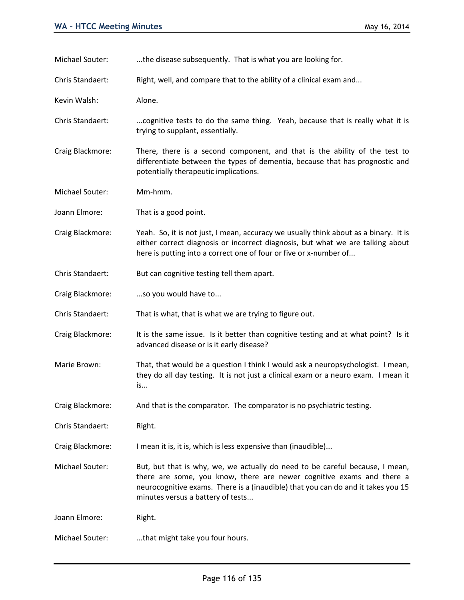Michael Souter: ...the disease subsequently. That is what you are looking for.

Chris Standaert: Right, well, and compare that to the ability of a clinical exam and...

Kevin Walsh: Alone.

- Chris Standaert: ....cognitive tests to do the same thing. Yeah, because that is really what it is trying to supplant, essentially.
- Craig Blackmore: There, there is a second component, and that is the ability of the test to differentiate between the types of dementia, because that has prognostic and potentially therapeutic implications.

Michael Souter: Mm-hmm.

Joann Elmore: That is a good point.

- Craig Blackmore: Yeah. So, it is not just, I mean, accuracy we usually think about as a binary. It is either correct diagnosis or incorrect diagnosis, but what we are talking about here is putting into a correct one of four or five or x-number of...
- Chris Standaert: But can cognitive testing tell them apart.
- Craig Blackmore: ...so you would have to...

Chris Standaert: That is what, that is what we are trying to figure out.

- Craig Blackmore: It is the same issue. Is it better than cognitive testing and at what point? Is it advanced disease or is it early disease?
- Marie Brown: That, that would be a question I think I would ask a neuropsychologist. I mean, they do all day testing. It is not just a clinical exam or a neuro exam. I mean it is...
- Craig Blackmore: And that is the comparator. The comparator is no psychiatric testing.

Chris Standaert: Right.

Craig Blackmore: I mean it is, it is, which is less expensive than (inaudible)...

Michael Souter: But, but that is why, we, we actually do need to be careful because, I mean, there are some, you know, there are newer cognitive exams and there a neurocognitive exams. There is a (inaudible) that you can do and it takes you 15 minutes versus a battery of tests...

Joann Elmore: Right.

Michael Souter: ...that might take you four hours.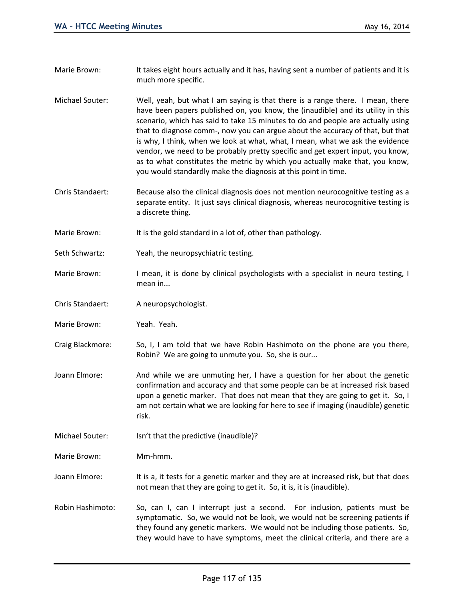- Marie Brown: It takes eight hours actually and it has, having sent a number of patients and it is much more specific.
- Michael Souter: Well, yeah, but what I am saying is that there is a range there. I mean, there have been papers published on, you know, the (inaudible) and its utility in this scenario, which has said to take 15 minutes to do and people are actually using that to diagnose comm-, now you can argue about the accuracy of that, but that is why, I think, when we look at what, what, I mean, what we ask the evidence vendor, we need to be probably pretty specific and get expert input, you know, as to what constitutes the metric by which you actually make that, you know, you would standardly make the diagnosis at this point in time.
- Chris Standaert: Because also the clinical diagnosis does not mention neurocognitive testing as a separate entity. It just says clinical diagnosis, whereas neurocognitive testing is a discrete thing.
- Marie Brown: It is the gold standard in a lot of, other than pathology.
- Seth Schwartz: Yeah, the neuropsychiatric testing.
- Marie Brown: I mean, it is done by clinical psychologists with a specialist in neuro testing, I mean in...
- Chris Standaert: A neuropsychologist.
- Marie Brown: Yeah. Yeah.
- Craig Blackmore: So, I, I am told that we have Robin Hashimoto on the phone are you there, Robin? We are going to unmute you. So, she is our...
- Joann Elmore: And while we are unmuting her, I have a question for her about the genetic confirmation and accuracy and that some people can be at increased risk based upon a genetic marker. That does not mean that they are going to get it. So, I am not certain what we are looking for here to see if imaging (inaudible) genetic risk.
- Michael Souter: Isn't that the predictive (inaudible)?
- Marie Brown: Mm-hmm.

Joann Elmore: It is a, it tests for a genetic marker and they are at increased risk, but that does not mean that they are going to get it. So, it is, it is (inaudible).

Robin Hashimoto: So, can I, can I interrupt just a second. For inclusion, patients must be symptomatic. So, we would not be look, we would not be screening patients if they found any genetic markers. We would not be including those patients. So, they would have to have symptoms, meet the clinical criteria, and there are a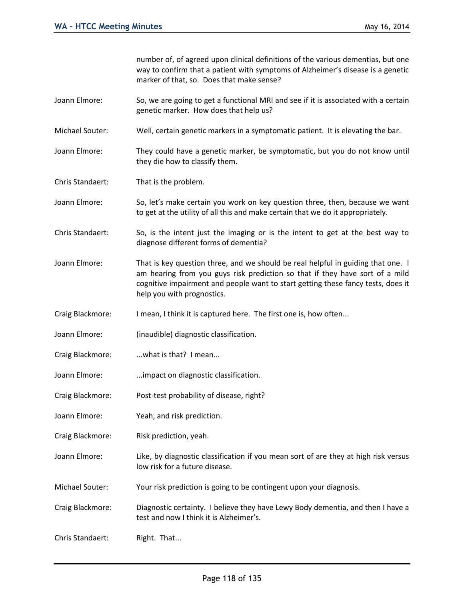number of, of agreed upon clinical definitions of the various dementias, but one way to confirm that a patient with symptoms of Alzheimer's disease is a genetic marker of that, so. Does that make sense?

- Joann Elmore: So, we are going to get a functional MRI and see if it is associated with a certain genetic marker. How does that help us?
- Michael Souter: Well, certain genetic markers in a symptomatic patient. It is elevating the bar.
- Joann Elmore: They could have a genetic marker, be symptomatic, but you do not know until they die how to classify them.
- Chris Standaert: That is the problem.
- Joann Elmore: So, let's make certain you work on key question three, then, because we want to get at the utility of all this and make certain that we do it appropriately.
- Chris Standaert: So, is the intent just the imaging or is the intent to get at the best way to diagnose different forms of dementia?
- Joann Elmore: That is key question three, and we should be real helpful in guiding that one. I am hearing from you guys risk prediction so that if they have sort of a mild cognitive impairment and people want to start getting these fancy tests, does it help you with prognostics.
- Craig Blackmore: I mean, I think it is captured here. The first one is, how often...
- Joann Elmore: (inaudible) diagnostic classification.
- Craig Blackmore: ...what is that? I mean...
- Joann Elmore: ...impact on diagnostic classification.
- Craig Blackmore: Post-test probability of disease, right?
- Joann Elmore: Yeah, and risk prediction.
- Craig Blackmore: Risk prediction, yeah.
- Joann Elmore: Like, by diagnostic classification if you mean sort of are they at high risk versus low risk for a future disease.
- Michael Souter: Your risk prediction is going to be contingent upon your diagnosis.
- Craig Blackmore: Diagnostic certainty. I believe they have Lewy Body dementia, and then I have a test and now I think it is Alzheimer's.
- Chris Standaert: Right. That...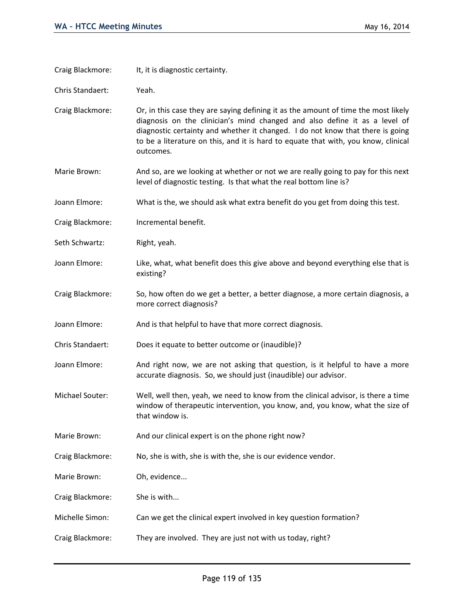| Craig Blackmore: | It, it is diagnostic certainty.                                                                                                                                                                                                                                                                                                                       |
|------------------|-------------------------------------------------------------------------------------------------------------------------------------------------------------------------------------------------------------------------------------------------------------------------------------------------------------------------------------------------------|
| Chris Standaert: | Yeah.                                                                                                                                                                                                                                                                                                                                                 |
| Craig Blackmore: | Or, in this case they are saying defining it as the amount of time the most likely<br>diagnosis on the clinician's mind changed and also define it as a level of<br>diagnostic certainty and whether it changed. I do not know that there is going<br>to be a literature on this, and it is hard to equate that with, you know, clinical<br>outcomes. |
| Marie Brown:     | And so, are we looking at whether or not we are really going to pay for this next<br>level of diagnostic testing. Is that what the real bottom line is?                                                                                                                                                                                               |
| Joann Elmore:    | What is the, we should ask what extra benefit do you get from doing this test.                                                                                                                                                                                                                                                                        |
| Craig Blackmore: | Incremental benefit.                                                                                                                                                                                                                                                                                                                                  |
| Seth Schwartz:   | Right, yeah.                                                                                                                                                                                                                                                                                                                                          |
| Joann Elmore:    | Like, what, what benefit does this give above and beyond everything else that is<br>existing?                                                                                                                                                                                                                                                         |
| Craig Blackmore: | So, how often do we get a better, a better diagnose, a more certain diagnosis, a<br>more correct diagnosis?                                                                                                                                                                                                                                           |
| Joann Elmore:    | And is that helpful to have that more correct diagnosis.                                                                                                                                                                                                                                                                                              |
| Chris Standaert: | Does it equate to better outcome or (inaudible)?                                                                                                                                                                                                                                                                                                      |
| Joann Elmore:    | And right now, we are not asking that question, is it helpful to have a more<br>accurate diagnosis. So, we should just (inaudible) our advisor.                                                                                                                                                                                                       |
| Michael Souter:  | Well, well then, yeah, we need to know from the clinical advisor, is there a time<br>window of therapeutic intervention, you know, and, you know, what the size of<br>that window is.                                                                                                                                                                 |
| Marie Brown:     | And our clinical expert is on the phone right now?                                                                                                                                                                                                                                                                                                    |
| Craig Blackmore: | No, she is with, she is with the, she is our evidence vendor.                                                                                                                                                                                                                                                                                         |
| Marie Brown:     | Oh, evidence                                                                                                                                                                                                                                                                                                                                          |
| Craig Blackmore: | She is with                                                                                                                                                                                                                                                                                                                                           |
| Michelle Simon:  | Can we get the clinical expert involved in key question formation?                                                                                                                                                                                                                                                                                    |
| Craig Blackmore: | They are involved. They are just not with us today, right?                                                                                                                                                                                                                                                                                            |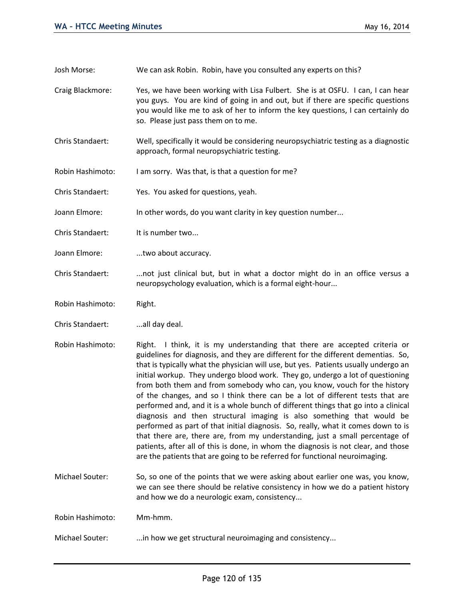Josh Morse: We can ask Robin. Robin, have you consulted any experts on this?

- Craig Blackmore: Yes, we have been working with Lisa Fulbert. She is at OSFU. I can, I can hear you guys. You are kind of going in and out, but if there are specific questions you would like me to ask of her to inform the key questions, I can certainly do so. Please just pass them on to me.
- Chris Standaert: Well, specifically it would be considering neuropsychiatric testing as a diagnostic approach, formal neuropsychiatric testing.
- Robin Hashimoto: I am sorry. Was that, is that a question for me?
- Chris Standaert: Yes. You asked for questions, yeah.
- Joann Elmore: In other words, do you want clarity in key question number...
- Chris Standaert: It is number two...
- Joann Elmore: ....two about accuracy.
- Chris Standaert: ...not just clinical but, but in what a doctor might do in an office versus a neuropsychology evaluation, which is a formal eight-hour...
- Robin Hashimoto: Right.
- Chris Standaert: ...all day deal.
- Robin Hashimoto: Right. I think, it is my understanding that there are accepted criteria or guidelines for diagnosis, and they are different for the different dementias. So, that is typically what the physician will use, but yes. Patients usually undergo an initial workup. They undergo blood work. They go, undergo a lot of questioning from both them and from somebody who can, you know, vouch for the history of the changes, and so I think there can be a lot of different tests that are performed and, and it is a whole bunch of different things that go into a clinical diagnosis and then structural imaging is also something that would be performed as part of that initial diagnosis. So, really, what it comes down to is that there are, there are, from my understanding, just a small percentage of patients, after all of this is done, in whom the diagnosis is not clear, and those are the patients that are going to be referred for functional neuroimaging.
- Michael Souter: So, so one of the points that we were asking about earlier one was, you know, we can see there should be relative consistency in how we do a patient history and how we do a neurologic exam, consistency...

Robin Hashimoto: Mm-hmm.

Michael Souter: ...in how we get structural neuroimaging and consistency...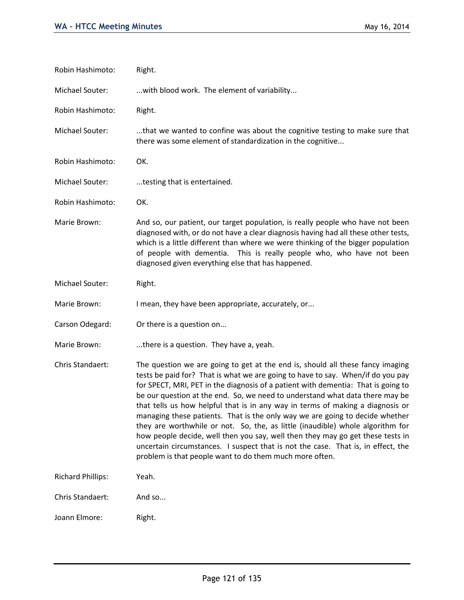| Robin Hashimoto:         | Right.                                                                                                                                                                                                                                                                                                                                                                                                                                                                                                                                                                                                                                                                                                                                                                                                                      |
|--------------------------|-----------------------------------------------------------------------------------------------------------------------------------------------------------------------------------------------------------------------------------------------------------------------------------------------------------------------------------------------------------------------------------------------------------------------------------------------------------------------------------------------------------------------------------------------------------------------------------------------------------------------------------------------------------------------------------------------------------------------------------------------------------------------------------------------------------------------------|
| Michael Souter:          | with blood work. The element of variability                                                                                                                                                                                                                                                                                                                                                                                                                                                                                                                                                                                                                                                                                                                                                                                 |
| Robin Hashimoto:         | Right.                                                                                                                                                                                                                                                                                                                                                                                                                                                                                                                                                                                                                                                                                                                                                                                                                      |
| Michael Souter:          | that we wanted to confine was about the cognitive testing to make sure that<br>there was some element of standardization in the cognitive                                                                                                                                                                                                                                                                                                                                                                                                                                                                                                                                                                                                                                                                                   |
| Robin Hashimoto:         | OK.                                                                                                                                                                                                                                                                                                                                                                                                                                                                                                                                                                                                                                                                                                                                                                                                                         |
| Michael Souter:          | testing that is entertained.                                                                                                                                                                                                                                                                                                                                                                                                                                                                                                                                                                                                                                                                                                                                                                                                |
| Robin Hashimoto:         | OK.                                                                                                                                                                                                                                                                                                                                                                                                                                                                                                                                                                                                                                                                                                                                                                                                                         |
| Marie Brown:             | And so, our patient, our target population, is really people who have not been<br>diagnosed with, or do not have a clear diagnosis having had all these other tests,<br>which is a little different than where we were thinking of the bigger population<br>of people with dementia. This is really people who, who have not been<br>diagnosed given everything else that has happened.                                                                                                                                                                                                                                                                                                                                                                                                                                     |
| Michael Souter:          | Right.                                                                                                                                                                                                                                                                                                                                                                                                                                                                                                                                                                                                                                                                                                                                                                                                                      |
| Marie Brown:             | I mean, they have been appropriate, accurately, or                                                                                                                                                                                                                                                                                                                                                                                                                                                                                                                                                                                                                                                                                                                                                                          |
| Carson Odegard:          | Or there is a question on                                                                                                                                                                                                                                                                                                                                                                                                                                                                                                                                                                                                                                                                                                                                                                                                   |
| Marie Brown:             | there is a question. They have a, yeah.                                                                                                                                                                                                                                                                                                                                                                                                                                                                                                                                                                                                                                                                                                                                                                                     |
| Chris Standaert:         | The question we are going to get at the end is, should all these fancy imaging<br>tests be paid for? That is what we are going to have to say. When/if do you pay<br>for SPECT, MRI, PET in the diagnosis of a patient with dementia: That is going to<br>be our question at the end. So, we need to understand what data there may be<br>that tells us how helpful that is in any way in terms of making a diagnosis or<br>managing these patients. That is the only way we are going to decide whether<br>they are worthwhile or not. So, the, as little (inaudible) whole algorithm for<br>how people decide, well then you say, well then they may go get these tests in<br>uncertain circumstances. I suspect that is not the case. That is, in effect, the<br>problem is that people want to do them much more often. |
| <b>Richard Phillips:</b> | Yeah.                                                                                                                                                                                                                                                                                                                                                                                                                                                                                                                                                                                                                                                                                                                                                                                                                       |
| Chris Standaert:         | And so                                                                                                                                                                                                                                                                                                                                                                                                                                                                                                                                                                                                                                                                                                                                                                                                                      |
| Joann Elmore:            | Right.                                                                                                                                                                                                                                                                                                                                                                                                                                                                                                                                                                                                                                                                                                                                                                                                                      |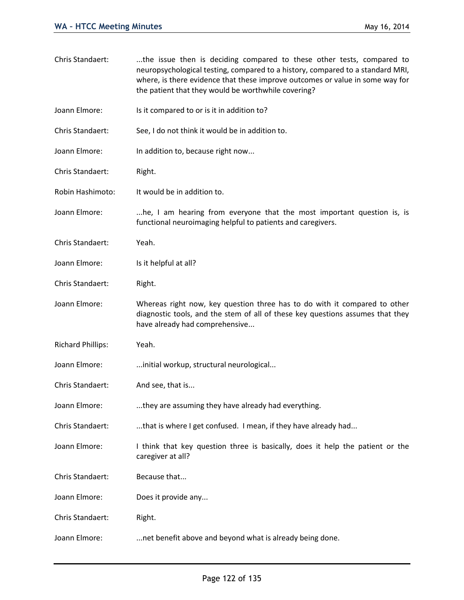| Chris Standaert:         | the issue then is deciding compared to these other tests, compared to<br>neuropsychological testing, compared to a history, compared to a standard MRI,<br>where, is there evidence that these improve outcomes or value in some way for<br>the patient that they would be worthwhile covering? |
|--------------------------|-------------------------------------------------------------------------------------------------------------------------------------------------------------------------------------------------------------------------------------------------------------------------------------------------|
| Joann Elmore:            | Is it compared to or is it in addition to?                                                                                                                                                                                                                                                      |
| Chris Standaert:         | See, I do not think it would be in addition to.                                                                                                                                                                                                                                                 |
| Joann Elmore:            | In addition to, because right now                                                                                                                                                                                                                                                               |
| Chris Standaert:         | Right.                                                                                                                                                                                                                                                                                          |
| Robin Hashimoto:         | It would be in addition to.                                                                                                                                                                                                                                                                     |
| Joann Elmore:            | he, I am hearing from everyone that the most important question is, is<br>functional neuroimaging helpful to patients and caregivers.                                                                                                                                                           |
| Chris Standaert:         | Yeah.                                                                                                                                                                                                                                                                                           |
| Joann Elmore:            | Is it helpful at all?                                                                                                                                                                                                                                                                           |
| Chris Standaert:         | Right.                                                                                                                                                                                                                                                                                          |
| Joann Elmore:            | Whereas right now, key question three has to do with it compared to other<br>diagnostic tools, and the stem of all of these key questions assumes that they<br>have already had comprehensive                                                                                                   |
| <b>Richard Phillips:</b> | Yeah.                                                                                                                                                                                                                                                                                           |
| Joann Elmore:            | initial workup, structural neurological                                                                                                                                                                                                                                                         |
| Chris Standaert:         | And see, that is                                                                                                                                                                                                                                                                                |
| Joann Elmore:            | they are assuming they have already had everything.                                                                                                                                                                                                                                             |
| Chris Standaert:         | that is where I get confused. I mean, if they have already had                                                                                                                                                                                                                                  |
| Joann Elmore:            | I think that key question three is basically, does it help the patient or the<br>caregiver at all?                                                                                                                                                                                              |
| Chris Standaert:         | Because that                                                                                                                                                                                                                                                                                    |
| Joann Elmore:            | Does it provide any                                                                                                                                                                                                                                                                             |
| Chris Standaert:         | Right.                                                                                                                                                                                                                                                                                          |
| Joann Elmore:            | net benefit above and beyond what is already being done.                                                                                                                                                                                                                                        |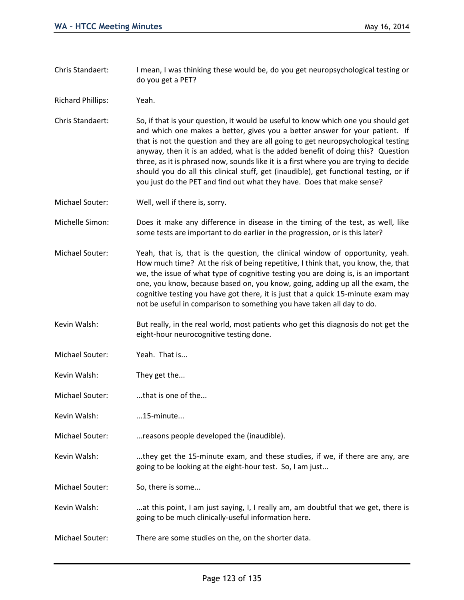- Chris Standaert: I mean, I was thinking these would be, do you get neuropsychological testing or do you get a PET?
- Richard Phillips: Yeah.
- Chris Standaert: So, if that is your question, it would be useful to know which one you should get and which one makes a better, gives you a better answer for your patient. If that is not the question and they are all going to get neuropsychological testing anyway, then it is an added, what is the added benefit of doing this? Question three, as it is phrased now, sounds like it is a first where you are trying to decide should you do all this clinical stuff, get (inaudible), get functional testing, or if you just do the PET and find out what they have. Does that make sense?
- Michael Souter: Well, well if there is, sorry.
- Michelle Simon: Does it make any difference in disease in the timing of the test, as well, like some tests are important to do earlier in the progression, or is this later?
- Michael Souter: Yeah, that is, that is the question, the clinical window of opportunity, yeah. How much time? At the risk of being repetitive, I think that, you know, the, that we, the issue of what type of cognitive testing you are doing is, is an important one, you know, because based on, you know, going, adding up all the exam, the cognitive testing you have got there, it is just that a quick 15-minute exam may not be useful in comparison to something you have taken all day to do.
- Kevin Walsh: But really, in the real world, most patients who get this diagnosis do not get the eight-hour neurocognitive testing done.
- Michael Souter: Yeah. That is...
- Kevin Walsh: They get the...
- Michael Souter: ....that is one of the...
- Kevin Walsh: ...15-minute...
- Michael Souter: ...reasons people developed the (inaudible).
- Kevin Walsh: ....they get the 15-minute exam, and these studies, if we, if there are any, are going to be looking at the eight-hour test. So, I am just...
- Michael Souter: So, there is some...
- Kevin Walsh: ....at this point, I am just saying, I, I really am, am doubtful that we get, there is going to be much clinically-useful information here.
- Michael Souter: There are some studies on the, on the shorter data.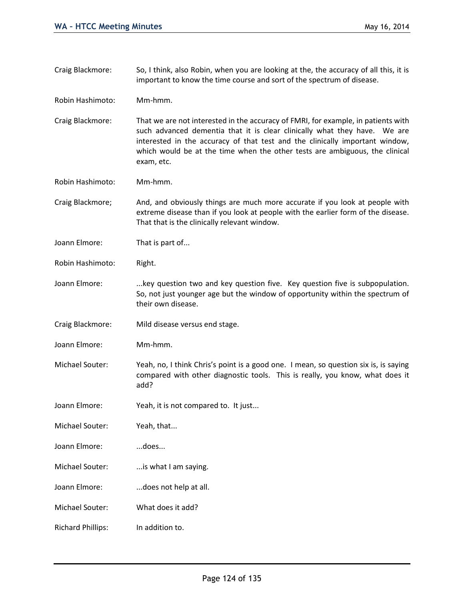Craig Blackmore: So, I think, also Robin, when you are looking at the, the accuracy of all this, it is important to know the time course and sort of the spectrum of disease.

Robin Hashimoto: Mm-hmm.

Craig Blackmore: That we are not interested in the accuracy of FMRI, for example, in patients with such advanced dementia that it is clear clinically what they have. We are interested in the accuracy of that test and the clinically important window, which would be at the time when the other tests are ambiguous, the clinical exam, etc.

Robin Hashimoto: Mm-hmm.

Craig Blackmore; And, and obviously things are much more accurate if you look at people with extreme disease than if you look at people with the earlier form of the disease. That that is the clinically relevant window.

Joann Elmore: That is part of...

Robin Hashimoto: Right.

- Joann Elmore: ....key question two and key question five. Key question five is subpopulation. So, not just younger age but the window of opportunity within the spectrum of their own disease.
- Craig Blackmore: Mild disease versus end stage.
- Joann Elmore: Mm-hmm.
- Michael Souter: Yeah, no, I think Chris's point is a good one. I mean, so question six is, is saying compared with other diagnostic tools. This is really, you know, what does it add?
- Joann Elmore: Yeah, it is not compared to. It just...

Michael Souter: Yeah, that...

Joann Elmore: ...does...

- Michael Souter: ...is what I am saying.
- Joann Elmore: ...does not help at all.
- Michael Souter: What does it add?
- Richard Phillips: In addition to.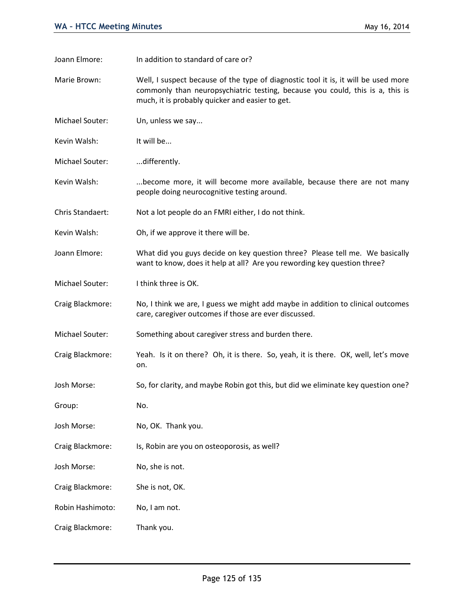Joann Elmore: In addition to standard of care or?

Marie Brown: Well, I suspect because of the type of diagnostic tool it is, it will be used more commonly than neuropsychiatric testing, because you could, this is a, this is much, it is probably quicker and easier to get.

Michael Souter: Un, unless we say...

Kevin Walsh: It will be...

Michael Souter: .......differently.

Kevin Walsh: ...become more, it will become more available, because there are not many people doing neurocognitive testing around.

Chris Standaert: Not a lot people do an FMRI either, I do not think.

Kevin Walsh: Oh, if we approve it there will be.

Joann Elmore: What did you guys decide on key question three? Please tell me. We basically want to know, does it help at all? Are you rewording key question three?

Michael Souter: I think three is OK.

Craig Blackmore: No, I think we are, I guess we might add maybe in addition to clinical outcomes care, caregiver outcomes if those are ever discussed.

Michael Souter: Something about caregiver stress and burden there.

Craig Blackmore: Yeah. Is it on there? Oh, it is there. So, yeah, it is there. OK, well, let's move on.

Josh Morse: So, for clarity, and maybe Robin got this, but did we eliminate key question one?

Group: No.

Josh Morse: No, OK. Thank you.

Craig Blackmore: Is, Robin are you on osteoporosis, as well?

Josh Morse: No, she is not.

Craig Blackmore: She is not, OK.

Robin Hashimoto: No, I am not.

Craig Blackmore: Thank you.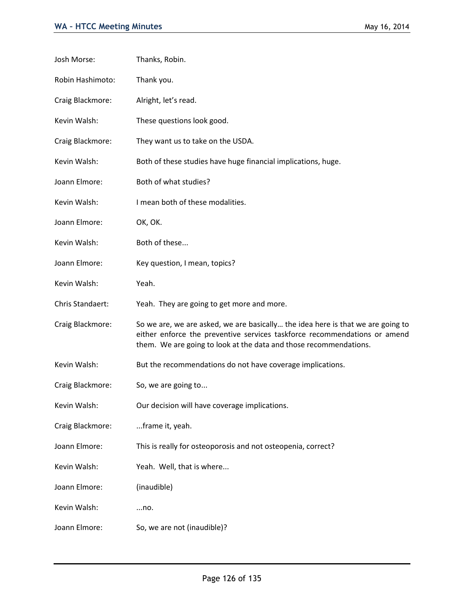| Josh Morse:      | Thanks, Robin.                                                                                                                                                                                                                    |
|------------------|-----------------------------------------------------------------------------------------------------------------------------------------------------------------------------------------------------------------------------------|
| Robin Hashimoto: | Thank you.                                                                                                                                                                                                                        |
| Craig Blackmore: | Alright, let's read.                                                                                                                                                                                                              |
| Kevin Walsh:     | These questions look good.                                                                                                                                                                                                        |
| Craig Blackmore: | They want us to take on the USDA.                                                                                                                                                                                                 |
| Kevin Walsh:     | Both of these studies have huge financial implications, huge.                                                                                                                                                                     |
| Joann Elmore:    | Both of what studies?                                                                                                                                                                                                             |
| Kevin Walsh:     | I mean both of these modalities.                                                                                                                                                                                                  |
| Joann Elmore:    | OK, OK.                                                                                                                                                                                                                           |
| Kevin Walsh:     | Both of these                                                                                                                                                                                                                     |
| Joann Elmore:    | Key question, I mean, topics?                                                                                                                                                                                                     |
| Kevin Walsh:     | Yeah.                                                                                                                                                                                                                             |
| Chris Standaert: | Yeah. They are going to get more and more.                                                                                                                                                                                        |
| Craig Blackmore: | So we are, we are asked, we are basically the idea here is that we are going to<br>either enforce the preventive services taskforce recommendations or amend<br>them. We are going to look at the data and those recommendations. |
| Kevin Walsh:     | But the recommendations do not have coverage implications.                                                                                                                                                                        |
| Craig Blackmore: | So, we are going to                                                                                                                                                                                                               |
| Kevin Walsh:     | Our decision will have coverage implications.                                                                                                                                                                                     |
| Craig Blackmore: | frame it, yeah.                                                                                                                                                                                                                   |
| Joann Elmore:    | This is really for osteoporosis and not osteopenia, correct?                                                                                                                                                                      |
| Kevin Walsh:     | Yeah. Well, that is where                                                                                                                                                                                                         |
| Joann Elmore:    | (inaudible)                                                                                                                                                                                                                       |
| Kevin Walsh:     | no.                                                                                                                                                                                                                               |
| Joann Elmore:    | So, we are not (inaudible)?                                                                                                                                                                                                       |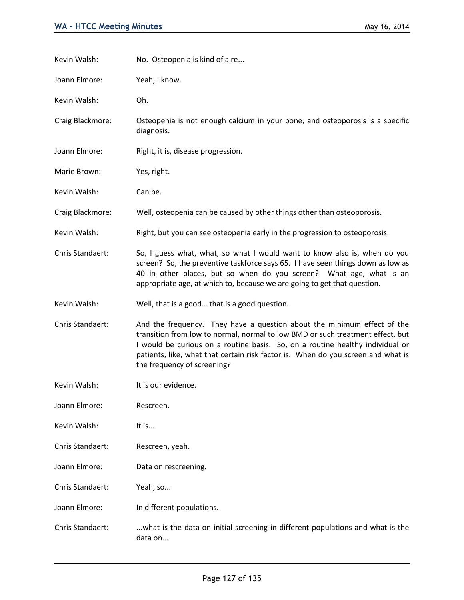| Kevin Walsh:     | No. Osteopenia is kind of a re                                                                                                                                                                                                                                                                                                                                |
|------------------|---------------------------------------------------------------------------------------------------------------------------------------------------------------------------------------------------------------------------------------------------------------------------------------------------------------------------------------------------------------|
| Joann Elmore:    | Yeah, I know.                                                                                                                                                                                                                                                                                                                                                 |
| Kevin Walsh:     | Oh.                                                                                                                                                                                                                                                                                                                                                           |
| Craig Blackmore: | Osteopenia is not enough calcium in your bone, and osteoporosis is a specific<br>diagnosis.                                                                                                                                                                                                                                                                   |
| Joann Elmore:    | Right, it is, disease progression.                                                                                                                                                                                                                                                                                                                            |
| Marie Brown:     | Yes, right.                                                                                                                                                                                                                                                                                                                                                   |
| Kevin Walsh:     | Can be.                                                                                                                                                                                                                                                                                                                                                       |
| Craig Blackmore: | Well, osteopenia can be caused by other things other than osteoporosis.                                                                                                                                                                                                                                                                                       |
| Kevin Walsh:     | Right, but you can see osteopenia early in the progression to osteoporosis.                                                                                                                                                                                                                                                                                   |
| Chris Standaert: | So, I guess what, what, so what I would want to know also is, when do you<br>screen? So, the preventive taskforce says 65. I have seen things down as low as<br>40 in other places, but so when do you screen? What age, what is an<br>appropriate age, at which to, because we are going to get that question.                                               |
| Kevin Walsh:     | Well, that is a good that is a good question.                                                                                                                                                                                                                                                                                                                 |
| Chris Standaert: | And the frequency. They have a question about the minimum effect of the<br>transition from low to normal, normal to low BMD or such treatment effect, but<br>I would be curious on a routine basis. So, on a routine healthy individual or<br>patients, like, what that certain risk factor is. When do you screen and what is<br>the frequency of screening? |
| Kevin Walsh:     | It is our evidence.                                                                                                                                                                                                                                                                                                                                           |
| Joann Elmore:    | Rescreen.                                                                                                                                                                                                                                                                                                                                                     |
| Kevin Walsh:     | It is                                                                                                                                                                                                                                                                                                                                                         |
| Chris Standaert: | Rescreen, yeah.                                                                                                                                                                                                                                                                                                                                               |
| Joann Elmore:    | Data on rescreening.                                                                                                                                                                                                                                                                                                                                          |
| Chris Standaert: | Yeah, so                                                                                                                                                                                                                                                                                                                                                      |
| Joann Elmore:    | In different populations.                                                                                                                                                                                                                                                                                                                                     |
| Chris Standaert: | what is the data on initial screening in different populations and what is the<br>data on                                                                                                                                                                                                                                                                     |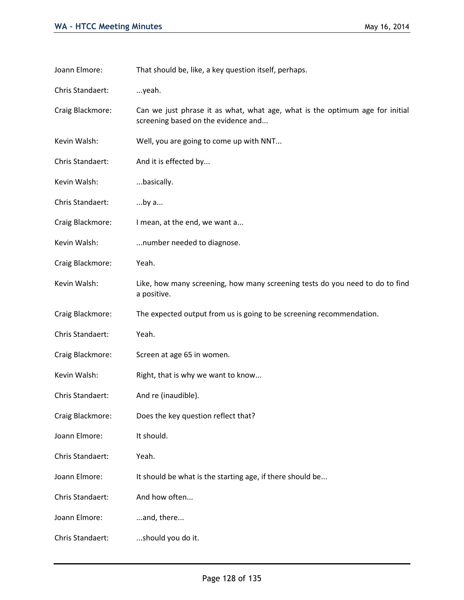| Joann Elmore:    | That should be, like, a key question itself, perhaps.                                                               |
|------------------|---------------------------------------------------------------------------------------------------------------------|
| Chris Standaert: | yeah.                                                                                                               |
| Craig Blackmore: | Can we just phrase it as what, what age, what is the optimum age for initial<br>screening based on the evidence and |
| Kevin Walsh:     | Well, you are going to come up with NNT                                                                             |
| Chris Standaert: | And it is effected by                                                                                               |
| Kevin Walsh:     | basically.                                                                                                          |
| Chris Standaert: | by a                                                                                                                |
| Craig Blackmore: | I mean, at the end, we want a                                                                                       |
| Kevin Walsh:     | number needed to diagnose.                                                                                          |
| Craig Blackmore: | Yeah.                                                                                                               |
| Kevin Walsh:     | Like, how many screening, how many screening tests do you need to do to find<br>a positive.                         |
| Craig Blackmore: | The expected output from us is going to be screening recommendation.                                                |
| Chris Standaert: | Yeah.                                                                                                               |
| Craig Blackmore: | Screen at age 65 in women.                                                                                          |
| Kevin Walsh:     | Right, that is why we want to know                                                                                  |
| Chris Standaert: | And re (inaudible).                                                                                                 |
| Craig Blackmore: | Does the key question reflect that?                                                                                 |
| Joann Elmore:    | It should.                                                                                                          |
| Chris Standaert: | Yeah.                                                                                                               |
| Joann Elmore:    | It should be what is the starting age, if there should be                                                           |
| Chris Standaert: | And how often                                                                                                       |
| Joann Elmore:    | and, there                                                                                                          |
| Chris Standaert: | should you do it.                                                                                                   |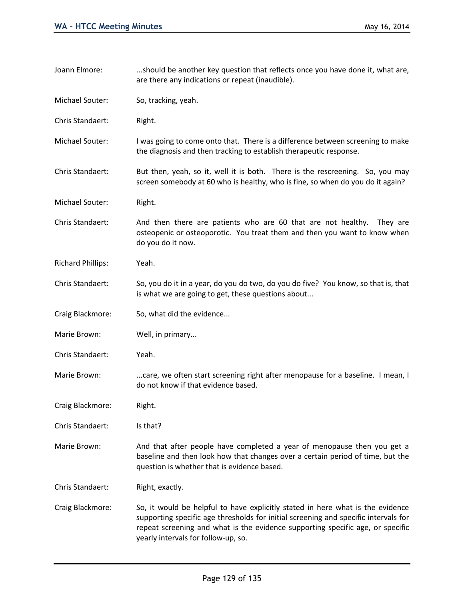| Joann Elmore:            | should be another key question that reflects once you have done it, what are,<br>are there any indications or repeat (inaudible).                                                                                                                                                              |
|--------------------------|------------------------------------------------------------------------------------------------------------------------------------------------------------------------------------------------------------------------------------------------------------------------------------------------|
| Michael Souter:          | So, tracking, yeah.                                                                                                                                                                                                                                                                            |
| Chris Standaert:         | Right.                                                                                                                                                                                                                                                                                         |
| Michael Souter:          | I was going to come onto that. There is a difference between screening to make<br>the diagnosis and then tracking to establish therapeutic response.                                                                                                                                           |
| Chris Standaert:         | But then, yeah, so it, well it is both. There is the rescreening. So, you may<br>screen somebody at 60 who is healthy, who is fine, so when do you do it again?                                                                                                                                |
| Michael Souter:          | Right.                                                                                                                                                                                                                                                                                         |
| Chris Standaert:         | And then there are patients who are 60 that are not healthy.<br>They are<br>osteopenic or osteoporotic. You treat them and then you want to know when<br>do you do it now.                                                                                                                     |
| <b>Richard Phillips:</b> | Yeah.                                                                                                                                                                                                                                                                                          |
| Chris Standaert:         | So, you do it in a year, do you do two, do you do five? You know, so that is, that<br>is what we are going to get, these questions about                                                                                                                                                       |
| Craig Blackmore:         | So, what did the evidence                                                                                                                                                                                                                                                                      |
| Marie Brown:             | Well, in primary                                                                                                                                                                                                                                                                               |
| Chris Standaert:         | Yeah.                                                                                                                                                                                                                                                                                          |
| Marie Brown:             | care, we often start screening right after menopause for a baseline. I mean, I<br>do not know if that evidence based.                                                                                                                                                                          |
| Craig Blackmore:         | Right.                                                                                                                                                                                                                                                                                         |
| Chris Standaert:         | Is that?                                                                                                                                                                                                                                                                                       |
| Marie Brown:             | And that after people have completed a year of menopause then you get a<br>baseline and then look how that changes over a certain period of time, but the<br>question is whether that is evidence based.                                                                                       |
| Chris Standaert:         | Right, exactly.                                                                                                                                                                                                                                                                                |
| Craig Blackmore:         | So, it would be helpful to have explicitly stated in here what is the evidence<br>supporting specific age thresholds for initial screening and specific intervals for<br>repeat screening and what is the evidence supporting specific age, or specific<br>yearly intervals for follow-up, so. |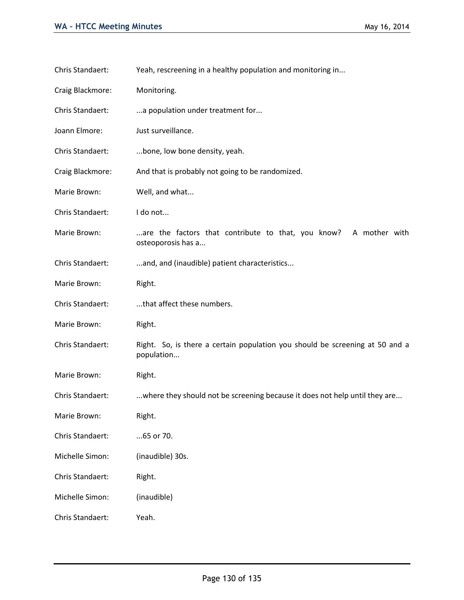| Chris Standaert: | Yeah, rescreening in a healthy population and monitoring in                                |
|------------------|--------------------------------------------------------------------------------------------|
| Craig Blackmore: | Monitoring.                                                                                |
| Chris Standaert: | a population under treatment for                                                           |
| Joann Elmore:    | Just surveillance.                                                                         |
| Chris Standaert: | bone, low bone density, yeah.                                                              |
| Craig Blackmore: | And that is probably not going to be randomized.                                           |
| Marie Brown:     | Well, and what                                                                             |
| Chris Standaert: | I do not                                                                                   |
| Marie Brown:     | A mother with<br>are the factors that contribute to that, you know?<br>osteoporosis has a  |
| Chris Standaert: | and, and (inaudible) patient characteristics                                               |
| Marie Brown:     | Right.                                                                                     |
| Chris Standaert: | that affect these numbers.                                                                 |
| Marie Brown:     | Right.                                                                                     |
| Chris Standaert: | Right. So, is there a certain population you should be screening at 50 and a<br>population |
| Marie Brown:     | Right.                                                                                     |
| Chris Standaert: | where they should not be screening because it does not help until they are                 |
| Marie Brown:     | Right.                                                                                     |
| Chris Standaert: | 65 or 70.                                                                                  |
| Michelle Simon:  | (inaudible) 30s.                                                                           |
| Chris Standaert: | Right.                                                                                     |
| Michelle Simon:  | (inaudible)                                                                                |
| Chris Standaert: | Yeah.                                                                                      |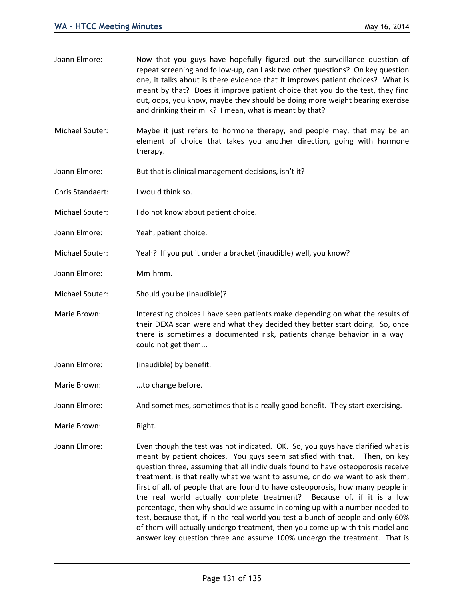| Joann Elmore:    | Now that you guys have hopefully figured out the surveillance question of<br>repeat screening and follow-up, can I ask two other questions? On key question<br>one, it talks about is there evidence that it improves patient choices? What is<br>meant by that? Does it improve patient choice that you do the test, they find<br>out, oops, you know, maybe they should be doing more weight bearing exercise<br>and drinking their milk? I mean, what is meant by that?                                                                                                                                                                                                                                                                          |
|------------------|-----------------------------------------------------------------------------------------------------------------------------------------------------------------------------------------------------------------------------------------------------------------------------------------------------------------------------------------------------------------------------------------------------------------------------------------------------------------------------------------------------------------------------------------------------------------------------------------------------------------------------------------------------------------------------------------------------------------------------------------------------|
| Michael Souter:  | Maybe it just refers to hormone therapy, and people may, that may be an<br>element of choice that takes you another direction, going with hormone<br>therapy.                                                                                                                                                                                                                                                                                                                                                                                                                                                                                                                                                                                       |
| Joann Elmore:    | But that is clinical management decisions, isn't it?                                                                                                                                                                                                                                                                                                                                                                                                                                                                                                                                                                                                                                                                                                |
| Chris Standaert: | I would think so.                                                                                                                                                                                                                                                                                                                                                                                                                                                                                                                                                                                                                                                                                                                                   |
| Michael Souter:  | I do not know about patient choice.                                                                                                                                                                                                                                                                                                                                                                                                                                                                                                                                                                                                                                                                                                                 |
| Joann Elmore:    | Yeah, patient choice.                                                                                                                                                                                                                                                                                                                                                                                                                                                                                                                                                                                                                                                                                                                               |
| Michael Souter:  | Yeah? If you put it under a bracket (inaudible) well, you know?                                                                                                                                                                                                                                                                                                                                                                                                                                                                                                                                                                                                                                                                                     |
| Joann Elmore:    | Mm-hmm.                                                                                                                                                                                                                                                                                                                                                                                                                                                                                                                                                                                                                                                                                                                                             |
| Michael Souter:  | Should you be (inaudible)?                                                                                                                                                                                                                                                                                                                                                                                                                                                                                                                                                                                                                                                                                                                          |
| Marie Brown:     | Interesting choices I have seen patients make depending on what the results of<br>their DEXA scan were and what they decided they better start doing. So, once<br>there is sometimes a documented risk, patients change behavior in a way I<br>could not get them                                                                                                                                                                                                                                                                                                                                                                                                                                                                                   |
| Joann Elmore:    | (inaudible) by benefit.                                                                                                                                                                                                                                                                                                                                                                                                                                                                                                                                                                                                                                                                                                                             |
| Marie Brown:     | to change before.                                                                                                                                                                                                                                                                                                                                                                                                                                                                                                                                                                                                                                                                                                                                   |
| Joann Elmore:    | And sometimes, sometimes that is a really good benefit. They start exercising.                                                                                                                                                                                                                                                                                                                                                                                                                                                                                                                                                                                                                                                                      |
| Marie Brown:     | Right.                                                                                                                                                                                                                                                                                                                                                                                                                                                                                                                                                                                                                                                                                                                                              |
| Joann Elmore:    | Even though the test was not indicated. OK. So, you guys have clarified what is<br>meant by patient choices. You guys seem satisfied with that.<br>Then, on key<br>question three, assuming that all individuals found to have osteoporosis receive<br>treatment, is that really what we want to assume, or do we want to ask them,<br>first of all, of people that are found to have osteoporosis, how many people in<br>the real world actually complete treatment? Because of, if it is a low<br>percentage, then why should we assume in coming up with a number needed to<br>test, because that, if in the real world you test a bunch of people and only 60%<br>of them will actually undergo treatment, then you come up with this model and |

answer key question three and assume 100% undergo the treatment. That is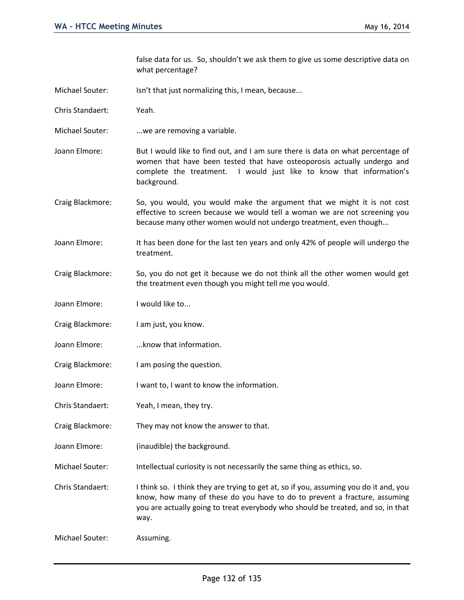false data for us. So, shouldn't we ask them to give us some descriptive data on what percentage?

- Michael Souter: Isn't that just normalizing this, I mean, because...
- Chris Standaert: Yeah.
- Michael Souter: ...we are removing a variable.
- Joann Elmore: But I would like to find out, and I am sure there is data on what percentage of women that have been tested that have osteoporosis actually undergo and complete the treatment. I would just like to know that information's background.
- Craig Blackmore: So, you would, you would make the argument that we might it is not cost effective to screen because we would tell a woman we are not screening you because many other women would not undergo treatment, even though...
- Joann Elmore: It has been done for the last ten years and only 42% of people will undergo the treatment.
- Craig Blackmore: So, you do not get it because we do not think all the other women would get the treatment even though you might tell me you would.
- Joann Elmore: I would like to...
- Craig Blackmore: I am just, you know.
- Joann Elmore: ...know that information.
- Craig Blackmore: I am posing the question.
- Joann Elmore: I want to, I want to know the information.
- Chris Standaert: Yeah, I mean, they try.
- Craig Blackmore: They may not know the answer to that.
- Joann Elmore: (inaudible) the background.
- Michael Souter: Intellectual curiosity is not necessarily the same thing as ethics, so.

Chris Standaert: I think so. I think they are trying to get at, so if you, assuming you do it and, you know, how many of these do you have to do to prevent a fracture, assuming you are actually going to treat everybody who should be treated, and so, in that way.

Michael Souter: Assuming.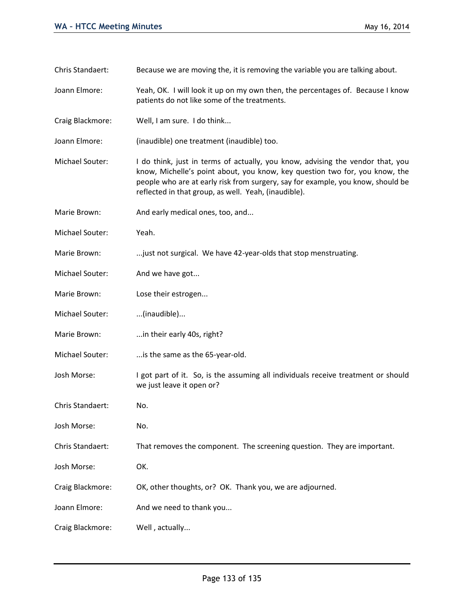| Chris Standaert: | Because we are moving the, it is removing the variable you are talking about.                                                                                                                                                                                                                            |
|------------------|----------------------------------------------------------------------------------------------------------------------------------------------------------------------------------------------------------------------------------------------------------------------------------------------------------|
| Joann Elmore:    | Yeah, OK. I will look it up on my own then, the percentages of. Because I know<br>patients do not like some of the treatments.                                                                                                                                                                           |
| Craig Blackmore: | Well, I am sure. I do think                                                                                                                                                                                                                                                                              |
| Joann Elmore:    | (inaudible) one treatment (inaudible) too.                                                                                                                                                                                                                                                               |
| Michael Souter:  | I do think, just in terms of actually, you know, advising the vendor that, you<br>know, Michelle's point about, you know, key question two for, you know, the<br>people who are at early risk from surgery, say for example, you know, should be<br>reflected in that group, as well. Yeah, (inaudible). |
| Marie Brown:     | And early medical ones, too, and                                                                                                                                                                                                                                                                         |
| Michael Souter:  | Yeah.                                                                                                                                                                                                                                                                                                    |
| Marie Brown:     | just not surgical. We have 42-year-olds that stop menstruating.                                                                                                                                                                                                                                          |
| Michael Souter:  | And we have got                                                                                                                                                                                                                                                                                          |
| Marie Brown:     | Lose their estrogen                                                                                                                                                                                                                                                                                      |
| Michael Souter:  | (inaudible)                                                                                                                                                                                                                                                                                              |
| Marie Brown:     | in their early 40s, right?                                                                                                                                                                                                                                                                               |
| Michael Souter:  | is the same as the 65-year-old.                                                                                                                                                                                                                                                                          |
| Josh Morse:      | I got part of it. So, is the assuming all individuals receive treatment or should<br>we just leave it open or?                                                                                                                                                                                           |
| Chris Standaert: | No.                                                                                                                                                                                                                                                                                                      |
| Josh Morse:      | No.                                                                                                                                                                                                                                                                                                      |
| Chris Standaert: | That removes the component. The screening question. They are important.                                                                                                                                                                                                                                  |
| Josh Morse:      | OK.                                                                                                                                                                                                                                                                                                      |
| Craig Blackmore: | OK, other thoughts, or? OK. Thank you, we are adjourned.                                                                                                                                                                                                                                                 |
| Joann Elmore:    | And we need to thank you                                                                                                                                                                                                                                                                                 |
| Craig Blackmore: | Well, actually                                                                                                                                                                                                                                                                                           |
|                  |                                                                                                                                                                                                                                                                                                          |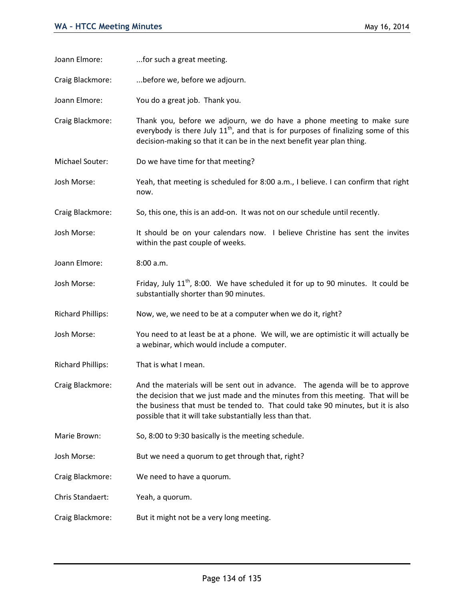| Joann Elmore:            | for such a great meeting.                                                                                                                                                                                                                                                                                     |
|--------------------------|---------------------------------------------------------------------------------------------------------------------------------------------------------------------------------------------------------------------------------------------------------------------------------------------------------------|
| Craig Blackmore:         | before we, before we adjourn.                                                                                                                                                                                                                                                                                 |
| Joann Elmore:            | You do a great job. Thank you.                                                                                                                                                                                                                                                                                |
| Craig Blackmore:         | Thank you, before we adjourn, we do have a phone meeting to make sure<br>everybody is there July $11th$ , and that is for purposes of finalizing some of this<br>decision-making so that it can be in the next benefit year plan thing.                                                                       |
| Michael Souter:          | Do we have time for that meeting?                                                                                                                                                                                                                                                                             |
| Josh Morse:              | Yeah, that meeting is scheduled for 8:00 a.m., I believe. I can confirm that right<br>now.                                                                                                                                                                                                                    |
| Craig Blackmore:         | So, this one, this is an add-on. It was not on our schedule until recently.                                                                                                                                                                                                                                   |
| Josh Morse:              | It should be on your calendars now. I believe Christine has sent the invites<br>within the past couple of weeks.                                                                                                                                                                                              |
| Joann Elmore:            | 8:00 a.m.                                                                                                                                                                                                                                                                                                     |
| Josh Morse:              | Friday, July 11 <sup>th</sup> , 8:00. We have scheduled it for up to 90 minutes. It could be<br>substantially shorter than 90 minutes.                                                                                                                                                                        |
| <b>Richard Phillips:</b> | Now, we, we need to be at a computer when we do it, right?                                                                                                                                                                                                                                                    |
| Josh Morse:              | You need to at least be at a phone. We will, we are optimistic it will actually be<br>a webinar, which would include a computer.                                                                                                                                                                              |
| <b>Richard Phillips:</b> | That is what I mean.                                                                                                                                                                                                                                                                                          |
| Craig Blackmore:         | And the materials will be sent out in advance. The agenda will be to approve<br>the decision that we just made and the minutes from this meeting. That will be<br>the business that must be tended to. That could take 90 minutes, but it is also<br>possible that it will take substantially less than that. |
| Marie Brown:             | So, 8:00 to 9:30 basically is the meeting schedule.                                                                                                                                                                                                                                                           |
| Josh Morse:              | But we need a quorum to get through that, right?                                                                                                                                                                                                                                                              |
| Craig Blackmore:         | We need to have a quorum.                                                                                                                                                                                                                                                                                     |
| Chris Standaert:         | Yeah, a quorum.                                                                                                                                                                                                                                                                                               |
| Craig Blackmore:         | But it might not be a very long meeting.                                                                                                                                                                                                                                                                      |